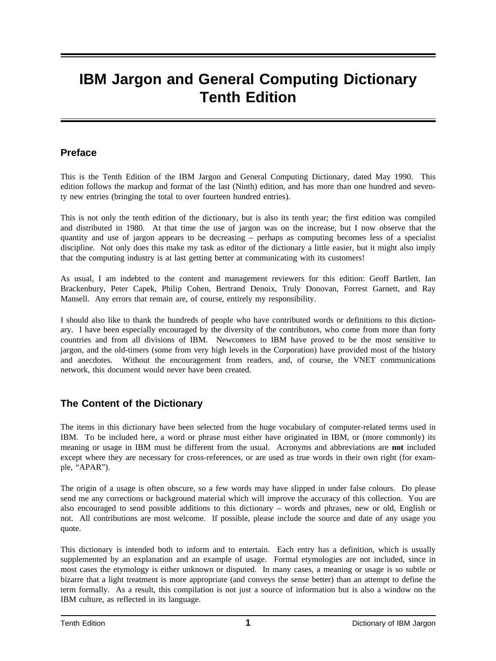# **IBM Jargon and General Computing Dictionary Tenth Edition**

#### **Preface**

This is the Tenth Edition of the IBM Jargon and General Computing Dictionary, dated May 1990. This edition follows the markup and format of the last (Ninth) edition, and has more than one hundred and seventy new entries (bringing the total to over fourteen hundred entries).

This is not only the tenth edition of the dictionary, but is also its tenth year; the first edition was compiled and distributed in 1980. At that time the use of jargon was on the increase, but I now observe that the quantity and use of jargon appears to be decreasing – perhaps as computing becomes less of a specialist discipline. Not only does this make my task as editor of the dictionary a little easier, but it might also imply that the computing industry is at last getting better at communicating with its customers!

As usual, I am indebted to the content and management reviewers for this edition: Geoff Bartlett, Ian Brackenbury, Peter Capek, Philip Cohen, Bertrand Denoix, Truly Donovan, Forrest Garnett, and Ray Mansell. Any errors that remain are, of course, entirely my responsibility.

I should also like to thank the hundreds of people who have contributed words or definitions to this dictionary. I have been especially encouraged by the diversity of the contributors, who come from more than forty countries and from all divisions of IBM. Newcomers to IBM have proved to be the most sensitive to jargon, and the old-timers (some from very high levels in the Corporation) have provided most of the history and anecdotes. Without the encouragement from readers, and, of course, the VNET communications network, this document would never have been created.

## **The Content of the Dictionary**

The items in this dictionary have been selected from the huge vocabulary of computer-related terms used in IBM. To be included here, a word or phrase must either have originated in IBM, or (more commonly) its meaning or usage in IBM must be different from the usual. Acronyms and abbreviations are **not** included except where they are necessary for cross-references, or are used as true words in their own right (for example, "APAR").

The origin of a usage is often obscure, so a few words may have slipped in under false colours. Do please send me any corrections or background material which will improve the accuracy of this collection. You are also encouraged to send possible additions to this dictionary – words and phrases, new or old, English or not. All contributions are most welcome. If possible, please include the source and date of any usage you quote.

This dictionary is intended both to inform and to entertain. Each entry has a definition, which is usually supplemented by an explanation and an example of usage. Formal etymologies are not included, since in most cases the etymology is either unknown or disputed. In many cases, a meaning or usage is so subtle or bizarre that a light treatment is more appropriate (and conveys the sense better) than an attempt to define the term formally. As a result, this compilation is not just a source of information but is also a window on the IBM culture, as reflected in its language.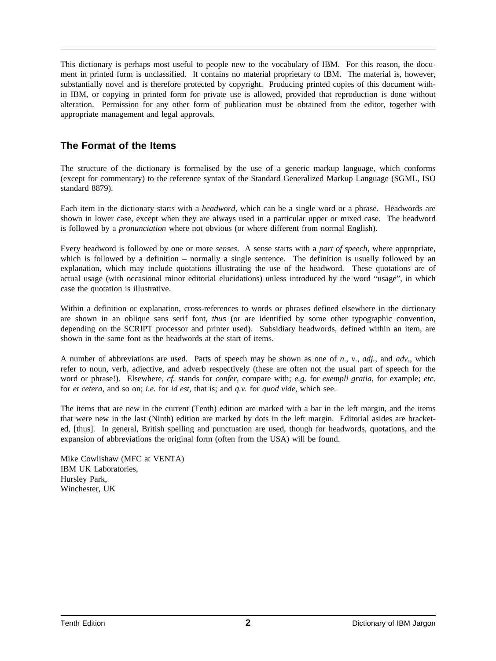This dictionary is perhaps most useful to people new to the vocabulary of IBM. For this reason, the document in printed form is unclassified. It contains no material proprietary to IBM. The material is, however, substantially novel and is therefore protected by copyright. Producing printed copies of this document within IBM, or copying in printed form for private use is allowed, provided that reproduction is done without alteration. Permission for any other form of publication must be obtained from the editor, together with appropriate management and legal approvals.

## **The Format of the Items**

The structure of the dictionary is formalised by the use of a generic markup language, which conforms (except for commentary) to the reference syntax of the Standard Generalized Markup Language (SGML, ISO standard 8879).

Each item in the dictionary starts with a *headword*, which can be a single word or a phrase. Headwords are shown in lower case, except when they are always used in a particular upper or mixed case. The headword is followed by a *pronunciation* where not obvious (or where different from normal English).

Every headword is followed by one or more *senses*. A sense starts with a *part of speech*, where appropriate, which is followed by a definition – normally a single sentence. The definition is usually followed by an explanation, which may include quotations illustrating the use of the headword. These quotations are of actual usage (with occasional minor editorial elucidations) unless introduced by the word "usage", in which case the quotation is illustrative.

Within a definition or explanation, cross-references to words or phrases defined elsewhere in the dictionary are shown in an oblique sans serif font, thus (or are identified by some other typographic convention, depending on the SCRIPT processor and printer used). Subsidiary headwords, defined within an item, are shown in the same font as the headwords at the start of items.

A number of abbreviations are used. Parts of speech may be shown as one of *n.*, *v.*, *adj.*, and *adv.*, which refer to noun, verb, adjective, and adverb respectively (these are often not the usual part of speech for the word or phrase!). Elsewhere, *cf.* stands for *confer*, compare with; *e.g.* for *exempli gratia*, for example; *etc.* for *et cetera*, and so on; *i.e.* for *id est*, that is; and *q.v.* for *quod vide*, which see.

The items that are new in the current (Tenth) edition are marked with a bar in the left margin, and the items that were new in the last (Ninth) edition are marked by dots in the left margin. Editorial asides are bracketed, [thus]. In general, British spelling and punctuation are used, though for headwords, quotations, and the expansion of abbreviations the original form (often from the USA) will be found.

Mike Cowlishaw (MFC at VENTA) IBM UK Laboratories, Hursley Park, Winchester, UK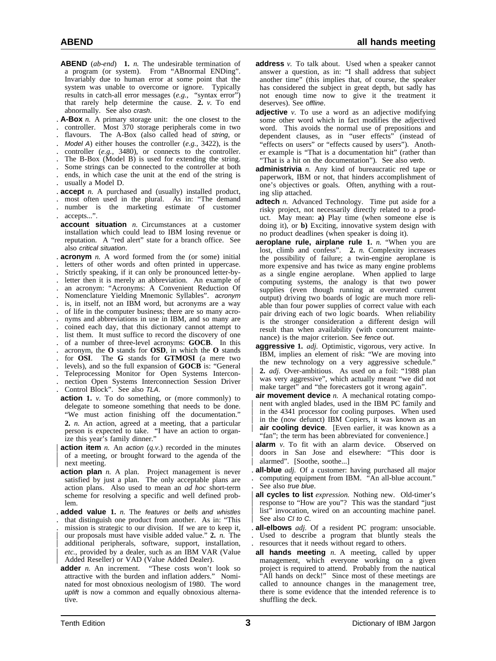- **ABEND** (*ab-end*) **1.** *n.* The undesirable termination of a program (or system). From "ABnormal ENDing". Invariably due to human error at some point that the system was unable to overcome or ignore. Typically results in catch-all error messages (*e.g.*, "syntax error") that rarely help determine the cause. **2.** *v.* To end abnormally. See also crash.
- . **A-Box** *n.* A primary storage unit: the one closest to the
- . controller. Most 370 storage peripherals come in two . flavours. The A-Box (also called head of string, or
- . Model A) either houses the controller (*e.g.*, 3422), is the
- . controller (*e.g.*, 3480), or connects to the controller.
- . The B-Box (Model B) is used for extending the string.
- . Some strings can be connected to the controller at both
- . ends, in which case the unit at the end of the string is . usually a Model D.
- . **accept** *n.* A purchased and (usually) installed product,
- . most often used in the plural. As in: "The demand . number is the marketing estimate of customer . accepts...".
- **account situation** *n.* Circumstances at a customer installation which could lead to IBM losing revenue or reputation. A "red alert" state for a branch office. See also critical situation.

. **acronym** *n.* A word formed from the (or some) initial . letters of other words and often printed in uppercase. . Strictly speaking, if it can only be pronounced letter-by- . letter then it is merely an abbreviation. An example of . an acronym: "Acronyms: A Convenient Reduction Of . Nomenclature Yielding Mnemonic Syllables". acronym . is, in itself, not an IBM word, but acronyms are a way . of life in the computer business; there are so many acro- . nyms and abbreviations in use in IBM, and so many are . coined each day, that this dictionary cannot attempt to . list them. It must suffice to record the discovery of one . of a number of three-level acronyms: **GOCB**. In this . acronym, the **O** stands for **OSD**, in which the **O** stands . for **OSI**. The **G** stands for **GTMOSI** (a mere two . levels), and so the full expansion of **GOCB** is: "General . Teleprocessing Monitor for Open Systems Intercon- . nection Open Systems Interconnection Session Driver

- . Control Block". See also TLA.
- **action 1.** *v.* To do something, or (more commonly) to delegate to someone something that needs to be done. "We must action finishing off the documentation." **2.** *n.* An action, agreed at a meeting, that a particular person is expected to take. "I have an action to organize this year's family dinner."
- **action item** *n*. An action  $(q.v.)$  recorded in the minutes | of a meeting, or brought forward to the agenda of the next meeting.
- **action plan** *n.* A plan. Project management is never satisfied by just a plan. The only acceptable plans are action plans. Also used to mean an *ad hoc* short-term scheme for resolving a specific and well defined problem.
- . **added value 1.** *n.* The features or bells and whistles
- . that distinguish one product from another. As in: "This . mission is strategic to our division. If we are to keep it, | our proposals must have visible added value." **2.** *n.* The additional peripherals, software, support, installation, etc., provided by a dealer, such as an IBM VAR (Value Added Reseller) or VAD (Value Added Dealer).<br> **adder** *n*. An increment. "These costs won't
- "These costs won't look so attractive with the burden and inflation adders." Nominated for most obnoxious neologism of 1980. The word uplift is now a common and equally obnoxious alternative.
- **address** *v.* To talk about. Used when a speaker cannot answer a question, as in: "I shall address that subject another time" (this implies that, of course, the speaker has considered the subject in great depth, but sadly has not enough time now to give it the treatment it deserves). See offline.
- **adjective** *v*. To use a word as an adjective modifying some other word which in fact modifies the adjectived word. This avoids the normal use of prepositions and dependent clauses, as in "user effects" (instead of "effects on users" or "effects caused by users"). Another example is "That is a documentation hit" (rather than "That is a hit on the documentation"). See also verb.
- **administrivia** *n.* Any kind of bureaucratic red tape or paperwork, IBM or not, that hinders accomplishment of one's objectives or goals. Often, anything with a routing slip attached.
- **adtech** *n.* Advanced Technology. Time put aside for a risky project, not necessarily directly related to a product. May mean: **a)** Play time (when someone else is doing it), or **b)** Exciting, innovative system design with no product deadlines (when speaker is doing it).
- **aeroplane rule, airplane rule 1.** *n.* "When you are lost, climb and confess". **2.** *n.* Complexity increases the possibility of failure; a twin-engine aeroplane is more expensive and has twice as many engine problems as a single engine aeroplane. When applied to large computing systems, the analogy is that two power supplies (even though running at overrated current output) driving two boards of logic are much more reliable than four power supplies of correct value with each pair driving each of two logic boards. When reliability is the stronger consideration a different design will result than when availability (with concurrent maintenance) is the major criterion. See fence out.
- **aggressive 1.** *adj.* Optimistic, vigorous, very active. In IBM, implies an element of risk: "We are moving into the new technology on a very aggressive schedule." | **2.** *adj.* Over-ambitious. As used on a foil: "1988 plan was very aggressive", which actually meant "we did not make target" and "the forecasters got it wrong again".
- **air movement device** *n.* A mechanical rotating compo nent with angled blades, used in the IBM PC family and in the 4341 processor for cooling purposes. When used in the (now defunct) IBM Copiers, it was known as an **air cooling device**. [Even earlier, it was known as a "fan"; the term has been abbreviated for convenience.]
- | **alarm** *v.* To fit with an alarm device. Observed on | doors in San Jose and elsewhere: "This door is alarmed". [Soothe, soothe...]
- . **all-blue** *adj.* Of a customer: having purchased all major . computing equipment from IBM. "An all-blue account." . See also true blue.
- all cycles to list *expression*. Nothing new. Old-timer's response to "How are you"? This was the standard "just list" invocation, wired on an accounting machine panel. See also CI to C.
- . **all-elbows** *adj.* Of a resident PC program: unsociable. . Used to describe a program that bluntly steals the . resources that it needs without regard to others.
- **all hands meeting** *n.* A meeting, called by upper management, which everyone working on a given project is required to attend. Probably from the nautical "All hands on deck!" Since most of these meetings are called to announce changes in the management tree, there is some evidence that the intended reference is to shuffling the deck.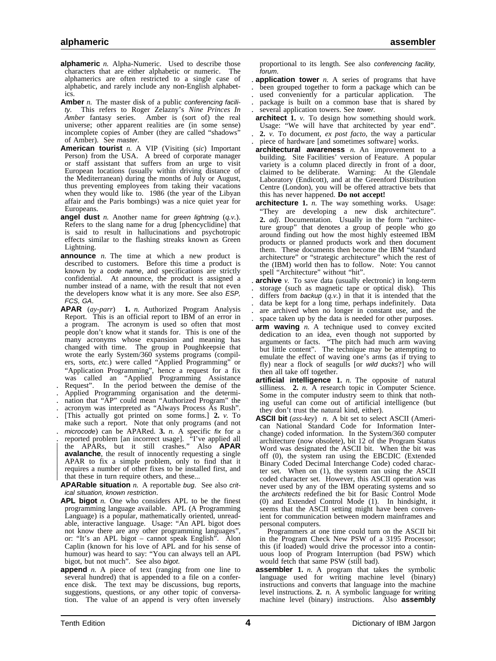- **alphameric** *n.* Alpha-Numeric. Used to describe those characters that are either alphabetic or numeric. The alphamerics are often restricted to a single case of alphabetic, and rarely include any non-English alphabetics.
- **Amber** *n*. The master disk of a public conferencing facility. This refers to Roger Zelazny's *Nine Princes In Amber* fantasy series. Amber is (sort of) the real universe; other apparent realities are (in some sense) incomplete copies of Amber (they are called "shadows" of Amber). See master.
- **American tourist** *n.* A VIP (Visiting (*sic*) Important Person) from the USA. A breed of corporate manager or staff assistant that suffers from an urge to visit European locations (usually within driving distance of the Mediterranean) during the months of July or August, thus preventing employees from taking their vacations when they would like to. 1986 (the year of the Libyan affair and the Paris bombings) was a nice quiet year for Europeans.
- **angel dust** *n.* Another name for green lightning (*q.v.*). Refers to the slang name for a drug [phencyclidine] that is said to result in hallucinations and psychotropic effects similar to the flashing streaks known as Green Lightning.
- **announce** *n.* The time at which a new product is described to customers. Before this time a product is known by a code name, and specifications are strictly confidential. At announce, the product is assigned a number instead of a name, with the result that not even the developers know what it is any more. See also ESP, FCS, GA.
- **APAR** (*ay-parr*) **1.** *n.* Authorized Program Analysis Report. This is an official report to IBM of an error in a program. The acronym is used so often that most people don't know what it stands for. This is one of the many acronyms whose expansion and meaning has changed with time. The group in Poughkeepsie that wrote the early System/360 systems programs (compilers, sorts, *etc.*) were called "Applied Programming" or "Application Programming", hence a request for a fix was called an "Applied Programming Assistance . Request". In the period between the demise of the . Applied Programming organisation and the determi-
- . nation that "AP" could mean "Authorized Program" the

. acronym was interpreted as "Always Process As Rush".

. [This actually got printed on some forms.] **2.** *v.* To make such a report. Note that only programs (and not . microcode) can be APARed. **3.** *n.* A specific fix for a . reported problem [an incorrect usage]. "I've applied all | the APARs, but it still crashes." Also **APAR avalanche**, the result of innocently requesting a single | APAR to fix a simple problem, only to find that it requires a number of other fixes to be installed first, and that these in turn require others, and these...

**APARable situation** *n.* A reportable bug. See also critical situation, known restriction.

- **APL bigot** *n.* One who considers APL to be the finest programming language available. APL (A Programming Language) is a popular, mathematically oriented, unreadable, interactive language. Usage: "An APL bigot does not know there are any other programming languages", or: "It's an APL bigot – cannot speak English". Alon Caplin (known for his love of APL and for his sense of humour) was heard to say: "You can always tell an APL bigot, but not much". See also bigot.
- **append** *n*. A piece of text (ranging from one line to several hundred) that is appended to a file on a conference disk. The text may be discussions, bug reports, suggestions, questions, or any other topic of conversation. The value of an append is very often inversely

proportional to its length. See also conferencing facility, forum.

- . **application tower** *n.* A series of programs that have . been grouped together to form a package which can be
- used conveniently for a particular application. The
- . package is built on a common base that is shared by . several application towers. See tower.
- **architect 1.** *v.* To design how something should work. Usage: "We will have that architected by year end". . **2.** *v.* To document, *ex post facto*, the way a particular . piece of hardware [and sometimes software] works.
- **architectural awareness** *n.* An improvement to a building. Site Facilities' version of Feature. A popular variety is a column placed directly in front of a door, claimed to be deliberate. Warning: At the Glendale Laboratory (Endicott), and at the Greenford Distribution Centre (London), you will be offered attractive bets that this has never happened. **Do not accept!**
- **architecture 1.** *n.* The way something works. Usage: "They are developing a new disk architecture". **2.** *adj.* Documentation. Usually in the form "architecture group" that denotes a group of people who go around finding out how the most highly esteemed IBM products or planned products work and then document them. These documents then become the IBM "standard architecture" or "strategic architecture" which the rest of the (IBM) world then has to follow. Note: You cannot spell "Architecture" without "hit".
- . **archive** *v.* To save data (usually electronic) in long-term . storage (such as magnetic tape or optical disk). This differs from *backup*  $(q.v.)$  in that it is intended that the . data be kept for a long time, perhaps indefinitely. Data . are archived when no longer in constant use, and the . space taken up by the data is needed for other purposes.
- **arm waving** *n.* A technique used to convey excited dedication to an idea, even though not supported by arguments or facts. "The pitch had much arm waving but little content". The technique may be attempting to emulate the effect of waving one's arms (as if trying to fly) near a flock of seagulls [or wild ducks?] who will then all take off together.
- **artificial intelligence 1.** *n.* The opposite of natural silliness. **2.** *n*. A research topic in Computer Science. Some in the computer industry seem to think that nothing useful can come out of artificial intelligence (but they don't trust the natural kind, either).
- **ASCII bit** (*ass-key*) *n.* A bit set to select ASCII (American National Standard Code for Information Interchange) coded information. In the System/360 computer architecture (now obsolete), bit 12 of the Program Status Word was designated the ASCII bit. When the bit was off (0), the system ran using the EBCDIC (Extended Binary Coded Decimal Interchange Code) coded character set. When on (1), the system ran using the ASCII coded character set. However, this ASCII operation was never used by any of the IBM operating systems and so the architects redefined the bit for Basic Control Mode (0) and Extended Control Mode (1). In hindsight, it seems that the ASCII setting might have been convenient for communication between modern mainframes and personal computers.

Programmers at one time could turn on the ASCII bit in the Program Check New PSW of a 3195 Processor; this (if loaded) would drive the processor into a continuous loop of Program Interruption (bad PSW) which would fetch that same PSW (still bad).

**assembler 1.** *n.* A program that takes the symbolic language used for writing machine level (binary) instructions and converts that language into the machine level instructions. **2.** *n.* A symbolic language for writing machine level (binary) instructions. Also **assembly**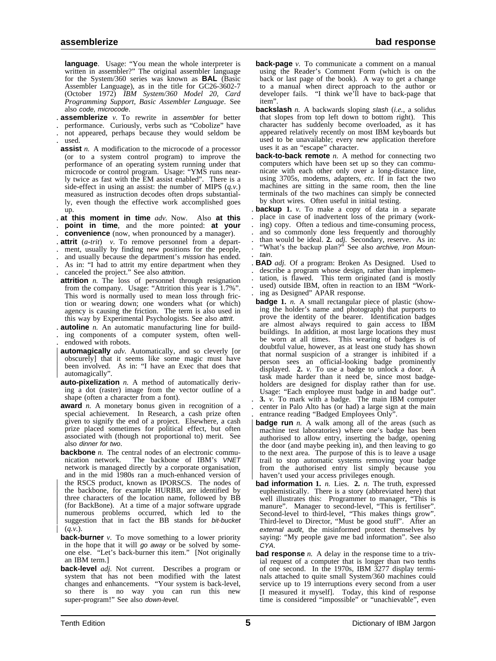**language**. Usage: "You mean the whole interpreter is written in assembler?" The original assembler language for the System/360 series was known as **BAL** (Basic Assembler Language), as in the title for GC26-3602-7 (October 1972) *IBM System/360 Model 20, Card Programming Support, Basic Assembler Language*. See also code, microcode.

. **assemblerize** *v.* To rewrite in assembler for better

- . performance. Curiously, verbs such as "Cobolize" have . not appeared, perhaps because they would seldom be . used.
- **assist** *n*. A modification to the microcode of a processor (or to a system control program) to improve the performance of an operating system running under that microcode or control program. Usage: "YMS runs nearly twice as fast with the EM assist enabled". There is a side-effect in using an assist: the number of MIPS (*q.v.*) measured as instruction decodes often drops substantially, even though the effective work accomplished goes up.
- . **at this moment in time** *adv.* Now. Also **at this** . **point in time**, and the more pointed: **at your**

. **convenience** (now, when pronounced by a manager).

- . **attrit** (*a-trit*) *v.* To remove personnel from a depart-
- ment, usually by finding new positions for the people,
- . and usually because the department's mission has ended. . As in: "I had to attrit my entire department when they
- . canceled the project." See also attrition.
- **attrition** *n*. The loss of personnel through resignation from the company. Usage: "Attrition this year is 1.7%". This word is normally used to mean loss through friction or wearing down; one wonders what (or which) agency is causing the friction. The term is also used in this way by Experimental Psychologists. See also attrit.
- . **autoline** *n.* An automatic manufacturing line for build- . ing components of a computer system, often well- . endowed with robots.
- **automagically** *adv*. Automatically, and so cleverly [or | obscurely] that it seems like some magic must have been involved. As in: "I have an Exec that does that automagically"
- **auto-pixelization** *n.* A method of automatically deriving a dot (raster) image from the vector outline of a shape (often a character from a font).
- award *n*. A monetary bonus given in recognition of a special achievement. In Research, a cash prize often given to signify the end of a project. Elsewhere, a cash prize placed sometimes for political effect, but often associated with (though not proportional to) merit. See also dinner for two.
- **backbone** *n*. The central nodes of an electronic communication network. The backbone of IBM's VNET network is managed directly by a corporate organisation, and in the mid 1980s ran a much-enhanced version of the RSCS product, known as IPORSCS. The nodes of the backbone, for example HURBB, are identified by three characters of the location name, followed by BB | (for BackBone). At a time of a major software upgrade numerous problems occurred, which led to the suggestion that in fact the BB stands for bit-bucket  $(q.v.)$ .
- **back-burner** *v*. To move something to a lower priority in the hope that it will go away or be solved by someone else. "Let's back-burner this item." [Not originally an IBM term.]
- **back-level** *adj.* Not current. Describes a program or system that has not been modified with the latest changes and enhancements. "Your system is back-level, so there is no way you can run this new super-program!" See also down-level.
- **back-page** *v*. To communicate a comment on a manual using the Reader's Comment Form (which is on the back or last page of the book). A way to get a change to a manual when direct approach to the author or developer fails. "I think we'll have to back-page that item".
- **backslash** *n.* A backwards sloping slash (*i.e.*, a solidus that slopes from top left down to bottom right). This character has suddenly become overloaded, as it has appeared relatively recently on most IBM keyboards but used to be unavailable; every new application therefore uses it as an "escape" character.
- **back-to-back remote** *n*. A method for connecting two computers which have been set up so they can communicate with each other only over a long-distance line, using 3705s, modems, adapters, *etc.* If in fact the two machines are sitting in the same room, then the line terminals of the two machines can simply be connected by short wires. Often useful in initial testing.
- **backup 1.**  $\nu$ . To make a copy of data in a separate. place in case of inadvertent loss of the primary (work-<br>ing) copy. Often a tedious and time-consuming process,<br>and so commonly done less frequently and thoroughly<br>th . tain.
- . **BAD** *adj.* Of a program: Broken As Designed. Used to . describe a program whose design, rather than implemen- . tation, is flawed. This term originated (and is mostly used) outside IBM, often in reaction to an IBM "Work-. ing as Designed" APAR response.
- **badge** 1. *n*. A small rectangular piece of plastic (showing the holder's name and photograph) that purports to prove the identity of the bearer. Identification badges are almost always required to gain access to IBM buildings. In addition, at most large locations they must be worn at all times. This wearing of badges is of doubtful value, however, as at least one study has shown that normal suspicion of a stranger is inhibited if a person sees an official-looking badge prominently displayed. **2.** *v.* To use a badge to unlock a door. A task made harder than it need be, since most badgeholders are designed for display rather than for use. Usage: "Each employee must badge in and badge out". . **3.** *v.* To mark with a badge. The main IBM computer . center in Palo Alto has (or had) a large sign at the main
- . entrance reading "Badged Employees Only". **badge run** *n*. A walk among all of the areas (such as machine test laboratories) where one's badge has been authorised to allow entry, inserting the badge, opening | the door (and maybe peeking in), and then leaving to go | to the next area. The purpose of this is to leave a usage | trail to stop automatic systems removing your badge from the authorised entry list simply because you haven't used your access privileges enough.
- **bad information 1.** *n.* Lies. **2.** *n.* The truth, expressed euphemistically. There is a story (abbreviated here) that well illustrates this: Programmer to manager, "This is manure". Manager to second-level, "This is fertiliser". Second-level to third-level, "This makes things grow". Third-level to Director, "Must be good stuff". After an external audit, the misinformed protect themselves by saying: "My people gave me bad information". See also CYA.
- **bad response** *n*. A delay in the response time to a trivial request of a computer that is longer than two tenths of one second. In the 1970s, IBM 3277 display terminals attached to quite small System/360 machines could service up to 19 interruptions every second from a user [I measured it myself]. Today, this kind of response time is considered "impossible" or "unachievable", even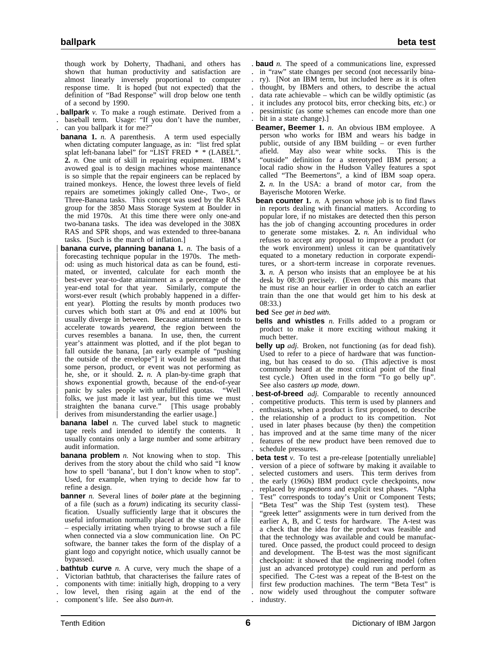though work by Doherty, Thadhani, and others has shown that human productivity and satisfaction are almost linearly inversely proportional to computer response time. It is hoped (but not expected) that the definition of "Bad Response" will drop below one tenth of a second by 1990.

. **ballpark** *v.* To make a rough estimate. Derived from a . baseball term. Usage: "If you don't have the number, . can you ballpark it for me?"

- **banana 1.** *n.* A parenthesis. A term used especially when dictating computer language, as in: "list fred splat splat left-banana label" for "LIST FRED \* \* (LABEL". **2.** *n.* One unit of skill in repairing equipment. IBM's avowed goal is to design machines whose maintenance is so simple that the repair engineers can be replaced by trained monkeys. Hence, the lowest three levels of field repairs are sometimes jokingly called One-, Two-, or Three-Banana tasks. This concept was used by the RAS group for the 3850 Mass Storage System at Boulder in the mid 1970s. At this time there were only one-and two-banana tasks. The idea was developed in the 308X RAS and SPR shops, and was extended to three-banana tasks. [Such is the march of inflation.]
- **banana curve, planning banana 1.** *n*. The basis of a forecasting technique popular in the 1970s. The meth-| od: using as much historical data as can be found, esti mated, or invented, calculate for each month the | best-ever year-to-date attainment as a percentage of the | year-end total for that year. Similarly, compute the | worst-ever result (which probably happened in a differ ent year). Plotting the results by month produces two | curves which both start at 0% and end at 100% but usually diverge in between. Because attainment tends to accelerate towards yearend, the region between the | curves resembles a banana. In use, then, the current | year's attainment was plotted, and if the plot began to fall outside the banana, [an early example of "pushing the outside of the envelope"] it would be assumed that some person, product, or event was not performing as he, she, or it should. 2. *n*. A plan-by-time graph that shows exponential growth, because of the end-of-year panic by sales people with unfulfilled quotas. "Well folks, we just made it last year, but this time we must straighten the banana curve." [This usage probably derives from misunderstanding the earlier usage.]
- **banana label** *n*. The curved label stuck to magnetic tape reels and intended to identify the contents. It usually contains only a large number and some arbitrary audit information.
- **banana problem** *n*. Not knowing when to stop. This derives from the story about the child who said "I know how to spell 'banana', but I don't know when to stop". Used, for example, when trying to decide how far to refine a design.
- **banner** *n*. Several lines of *boiler plate* at the beginning of a file (such as a forum) indicating its security classification. Usually sufficiently large that it obscures the useful information normally placed at the start of a file – especially irritating when trying to browse such a file when connected via a slow communication line. On PC software, the banner takes the form of the display of a giant logo and copyright notice, which usually cannot be bypassed.
- . **bathtub curve** *n.* A curve, very much the shape of a . Victorian bathtub, that characterises the failure rates of
- . components with time: initially high, dropping to a very
- . low level, then rising again at the end of the
- . component's life. See also burn-in.

. **baud** *n.* The speed of a communications line, expressed . in "raw" state changes per second (not necessarily bina ry). [Not an IBM term, but included here as it is often . thought, by IBMers and others, to describe the actual . data rate achievable – which can be wildly optimistic (as . it includes any protocol bits, error checking bits, *etc.*) or . pessimistic (as some schemes can encode more than one bit in a state change).]

- **Beamer, Beemer 1.** *n.* An obvious IBM employee. A person who works for IBM and wears his badge in public, outside of any IBM building – or even further afield. May also wear white socks. This is the "outside" definition for a stereotyped IBM person; a local radio show in the Hudson Valley features a spot called "The Beemertons", a kind of IBM soap opera. **2.** *n.* In the USA: a brand of motor car, from the Bayerische Motoren Werke.
- **bean counter 1.** *n.* A person whose job is to find flaws in reports dealing with financial matters. According to popular lore, if no mistakes are detected then this person has the job of changing accounting procedures in order to generate some mistakes. **2.** *n.* An individual who refuses to accept any proposal to improve a product (or the work environment) unless it can be quantitatively equated to a monetary reduction in corporate expenditures, or a short-term increase in corporate revenues. **3.** *n.* A person who insists that an employee be at his desk by 08:30 precisely. (Even though this means that he must rise an hour earlier in order to catch an earlier train than the one that would get him to his desk at 08:33.)
- **bed** See get in bed with.
- **bells and whistles** *n.* Frills added to a program or product to make it more exciting without making it much better.
- **belly up** *adj.* Broken, not functioning (as for dead fish). Used to refer to a piece of hardware that was functioning, but has ceased to do so. (This adjective is most commonly heard at the most critical point of the final test cycle.) Often used in the form "To go belly up". See also casters up mode, down.
- . **best-of-breed** *adj.* Comparable to recently announced . competitive products. This term is used by planners and . enthusiasts, when a product is first proposed, to describe . the relationship of a product to its competition. Not used in later phases because (by then) the competition has improved and at the same time many of the nicer . features of the new product have been removed due to . schedule pressures.
- . **beta test** *v.* To test a pre-release [potentially unreliable] . version of a piece of software by making it available to selected customers and users. This term derives from the early (1960s) IBM product cycle checkpoints, now . replaced by inspections and explicit test phases. "Alpha . Test" corresponds to today's Unit or Component Tests; "Beta Test" was the Ship Test (system test). These "greek letter" assignments were in turn derived from the earlier A, B, and C tests for hardware. The A-test was a check that the idea for the product was feasible and that the technology was available and could be manufactured. Once passed, the product could proceed to design and development. The B-test was the most significant | checkpoint: it showed that the engineering model (often just an advanced prototype) could run and perform as | specified. The C-test was a repeat of the B-test on the | first few production machines. The term "Beta Test" is . now widely used throughout the computer software . industry.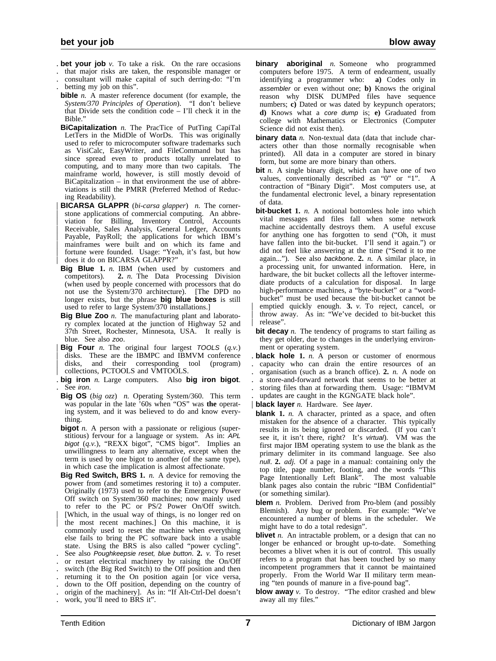- . **bet your job** *v.* To take a risk. On the rare occasions
- . that major risks are taken, the responsible manager or
- . consultant will make capital of such derring-do: "I'm . betting my job on this".
- **bible** *n.* A master reference document (for example, the *System/370 Principles of Operation*). "I don't believe that Divide sets the condition code – I'll check it in the Bible."
- **BiCapitalization** *n.* The PracTice of PutTing CapiTal LetTers in the MidDle of WorDs. This was originally used to refer to microcomputer software trademarks such as VisiCalc, EasyWriter, and FileCommand but has since spread even to products totally unrelated to computing, and to many more than two capitals. The mainframe world, however, is still mostly devoid of BiCapitalization – in that environment the use of abbreviations is still the PMRR (Preferred Method of Reducing Readability).
- | **BICARSA GLAPPR** (*bi-carsa glapper*) *n.* The corner stone applications of commercial computing. An abbreviation for Billing, Inventory Control, Accounts Receivable, Sales Analysis, General Ledger, Accounts Payable, PayRoll; the applications for which IBM's mainframes were built and on which its fame and fortune were founded. Usage: "Yeah, it's fast, but how does it do on BICARSA GLAPPR?"
- **Big Blue 1.** *n.* IBM (when used by customers and competitors). **2.** *n.* The Data Processing Division (when used by people concerned with processors that do not use the System/370 architecture). [The DPD no longer exists, but the phrase **big blue boxes** is still used to refer to large System/370 installations.]
- **Big Blue Zoo** *n.* The manufacturing plant and laboratory complex located at the junction of Highway 52 and 37th Street, Rochester, Minnesota, USA. It really is blue. See also zoo.
- | **Big Four** *n.* The original four largest TOOLS (*q.v.*) disks. These are the IBMPC and IBMVM conference disks, and their corresponding tool (program) collections, PCTOOLS and VMTOOLS.
- . **big iron** *n.* Large computers. Also **big iron bigot**. . See iron.
- **Big OS** (*big ozz*) *n.* Operating System/360. This term was popular in the late '60s when "OS" was **the** operating system, and it was believed to do and know everything.
- **bigot** *n*. A person with a passionate or religious (superstitious) fervour for a language or system. As in: APL bigot (*q.v.*), "REXX bigot", "CMS bigot". Implies an unwillingness to learn any alternative, except when the term is used by one bigot to another (of the same type), in which case the implication is almost affectionate.

**Big Red Switch, BRS 1.** *n.* A device for removing the power from (and sometimes restoring it to) a computer. Originally (1973) used to refer to the Emergency Power Off switch on System/360 machines; now mainly used to refer to the PC or PS/2 Power On/Off switch. | [Which, in the usual way of things, is no longer red on the most recent machines.] On this machine, it is commonly used to reset the machine when everything else fails to bring the PC software back into a usable state. Using the BRS is also called "power cycling". . See also Poughkeepsie reset, blue button. **2.** *v.* To reset . or restart electrical machinery by raising the On/Off . switch (the Big Red Switch) to the Off position and then . returning it to the On position again [or vice versa, . down to the Off position, depending on the country of . origin of the machinery]. As in: "If Alt-Ctrl-Del doesn't

. work, you'll need to BRS it".

- **binary aboriginal** *n.* Someone who programmed computers before 1975. A term of endearment, usually identifying a programmer who: **a)** Codes only in assembler or even without one; **b)** Knows the original reason why DISK DUMPed files have sequence numbers; c) Dated or was dated by keypunch operators; **d)** Knows what a core dump is; **e)** Graduated from college with Mathematics or Electronics (Computer Science did not exist then).
- **binary data** *n*. Non-textual data (data that include characters other than those normally recognisable when printed). All data in a computer are stored in binary form, but some are more binary than others.
- **bit** *n*. A single binary digit, which can have one of two values, conventionally described as "0" or "1". A contraction of "Binary Digit". Most computers use, at the fundamental electronic level, a binary representation of data.
- **bit-bucket 1.** *n.* A notional bottomless hole into which vital messages and files fall when some network machine accidentally destroys them. A useful excuse for anything one has forgotten to send ("Oh, it must have fallen into the bit-bucket. I'll send it again.") or did not feel like answering at the time ("Send it to me again..."). See also backbone. **2.** *n.* A similar place, in a processing unit, for unwanted information. Here, in hardware, the bit bucket collects all the leftover intermediate products of a calculation for disposal. In large high-performance machines, a "byte-bucket" or a "wordbucket" must be used because the bit-bucket cannot be | emptied quickly enough. **3.** *v.* To reject, cancel, or throw away. As in: "We've decided to bit-bucket this release".
- **bit decay** *n*. The tendency of programs to start failing as they get older, due to changes in the underlying environment or operating system.
- . **black hole 1.** *n.* A person or customer of enormous . capacity who can drain the entire resources of an . organisation (such as a branch office). **2.** *n.* A node on
- . a store-and-forward network that seems to be better at
- . storing files than at forwarding them. Usage: "IBMVM . updates are caught in the KGNGATE black hole".
- 
- **black layer** *n.* Hardware. See layer.
- **blank 1.** *n.* A character, printed as a space, and often mistaken for the absence of a character. This typically results in its being ignored or discarded. (If you can't see it, it isn't there, right? It's virtual). VM was the first major IBM operating system to use the blank as the primary delimiter in its command language. See also null. **2.** *adj.* Of a page in a manual: containing only the top title, page number, footing, and the words "This Page Intentionally Left Blank". The most valuable blank pages also contain the rubric "IBM Confidential" (or something similar).
- **blem** *n*. Problem. Derived from Pro-blem (and possibly Blemish). Any bug or problem. For example: "We've encountered a number of blems in the scheduler. We might have to do a total redesign".
- **blivet** *n*. An intractable problem, or a design that can no longer be enhanced or brought up-to-date. Something becomes a blivet when it is out of control. This usually refers to a program that has been touched by so many incompetent programmers that it cannot be maintained properly. From the World War II military term meaning "ten pounds of manure in a five-pound bag".
- **blow away** *v*. To destroy. "The editor crashed and blew away all my files."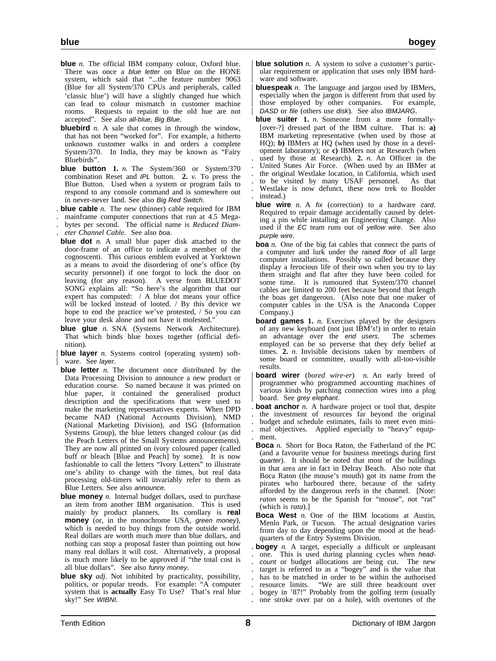- **blue** *n*. The official IBM company colour, Oxford blue. There was once a blue letter on Blue on the HONE system, which said that "...the feature number 9063 (Blue for all System/370 CPUs and peripherals, called 'classic blue') will have a slightly changed hue which can lead to colour mismatch in customer machine rooms. Requests to repaint to the old hue are not
- accepted". See also all-blue, Big Blue. **bluebird** *n*. A sale that comes in through the window, that has not been "worked for". For example, a hitherto unknown customer walks in and orders a complete System/370. In India, they may be known as "Fairy Bluebirds".
- **blue button 1.** *n.* The System/360 or System/370 combination Reset and IPL button. **2.** *v.* To press the Blue Button. Used when a system or program fails to respond to any console command and is somewhere out in never-never land. See also Big Red Switch.
- . **blue cable** *n.* The new (thinner) cable required for IBM
- . mainframe computer connections that run at 4.5 Mega-
- . bytes per second. The official name is *Reduced Diam-*
- . *eter Channel Cable*. See also boa.
- **blue dot** *n*. A small blue paper disk attached to the door-frame of an office to indicate a member of the cognoscenti. This curious emblem evolved at Yorktown as a means to avoid the disordering of one's office (by security personnel) if one forgot to lock the door on leaving (for any reason). A verse from BLUEDOT SONG explains all: "So here's the algorithm that our expert has computed: / A blue dot means your office will be locked instead of looted. / By this device we hope to end the practice we've protested, / So you can leave your desk alone and not have it molested."
- **blue glue** *n*. SNA (Systems Network Architecture). That which binds blue boxes together (official definition).
- **blue layer** *n*. Systems control (operating system) software. See layer.
- **blue letter** *n*. The document once distributed by the Data Processing Division to announce a new product or education course. So named because it was printed on blue paper, it contained the generalised product description and the specifications that were used to make the marketing representatives experts. When DPD became NAD (National Accounts Division), NMD (National Marketing Division), and ISG (Information Systems Group), the blue letters changed colour (as did the Peach Letters of the Small Systems announcements). They are now all printed on ivory coloured paper (called buff or bleach [Blue and Peach] by some). It is now fashionable to call the letters "Ivory Letters" to illustrate one's ability to change with the times, but real data processing old-timers will invariably refer to them as Blue Letters. See also announce.
- **blue money** *n*. Internal budget dollars, used to purchase an item from another IBM organisation. This is used mainly by product planners. Its corollary is **real money** (or, in the monochrome USA, green money), which is needed to buy things from the outside world. Real dollars are worth much more than blue dollars, and nothing can stop a proposal faster than pointing out how many real dollars it will cost. Alternatively, a proposal is much more likely to be approved if "the total cost is all blue dollars". See also funny money.
- **blue sky** *adj.* Not inhibited by practicality, possibility, politics, or popular trends. For example: "A computer system that is **actually** Easy To Use? That's real blue sky!" See WIBNI.
- **blue solution** *n*. A system to solve a customer's particular requirement or application that uses only IBM hardware and software.
- **bluespeak** *n*. The language and jargon used by IBMers, especially when the jargon is different from that used by those employed by other companies. For example, DASD or file (others use disk). See also IBMJARG.
- **blue suiter 1.** *n.* Someone from a more formally- [over-?] dressed part of the IBM culture. That is: **a)** IBM marketing representative (when used by those at HQ); **b)** IBMers at HQ (when used by those in a development laboratory); or **c)** IBMers not at Research (when used by those at Research). 2. *n*. An Officer in the . United States Air Force. (When used by an IBMer at the original Westlake location, in California, which used . to be visited by many USAF personnel. As that . Westlake is now defunct, these now trek to Boulder . instead.)
- **blue wire** *n.* A fix (correction) to a hardware card. Required to repair damage accidentally caused by deleting a pin while installing an Engineering Change. Also used if the EC team runs out of yellow wire. See also purple wire.
- **boa** *n*. One of the big fat cables that connect the parts of a computer and lurk under the raised floor of all large computer installations. Possibly so called because they display a ferocious life of their own when you try to lay them straight and flat after they have been coiled for some time. It is rumoured that System/370 channel cables are limited to 200 feet because beyond that length the boas get dangerous. (Also note that one maker of computer cables in the USA is the Anaconda Copper Company.)
- **board games 1.** *n.* Exercises played by the designers of any new keyboard (not just IBM's!) in order to retain an advantage over the end users. The schemes employed can be so perverse that they defy belief at times. **2.** *n.* Invisible decisions taken by members of some board or committee, usually with all-too-visible results.
- | **board wirer** (*bored wire-er*) *n.* An early breed of | programmer who programmed accounting machines of various kinds by patching connection wires into a plug board. See grey elephant.
- **boat anchor** *n*. A hardware project or tool that, despite . the investment of resources far beyond the original
- . budget and schedule estimates, fails to meet even mini- . mal objectives. Applied especially to "heavy" equip- . ment.
- **Boca** *n.* Short for Boca Raton, the Fatherland of the PC (and a favourite venue for business meetings during first quarter). It should be noted that most of the buildings in that area are in fact in Delray Beach. Also note that Boca Raton (the mouse's mouth) got its name from the pirates who harboured there, because of the safety afforded by the dangerous reefs in the channel. [Note: *raton* seems to be the Spanish for "mouse", not "rat" (which is *rata*).]
- **Boca West** *n.* One of the IBM locations at Austin, Menlo Park, or Tucson. The actual designation varies from day to day depending upon the mood at the headquarters of the Entry Systems Division.
- . **bogey** *n.* A target, especially a difficult or unpleasant one. This is used during planning cycles when head-. count or budget allocations are being cut. The new . target is referred to as a "bogey" and is the value that . has to be matched in order to be within the authorised . resource limits. "We are still three headcount over . bogey in '87!" Probably from the golfing term (usually . one stroke over par on a hole), with overtones of the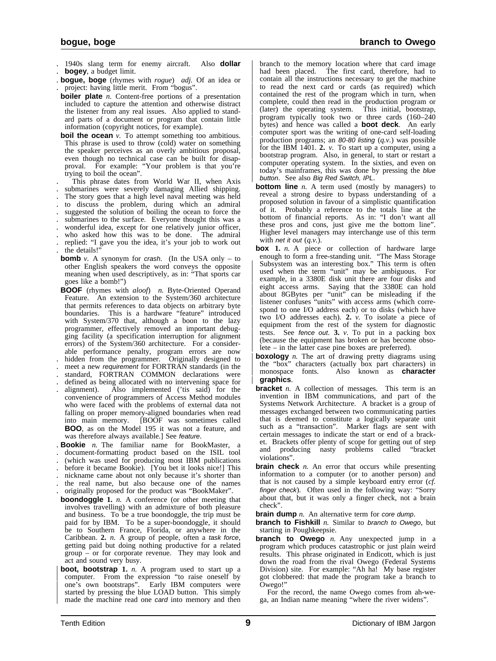. 1940s slang term for enemy aircraft. Also **dollar bogey**, a budget limit.

- . **bogue, boge** (rhymes with *rogue*) *adj.* Of an idea or . project: having little merit. From "bogus".
- **boiler plate** *n*. Content-free portions of a presentation included to capture the attention and otherwise distract the listener from any real issues. Also applied to standard parts of a document or program that contain little information (copyright notices, for example).
- **boil the ocean** *v*. To attempt something too ambitious. This phrase is used to throw (cold) water on something the speaker perceives as an overly ambitious proposal, even though no technical case can be built for disapproval. For example: "Your problem is that you're trying to boil the ocean".
- . This phrase dates from World War II, when Axis . submarines were severely damaging Allied shipping. . The story goes that a high level naval meeting was held . to discuss the problem, during which an admiral . suggested the solution of boiling the ocean to force the submarines to the surface. Everyone thought this was a
- . wonderful idea, except for one relatively junior officer,
- . who asked how this was to be done. The admiral
- . replied: "I gave you the idea, it's your job to work out
- . the details!"
- **bomb**  $v$ . A synonym for crash. (In the USA only to other English speakers the word conveys the opposite meaning when used descriptively, as in: "That sports car goes like a bomb!")
- **BOOF** (rhymes with *aloof*) *n.* Byte-Oriented Operand Feature. An extension to the System/360 architecture that permits references to data objects on arbitrary byte boundaries. This is a hardware "feature" introduced with System/370 that, although a boon to the lazy programmer, effectively removed an important debugging facility (a specification interruption for alignment errors) of the System/360 architecture. For a considerable performance penalty, program errors are now . hidden from the programmer. Originally designed to
- meet a new requirement for FORTRAN standards (in the . standard, FORTRAN COMMON declarations were
- 
- defined as being allocated with no intervening space for alignment). Also implemented ('tis said) for the Also implemented ('tis said) for the convenience of programmers of Access Method modules who were faced with the problems of external data not falling on proper memory-aligned boundaries when read into main memory. [BOOF was sometimes called **BOO**, as on the Model 195 it was not a feature, and was therefore always available.] See feature.
- . **Bookie** *n.* The familiar name for BookMaster, a
- . document-formatting product based on the ISIL tool
- . (which was used for producing most IBM publications
- . before it became Bookie). [You bet it looks nice!] This
- . nickname came about not only because it's shorter than
- . the real name, but also because one of the names . originally proposed for the product was "BookMaker".
- **boondoggle 1.** *n.* A conference (or other meeting that involves travelling) with an admixture of both pleasure and business. To be a true boondoggle, the trip must be paid for by IBM. To be a super-boondoggle, it should be to Southern France, Florida, or anywhere in the Caribbean. **2.** *n.* A group of people, often a task force, getting paid but doing nothing productive for a related group – or for corporate revenue. They may look and act and sound very busy.
- | **boot, bootstrap 1.** *n.* A program used to start up a | computer. From the expression "to raise oneself by | one's own bootstraps". Early IBM computers were started by pressing the blue LOAD button. This simply made the machine read one *card* into memory and then

| branch to the memory location where that card image had been placed. The first card, therefore, had to | contain all the instructions necessary to get the machine to read the next card or cards (as required) which contained the rest of the program which in turn, when complete, could then read in the production program or (later) the operating system. This initial, bootstrap, | program typically took two or three cards (160–240 | bytes) and hence was called a **boot deck**. An early | computer sport was the writing of one-card self-loading | production programs; an 80-80 listing (*q.v.*) was possible | for the IBM 1401. **2.** *v.* To start up a computer, using a bootstrap program. Also, in general, to start or restart a | computer operating system. In the sixties, and even on today's mainframes, this was done by pressing the blue button. See also Big Red Switch, IPL.

- **bottom line** *n*. A term used (mostly by managers) to reveal a strong desire to bypass understanding of a proposed solution in favour of a simplistic quantification of it. Probably a reference to the totals line at the bottom of financial reports. As in: "I don't want all these pros and cons, just give me the bottom line". Higher level managers may interchange use of this term with net it out (*q.v.*).
- **box 1.** *n.* A piece or collection of hardware large enough to form a free-standing unit. "The Mass Storage | Subsystem was an interesting box." This term is often used when the term "unit" may be ambiguous. For example, in a 3380E disk unit there are four disks and | eight access arms. Saying that the 3380E can hold | about 8GBytes per "unit" can be misleading if the listener confuses "units" with access arms (which correspond to one I/O address each) or to disks (which have | two I/O addresses each). **2.** *v.* To isolate a piece of equipment from the rest of the system for diagnostic | tests. See fence out. **3.** *v.* To put in a packing box | (because the equipment has broken or has become obso  $let$  – in the latter case pine boxes are preferred).
- | **boxology** *n.* The art of drawing pretty diagrams using | the "box" characters (actually box part characters) in | monospace fonts. Also known as **character** | **graphics**.
- **bracket** *n*. A collection of messages. This term is an invention in IBM communications, and part of the Systems Network Architecture. A bracket is a group of messages exchanged between two communicating parties that is deemed to constitute a logically separate unit such as a "transaction". Marker flags are sent with certain messages to indicate the start or end of a bracket. Brackets offer plenty of scope for getting out of step and producing nasty problems called "bracket" and producing nasty problems called violations".
- **brain check** *n*. An error that occurs while presenting information to a computer (or to another person) and that is not caused by a simple keyboard entry error (*cf.* finger check). Often used in the following way: "Sorry about that, but it was only a finger check, not a brain check".
- **brain dump** *n*. An alternative term for core dump.
- **branch to Fishkill** *n.* Similar to *branch* to Owego, but starting in Poughkeepsie.
- **branch to Owego** *n.* Any unexpected jump in a program which produces catastrophic or just plain weird results. This phrase originated in Endicott, which is just down the road from the rival Owego (Federal Systems Division) site. For example: "Ah ha! My base register got clobbered: that made the program take a branch to Owego!"
- For the record, the name Owego comes from ah-wega, an Indian name meaning "where the river widens".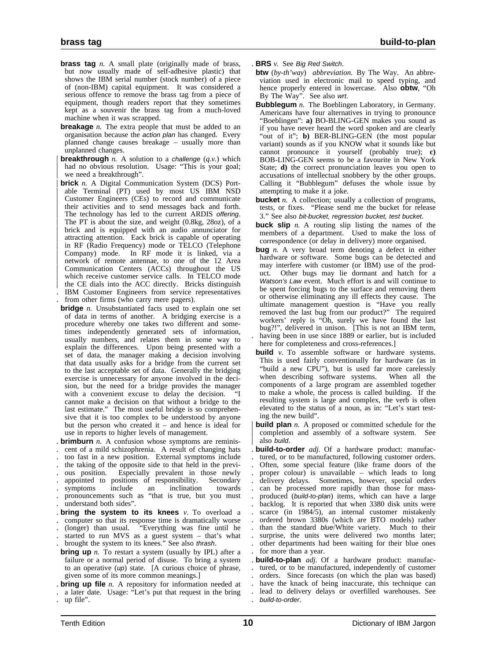- **brass tag** *n*. A small plate (originally made of brass, but now usually made of self-adhesive plastic) that shows the IBM serial number (stock number) of a piece of (non-IBM) capital equipment. It was considered a serious offence to remove the brass tag from a piece of equipment, though readers report that they sometimes kept as a souvenir the brass tag from a much-loved machine when it was scrapped.
- **breakage** *n*. The extra people that must be added to an organisation because the action plan has changed. Every planned change causes breakage – usually more than unplanned changes.
- **breakthrough** *n*. A solution to a *challenge*  $(q, v)$  which had no obvious resolution. Usage: "This is your goal; we need a breakthrough".
- **brick** *n.* A Digital Communication System (DCS) Portable Terminal (PT) used by most US IBM NSD | Customer Engineers (CEs) to record and communicate their activities and to send messages back and forth. The technology has led to the current ARDIS offering. | The PT is about the size, and weight (0.8kg, 28oz), of a brick and is equipped with an audio annunciator for attracting attention. Eack brick is capable of operating in RF (Radio Frequency) mode or TELCO (Telephone | Company) mode. In RF mode it is linked, via a network of remote antennae, to one of the 12 Area | Communication Centers (ACCs) throughout the US which receive customer service calls. In TELCO mode the CE dials into the ACC directly. Bricks distinguish . IBM Customer Engineers from service representatives
- . from other firms (who carry mere pagers).
- **bridge** *n*. Unsubstantiated facts used to explain one set of data in terms of another. A bridging exercise is a procedure whereby one takes two different and sometimes independently generated sets of information, usually numbers, and relates them in some way to explain the differences. Upon being presented with a set of data, the manager making a decision involving that data usually asks for a bridge from the current set to the last acceptable set of data. Generally the bridging exercise is unnecessary for anyone involved in the decision, but the need for a bridge provides the manager with a convenient excuse to delay the decision. "I cannot make a decision on that without a bridge to the last estimate." The most useful bridge is so comprehensive that it is too complex to be understood by anyone but the person who created it – and hence is ideal for use in reports to higher levels of management.
- . **brimburn** *n.* A confusion whose symptoms are reminis- . cent of a mild schizophrenia. A result of changing hats
- . too fast in a new position. External symptoms include
- . the taking of the opposite side to that held in the previ-
- . ous position. Especially prevalent in those newly
- . appointed to positions of responsibility. Secondary
- . symptoms include an inclination towards . pronouncements such as "that is true, but you must
- . understand both sides".
- . **bring the system to its knees** *v.* To overload a
- . computer so that its response time is dramatically worse . (longer) than usual. "Everything was fine until he
- started to run MVS as a guest system that's what
- brought the system to its knees." See also thrash.
- **bring up** *n*. To restart a system (usually by IPL) after a failure or a normal period of disuse. To bring a system to an operative  $(up)$  state. [A curious choice of phrase, given some of its more common meanings.]

. **bring up file** *n.* A repository for information needed at . a later date. Usage: "Let's put that request in the bring

- . **BRS** *v.* See Big Red Switch.
- **btw** (*by-th'way*) *abbreviation.* By The Way. An abbreviation used in electronic mail to speed typing, and hence properly entered in lowercase. Also **obtw**, "Oh By The Way". See also wrt.
- **Bubblegum** *n*. The Boeblingen Laboratory, in Germany. Americans have four alternatives in trying to pronounce "Boeblingen": **a)** BO-BLING-GEN makes you sound as if you have never heard the word spoken and are clearly "out of it"; **b)** BER-BLING-GEN (the most popular variant) sounds as if you KNOW what it sounds like but cannot pronounce it yourself (probably true); **c)** BOB-LING-GEN seems to be a favourite in New York State; **d)** the correct pronunciation leaves you open to accusations of intellectual snobbery by the other groups. Calling it "Bubblegum" defuses the whole issue by attempting to make it a joke.
- **bucket** *n*. A collection; usually a collection of programs, tests, or fixes. "Please send me the bucket for release 3." See also bit-bucket, regression bucket, test bucket.
- **buck slip** *n.* A routing slip listing the names of the members of a department. Used to make the loss of correspondence (or delay in delivery) more organised.
- **bug** *n*. A very broad term denoting a defect in either hardware or software. Some bugs can be detected and may interfere with customer (or IBM) use of the product. Other bugs may lie dormant and hatch for a Watson's Law event. Much effort is and will continue to be spent forcing bugs to the surface and removing them or otherwise eliminating any ill effects they cause. The ultimate management question is "Have you really removed the last bug from our product?" The required workers' reply is "Oh, surely we have found the last bug?!", delivered in unison. [This is not an IBM term, having been in use since 1889 or earlier, but is included here for completeness and cross-references.]
- **build** *v*. To assemble software or hardware systems. This is used fairly conventionally for hardware (as in "build a new CPU"), but is used far more carelessly when describing software systems. When all the components of a large program are assembled together to make a whole, the process is called building. If the resulting system is large and complex, the verb is often elevated to the status of a noun, as in: "Let's start testing the new build".

**build plan** *n*. A proposed or committed schedule for the completion and assembly of a software system. See also build.

. **build-to-order** *adj.* Of a hardware product: manufac- . tured, or to be manufactured, following customer orders. . Often, some special feature (like frame doors of the proper colour) is unavailable – which leads to long . delivery delays. Sometimes, however, special orders . can be processed more rapidly than those for mass produced (build-to-plan) items, which can have a large backlog. It is reported that when 3380 disk units were scarce (in 1984/5), an internal customer mistakenly . ordered brown 3380s (which are BTO models) rather than the standard blue/White variety. Much to their surprise, the units were delivered two months later; . other departments had been waiting for their blue ones for more than a year.

. **build-to-plan** *adj.* Of a hardware product: manufac- . tured, or to be manufactured, independently of customer . orders. Since forecasts (on which the plan was based) . have the knack of being inaccurate, this technique can . lead to delivery delays or overfilled warehouses. See . build-to-order.

<sup>.</sup> up file".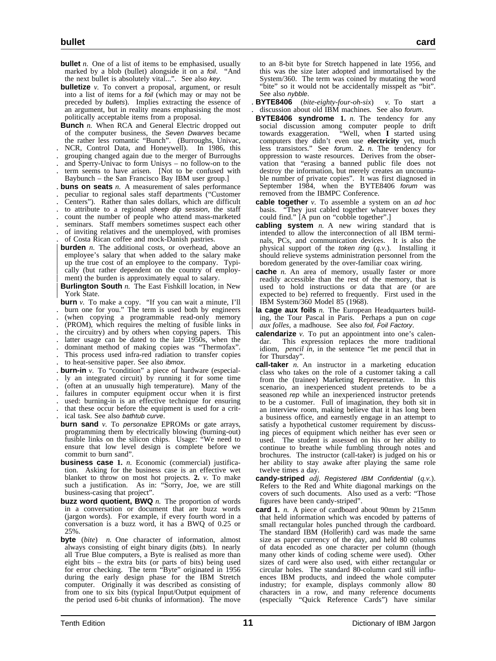- **bullet** *n*. One of a list of items to be emphasised, usually marked by a blob (bullet) alongside it on a foil. "And the next bullet is absolutely vital...". See also key.
- **bulletize** *v*. To convert a proposal, argument, or result into a list of items for a foil (which may or may not be preceded by bullets). Implies extracting the essence of an argument, but in reality means emphasising the most politically acceptable items from a proposal.
- **Bunch** *n*. When RCA and General Electric dropped out of the computer business, the Seven Dwarves became the rather less romantic "Bunch". (Burroughs, Univac,
- . NCR, Control Data, and Honeywell). In 1986, this
- . grouping changed again due to the merger of Burroughs
- . and Sperry-Univac to form Unisys no follow-on to the . term seems to have arisen. [Not to be confused with
- Baybunch the San Francisco Bay IBM user group.]
- . **buns on seats** *n.* A measurement of sales performance
- . peculiar to regional sales staff departments ("Customer
- . Centers"). Rather than sales dollars, which are difficult
- to attribute to a regional sheep dip session, the staff
- . count the number of people who attend mass-marketed
- seminars. Staff members sometimes suspect each other of inviting relatives and the unemployed, with promises of Costa Rican coffee and mock-Danish pastries.
- 
- **burden** *n*. The additional costs, or overhead, above an employee's salary that when added to the salary make up the true cost of an employee to the company. Typically (but rather dependent on the country of employment) the burden is approximately equal to salary.
- **Burlington South** *n*. The East Fishkill location, in New | York State.
- **burn** *v*. To make a copy. "If you can wait a minute, I'll burn one for you." The term is used both by engineers . (when copying a programmable read-only memory . (PROM), which requires the melting of fusible links in . the circuitry) and by others when copying papers. This . latter usage can be dated to the late 1950s, when the . dominant method of making copies was "Thermofax". . This process used infra-red radiation to transfer copies . to heat-sensitive paper. See also ibmox.
- . **burn-in** *v.* To "condition" a piece of hardware (especial-
- . ly an integrated circuit) by running it for some time . (often at an unusually high temperature). Many of the
- failures in computer equipment occur when it is first
- used: burning-in is an effective technique for ensuring
- . that these occur before the equipment is used for a crit-
- ical task. See also bathtub curve.
- **burn sand** *v*. To *personalize* EPROMs or gate arrays, programming them by electrically blowing (burning-out) fusible links on the silicon chips. Usage: "We need to ensure that low level design is complete before we commit to burn sand".
- **business case 1.** *n.* Economic (commercial) justification. Asking for the business case is an effective wet blanket to throw on most hot projects. **2.** *v.* To make such a justification. As in: "Sorry, Joe, we are still business-casing that project".
- **buzz word quotient, BWQ** *n.* The proportion of words in a conversation or document that are buzz words (jargon words). For example, if every fourth word in a conversation is a buzz word, it has a BWQ of 0.25 or 25%.
- **byte** (*bite*) *n.* One character of information, almost always consisting of eight binary digits (bits). In nearly all True Blue computers, a Byte is realised as more than eight bits – the extra bits (or parts of bits) being used for error checking. The term "Byte" originated in 1956 during the early design phase for the IBM Stretch computer. Originally it was described as consisting of from one to six bits (typical Input/Output equipment of the period used 6-bit chunks of information). The move

to an 8-bit byte for Stretch happened in late 1956, and this was the size later adopted and immortalised by the System/360. The term was coined by mutating the word "bite" so it would not be accidentally misspelt as "bit". See also nybble.

- . **BYTE8406** (*bite-eighty-four-oh-six*) *v.* To start a . discussion about old IBM machines. See also forum.
- **BYTE8406 syndrome 1.** *n.* The tendency for any social discussion among computer people to drift towards exaggeration. "Well, when **I** started using computers they didn't even use **electricity** yet, much less transistors." See forum. **2.** *n.* The tendency for oppression to waste resources. Derives from the observation that "erasing a banned public file does not destroy the information, but merely creates an uncountable number of private copies". It was first diagnosed in September 1984, when the BYTE8406 forum was removed from the IBMPC Conference.
- **cable together** *v.* To assemble a system on an *ad hoc* basis. "They just cabled together whatever boxes they could find." [A pun on "cobble together".]
- **cabling system** *n.* A new wiring standard that is intended to allow the interconnection of all IBM terminals, PCs, and communication devices. It is also the physical support of the token ring (*q.v.*). Installing it should relieve systems administration personnel from the boredom generated by the over-familiar coax wiring.
- **cache** *n*. An area of memory, usually faster or more readily accessible than the rest of the memory, that is used to hold instructions or data that are (or are expected to be) referred to frequently. First used in the | IBM System/360 Model 85 (1968).
- la cage aux foils *n*. The European Headquarters building, the Tour Pascal in Paris. Perhaps a pun on *cage* aux folles, a madhouse. See also foil, Foil Factory.
- **calendarize** *v.* To put an appointment into one's calendar. This expression replaces the more traditional idiom, *pencil in*, in the sentence "let me pencil that in for Thursday".
- **call-taker** *n.* An instructor in a marketing education class who takes on the role of a customer taking a call from the (trainee) Marketing Representative. In this scenario, an inexperienced student pretends to be a seasoned rep while an inexperienced instructor pretends to be a customer. Full of imagination, they both sit in an interview room, making believe that it has long been a business office, and earnestly engage in an attempt to satisfy a hypothetical customer requirement by discussing pieces of equipment which neither has ever seen or used. The student is assessed on his or her ability to continue to breathe while fumbling through notes and brochures. The instructor (call-taker) is judged on his or her ability to stay awake after playing the same role twelve times a day.
- **candy-striped** *adj.* Registered IBM Confidential (*q.v.*). Refers to the Red and White diagonal markings on the covers of such documents. Also used as a verb: "Those figures have been candy-striped".
- **card 1.** *n.* A piece of cardboard about 90mm by 215mm that held information which was encoded by patterns of small rectangular holes punched through the cardboard. The standard IBM (Hollerith) card was made the same size as paper currency of the day, and held 80 columns of data encoded as one character per column (though many other kinds of coding scheme were used). Other sizes of card were also used, with either rectangular or circular holes. The standard 80-column card still influences IBM products, and indeed the whole computer industry; for example, displays commonly allow 80 characters in a row, and many reference documents (especially "Quick Reference Cards") have similar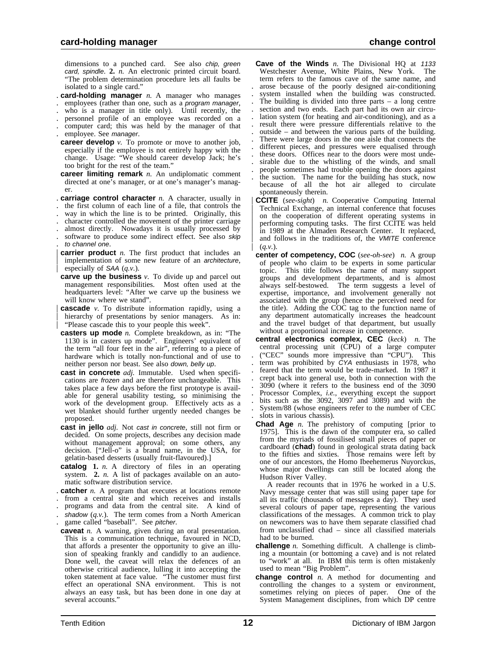dimensions to a punched card. See also chip, green card, spindle. **2.** *n.* An electronic printed circuit board. "The problem determination procedure lets all faults be isolated to a single card."

- . **card-holding manager** *n.* A manager who manages
- . employees (rather than one, such as a program manager,
- . who is a manager in title only). Until recently, the
- . personnel profile of an employee was recorded on a
- . computer card; this was held by the manager of that
- employee. See manager.
- **career develop** *v*. To promote or move to another job, especially if the employee is not entirely happy with the change. Usage: "We should career develop Jack; he's too bright for the rest of the team."
- **career limiting remark** *n*. An undiplomatic comment directed at one's manager, or at one's manager's manager.
- . **carriage control character** *n.* A character, usually in
- . the first column of each line of a file, that controls the
- . way in which the line is to be printed. Originally, this
- . character controlled the movement of the printer carriage
- . almost directly. Nowadays it is usually processed by
- . software to produce some indirect effect. See also skip . to channel one.
- **carrier product** *n*. The first product that includes an implementation of some new feature of an architecture, especially of SAA (*q.v.*).
- **carve up the business** *v.* To divide up and parcel out management responsibilities. Most often used at the headquarters level: "After we carve up the business we will know where we stand".
- **cascade** *v*. To distribute information rapidly, using a hierarchy of presentations by senior managers. As in: | "Please cascade this to your people this week".
- **casters up mode** *n.* Complete breakdown, as in: "The 1130 is in casters up mode". Engineers' equivalent of the term "all four feet in the air", referring to a piece of hardware which is totally non-functional and of use to neither person nor beast. See also down, belly up.
- **cast in concrete** *adj.* Immutable. Used when specifications are frozen and are therefore unchangeable. This takes place a few days before the first prototype is available for general usability testing, so minimising the work of the development group. Effectively acts as a wet blanket should further urgently needed changes be proposed.
- **cast in jello** *adj.* Not cast in concrete, still not firm or decided. On some projects, describes any decision made without management approval; on some others, any decision. ["Jell-o" is a brand name, in the USA, for gelatin-based desserts (usually fruit-flavoured).]
- **catalog 1.** *n.* A directory of files in an operating system. **2.** *n.* A list of packages available on an automatic software distribution service.
- . **catcher** *n.* A program that executes at locations remote
- . from a central site and which receives and installs
- . programs and data from the central site. A kind of
- shadow (q.v.). The term comes from a North American game called "baseball". See pitcher.
- **caveat** *n.* A warning, given during an oral presentation. This is a communication technique, favoured in NCD, that affords a presenter the opportunity to give an illusion of speaking frankly and candidly to an audience. Done well, the caveat will relax the defences of an otherwise critical audience, lulling it into accepting the token statement at face value. "The customer must first effect an operational SNA environment. This is not always an easy task, but has been done in one day at several accounts.'
- **Cave of the Winds** *n*. The Divisional HQ at 1133 Westchester Avenue, White Plains, New York. The term refers to the famous cave of the same name, and . arose because of the poorly designed air-conditioning system installed when the building was constructed. The building is divided into three parts  $-$  a long centre section and two ends. Each part had its own air circu-. lation system (for heating and air-conditioning), and as a . result there were pressure differentials relative to the . outside – and between the various parts of the building. . There were large doors in the one aisle that connects the . different pieces, and pressures were equalised through these doors. Offices near to the doors were most unde-. sirable due to the whistling of the winds, and small . people sometimes had trouble opening the doors against . the suction. The name for the building has stuck, now because of all the hot air alleged to circulate spontaneously therein.
- | **CCITE** (*see-sight*) *n.* Cooperative Computing Internal | Technical Exchange, an internal conference that focuses on the cooperation of different operating systems in performing computing tasks. The first CCITE was held in 1989 at the Almaden Research Center. It replaced, and follows in the traditions of, the VMITE conference  $(a,y.$ ).
- **center of competency, COC** (*see-oh-see*) *n.* A group of people who claim to be experts in some particular topic. This title follows the name of many support groups and development departments, and is almost always self-bestowed. The term suggests a level of expertise, importance, and involvement generally not associated with the group (hence the perceived need for the title). Adding the COC tag to the function name of any department automatically increases the headcount and the travel budget of that department, but usually without a proportional increase in competence.
- **central electronics complex, CEC** (*keck*) *n.* The central processing unit (CPU) of a large computer . ("CEC" sounds more impressive than "CPU"). This term was prohibited by CYA enthusiasts in 1978, who . feared that the term would be trade-marked. In 1987 it . crept back into general use, both in connection with the . 3090 (where it refers to the business end of the 3090 . Processor Complex, *i.e.*, everything except the support . bits such as the 3092, 3097 and 3089) and with the . System/88 (whose engineers refer to the number of CEC . slots in various chassis).
- **Chad Age** *n.* The prehistory of computing [prior to 1975]. This is the dawn of the computer era, so called from the myriads of fossilised small pieces of paper or cardboard (**chad**) found in geological strata dating back to the fifties and sixties. Those remains were left by one of our ancestors, the Homo Ibeehemerus Nuyorckus, whose major dwellings can still be located along the Hudson River Valley.

A reader recounts that in 1976 he worked in a U.S. Navy message center that was still using paper tape for all its traffic (thousands of messages a day). They used several colours of paper tape, representing the various classifications of the messages. A common trick to play on newcomers was to have them separate classified chad from unclassified chad – since all classified materials had to be burned.

- **challenge** *n.* Something difficult. A challenge is climbing a mountain (or bottoming a cave) and is not related to "work" at all. In IBM this term is often mistakenly used to mean "Big Problem".
- **change control** *n.* A method for documenting and controlling the changes to a system or environment, sometimes relying on pieces of paper. One of the System Management disciplines, from which DP centre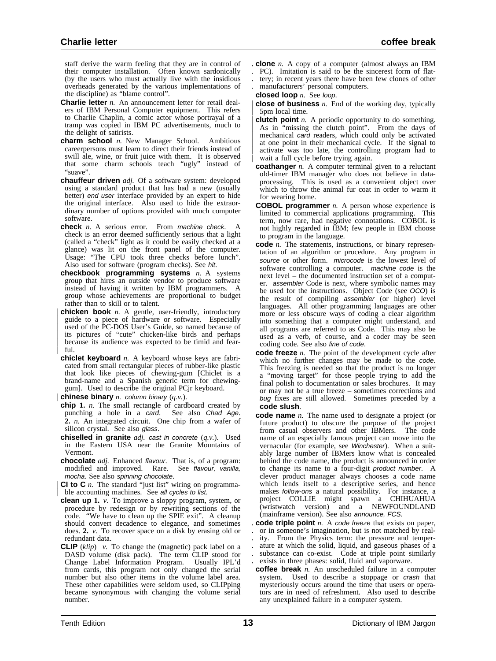staff derive the warm feeling that they are in control of their computer installation. Often known sardonically (by the users who must actually live with the insidious overheads generated by the various implementations of the discipline) as "blame control".

- **Charlie letter** *n*. An announcement letter for retail dealers of IBM Personal Computer equipment. This refers to Charlie Chaplin, a comic actor whose portrayal of a tramp was copied in IBM PC advertisements, much to the delight of satirists.
- **charm school** *n.* New Manager School. Ambitious careerpersons must learn to direct their friends instead of swill ale, wine, or fruit juice with them. It is observed that some charm schools teach "ugly" instead of "suave".
- **chauffeur driven** *adj.* Of a software system: developed using a standard product that has had a new (usually better) end user interface provided by an expert to hide the original interface. Also used to hide the extraordinary number of options provided with much computer software.
- **check** *n.* A serious error. From *machine check*. check is an error deemed sufficiently serious that a light (called a "check" light as it could be easily checked at a glance) was lit on the front panel of the computer. Usage: "The CPU took three checks before lunch". Also used for software (program checks). See hit.
- **checkbook programming systems** *n.* A systems group that hires an outside vendor to produce software instead of having it written by IBM programmers. A group whose achievements are proportional to budget rather than to skill or to talent.
- | **chicken book** *n.* A gentle, user-friendly, introductory guide to a piece of hardware or software. Especially used of the PC-DOS User's Guide, so named because of its pictures of "cute" chicken-like birds and perhaps because its audience was expected to be timid and fearful.
- **chiclet keyboard** *n.* A keyboard whose keys are fabricated from small rectangular pieces of rubber-like plastic that look like pieces of chewing-gum [Chiclet is a brand-name and a Spanish generic term for chewinggum]. Used to describe the original PCjr keyboard.
- | **chinese binary** *n.* column binary (*q.v.*).
- **chip 1.** *n*. The small rectangle of cardboard created by punching a hole in a card. See also Chad Age. punching a hole in a card. **2.** *n.* An integrated circuit. One chip from a wafer of silicon crystal. See also glass.
- **chiselled in granite** *adj.* cast in concrete (*q.v.*). Used in the Eastern USA near the Granite Mountains of Vermont.
- **chocolate** *adj.* Enhanced flavour. That is, of a program: modified and improved. Rare. See flavour, vanilla, mocha. See also spinning chocolate.
- | **CI to C** *n.* The standard "just list" wiring on programma ble accounting machines. See all cycles to list.
- **clean up 1.** *v.* To improve a sloppy program, system, or procedure by redesign or by rewriting sections of the code. "We have to clean up the SPIE exit". A cleanup should convert decadence to elegance, and sometimes does. **2.** *v.* To recover space on a disk by erasing old or redundant data.
- **CLIP** (*klip*) *v.* To change the (magnetic) pack label on a DASD volume (disk pack). The term CLIP stood for Change Label Information Program. Usually IPL'd from cards, this program not only changed the serial number but also other items in the volume label area. These other capabilities were seldom used, so CLIPping became synonymous with changing the volume serial number.
- . **clone** *n.* A copy of a computer (almost always an IBM
- . PC). Imitation is said to be the sincerest form of flat-
- . tery; in recent years there have been few clones of other . manufacturers' personal computers.
- 
- **closed loop** *n.* See loop.
- **close of business** *n*. End of the working day, typically | 5pm local time.
- **clutch point** *n*. A periodic opportunity to do something. As in "missing the clutch point". From the days of mechanical *card* readers, which could only be activated at one point in their mechanical cycle. If the signal to activate was too late, the controlling program had to wait a full cycle before trying again.
- **coathanger** *n.* A computer terminal given to a reluctant old-timer IBM manager who does not believe in dataprocessing. This is used as a convenient object over which to throw the animal fur coat in order to warm it for wearing home.
- **COBOL programmer** *n.* A person whose experience is limited to commercial applications programming. This term, now rare, had negative connotations. COBOL is not highly regarded in IBM; few people in IBM choose to program in the language.
- **code** *n*. The statements, instructions, or binary representation of an algorithm or procedure. Any program in source or other form. microcode is the lowest level of software controlling a computer. machine code is the next level – the documented instruction set of a computer. assembler Code is next, where symbolic names may be used for the instructions. Object Code (see OCO) is the result of compiling assembler (or higher) level languages. All other programming languages are other more or less obscure ways of coding a clear algorithm into something that a computer might understand, and all programs are referred to as Code. This may also be used as a verb, of course, and a coder may be seen coding code. See also line of code.
- **code freeze** *n.* The point of the development cycle after which no further changes may be made to the code. This freezing is needed so that the product is no longer a "moving target" for those people trying to add the final polish to documentation or sales brochures. It may or may not be a true freeze – sometimes corrections and bug fixes are still allowed. Sometimes preceded by a **code slush**.
- **code name** *n.* The name used to designate a project (or future product) to obscure the purpose of the project from casual observers and other IBMers. The code name of an especially famous project can move into the vernacular (for example, see Winchester). When a suitably large number of IBMers know what is concealed behind the code name, the product is announced in order to change its name to a four-digit product number. A clever product manager always chooses a code name which lends itself to a descriptive series, and hence makes follow-ons a natural possibility. For instance, a project COLLIE might spawn a CHIHUAHUA (wristwatch version) and a NEWFOUNDLAND (mainframe version). See also announce, FCS.
- . **code triple point** *n.* A code freeze that exists on paper, . or in someone's imagination, but is not matched by real-
- ity. From the Physics term: the pressure and temper-
- . ature at which the solid, liquid, and gaseous phases of a
- substance can co-exist. Code at triple point similarly
- . exists in three phases: solid, fluid and vaporware.
- **coffee break** *n*. An unscheduled failure in a computer system. Used to describe a stoppage or *crash* that Used to describe a stoppage or crash that mysteriously occurs around the time that users or operators are in need of refreshment. Also used to describe any unexplained failure in a computer system.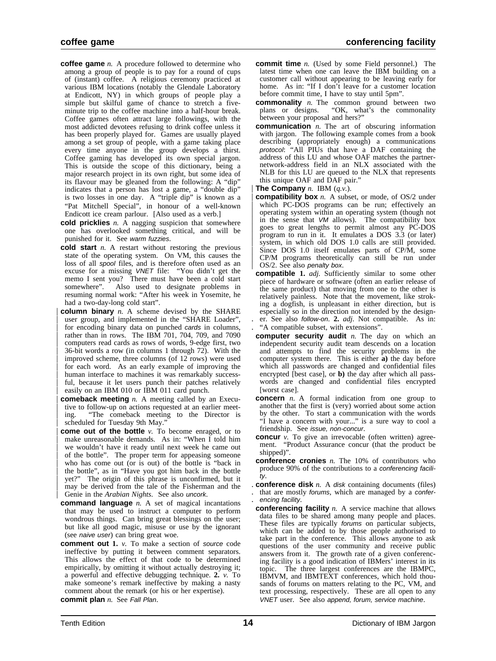- **coffee game** *n.* A procedure followed to determine who among a group of people is to pay for a round of cups of (instant) coffee. A religious ceremony practiced at various IBM locations (notably the Glendale Laboratory at Endicott, NY) in which groups of people play a simple but skilful game of chance to stretch a fiveminute trip to the coffee machine into a half-hour break. Coffee games often attract large followings, with the most addicted devotees refusing to drink coffee unless it has been properly played for. Games are usually played among a set group of people, with a game taking place every time anyone in the group develops a thirst. Coffee gaming has developed its own special jargon. This is outside the scope of this dictionary, being a major research project in its own right, but some idea of its flavour may be gleaned from the following: A "dip" indicates that a person has lost a game, a "double dip" is two losses in one day. A "triple dip" is known as a "Pat Mitchell Special", in honour of a well-known Endicott ice cream parlour. [Also used as a verb.]
- **cold pricklies** *n.* A nagging suspicion that somewhere one has overlooked something critical, and will be punished for it. See warm fuzzies.
- **cold start** *n.* A restart without restoring the previous state of the operating system. On VM, this causes the loss of all spool files, and is therefore often used as an excuse for a missing VNET file: "You didn't get the memo I sent you? There must have been a cold start somewhere". Also used to designate problems in resuming normal work: "After his week in Yosemite, he had a two-day-long cold start".
- **column binary** *n.* A scheme devised by the SHARE user group, and implemented in the "SHARE Loader", for encoding binary data on punched cards in columns, rather than in rows. The IBM 701, 704, 709, and 7090 | computers read cards as rows of words, 9-edge first, two | 36-bit words a row (in columns 1 through 72). With the improved scheme, three columns (of 12 rows) were used for each word. As an early example of improving the human interface to machines it was remarkably successful, because it let users punch their patches relatively easily on an IBM 010 or IBM 011 card punch.
- **comeback meeting** *n*. A meeting called by an Executive to follow-up on actions requested at an earlier meeting. "The comeback meeting to the Director is scheduled for Tuesday 9th May.
- **come out of the bottle** *v*. To become enraged, or to make unreasonable demands. As in: "When  $\overline{I}$  told him we wouldn't have it ready until next week he came out of the bottle". The proper term for appeasing someone who has come out (or is out) of the bottle is "back in | the bottle", as in "Have you got him back in the bottle yet?" The origin of this phrase is unconfirmed, but it may be derived from the tale of the Fisherman and the | Genie in the *Arabian Nights*. See also uncork.
- **command language** *n.* A set of magical incantations that may be used to instruct a computer to perform wondrous things. Can bring great blessings on the user; but like all good magic, misuse or use by the ignorant (see naive user) can bring great woe.
- **comment out 1.** *v.* To make a section of source code ineffective by putting it between comment separators. This allows the effect of that code to be determined empirically, by omitting it without actually destroying it; a powerful and effective debugging technique. **2.** *v.* To make someone's remark ineffective by making a nasty comment about the remark (or his or her expertise). **commit plan** *n.* See Fall Plan.
- **coffee game** conferencing facility
	- **commit time** *n.* (Used by some Field personnel.) The latest time when one can leave the IBM building on a customer call without appearing to be leaving early for home. As in: "If I don't leave for a customer location before commit time, I have to stay until 5pm".
	- **commonality** *n*. The common ground between two plans or designs. "OK, what's the commonality "OK, what's the commonality between your proposal and hers?"
	- **communication** *n.* The art of obscuring information with jargon. The following example comes from a book describing (appropriately enough) a communications protocol: "All PIUs that have a DAF containing the address of this LU and whose OAF matches the partnernetwork-address field in an NLX associated with the NLB for this LU are queued to the NLX that represents this unique OAF and DAF pair.'
	- **The Company**  $n$ . IBM  $(q.v.)$ .
	- | **compatibility box** *n.* A subset, or mode, of OS/2 under which PC-DOS programs can be run; effectively an | operating system within an operating system (though not in the sense that VM allows). The compatibility box | goes to great lengths to permit almost any PC-DOS | program to run in it. It emulates a DOS 3.3 (or later) | system, in which old DOS 1.0 calls are still provided. | Since DOS 1.0 itself emulates parts of CP/M, some | CP/M programs theoretically can still be run under OS/2. See also penalty box.
	- **compatible 1.** *adj.* Sufficiently similar to some other piece of hardware or software (often an earlier release of the same product) that moving from one to the other is relatively painless. Note that the movement, like stroking a dogfish, is unpleasant in either direction, but is especially so in the direction not intended by the design- . er. See also follow-on. **2.** *adj.* Not compatible. As in: . "A compatible subset, with extensions".
	- **computer security audit** *n.* The day on which an independent security audit team descends on a location and attempts to find the security problems in the computer system there. This is either **a)** the day before which all passwords are changed and confidential files encrypted [best case], or **b)** the day after which all passwords are changed and confidential files encrypted [worst case].
	- **concern** *n.* A formal indication from one group to another that the first is (very) worried about some action by the other. To start a communication with the words "I have a concern with your..." is a sure way to cool a friendship. See issue, non-concur.
	- **concur** *v*. To give an irrevocable (often written) agreement. "Product Assurance concur (that the product be shipped)".
	- **conference cronies** *n.* The 10% of contributors who produce 90% of the contributions to a conferencing facility.
	- . **conference disk** *n.* A disk containing documents (files) that are mostly forums, which are managed by a confer-. encing facility.
	- **conferencing facility** *n.* A service machine that allows data files to be shared among many people and places. These files are typically forums on particular subjects, which can be added to by those people authorised to take part in the conference. This allows anyone to ask questions of the user community and receive public answers from it. The growth rate of a given conferencing facility is a good indication of IBMers' interest in its topic. The three largest conferences are the IBMPC, IBMVM, and IBMTEXT conferences, which hold thousands of forums on matters relating to the PC, VM, and text processing, respectively. These are all open to any VNET user. See also append, forum, service machine.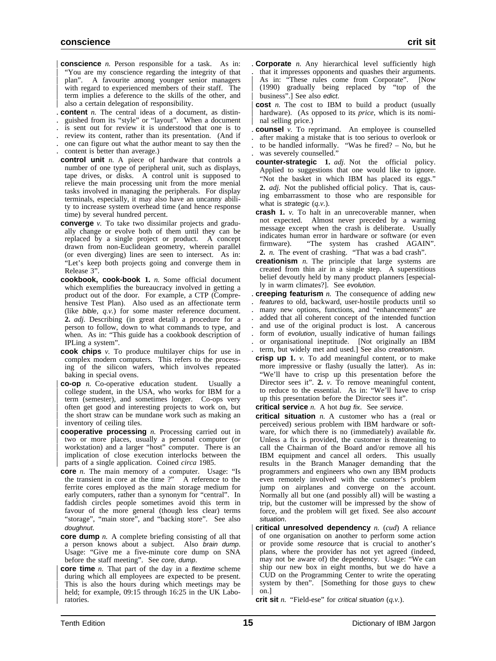- **conscience** *n*. Person responsible for a task. As in: "You are my conscience regarding the integrity of that plan". A favourite among younger senior managers with regard to experienced members of their staff. The | term implies a deference to the skills of the other, and also a certain delegation of responsibility.
- . **content** *n.* The central ideas of a document, as distin-
- . guished from its "style" or "layout". When a document
- . is sent out for review it is understood that one is to
- . review its content, rather than its presentation. (And if . one can figure out what the author meant to say then the
- . content is better than average.)
- **control unit** *n.* A piece of hardware that controls a number of one type of peripheral unit, such as displays, tape drives, or disks. A control unit is supposed to relieve the main processing unit from the more menial tasks involved in managing the peripherals. For display terminals, especially, it may also have an uncanny ability to increase system overhead time (and hence response time) by several hundred percent.
- **converge** *v*. To take two dissimilar projects and gradually change or evolve both of them until they can be replaced by a single project or product. A concept drawn from non-Euclidean geometry, wherein parallel (or even diverging) lines are seen to intersect. As in: "Let's keep both projects going and converge them in Release 3".
- **cookbook, cook-book 1.** *n.* Some official document which exemplifies the bureaucracy involved in getting a product out of the door. For example, a CTP (Comprehensive Test Plan). Also used as an affectionate term (like bible, *q.v.*) for some master reference document. **2.** *adj.* Describing (in great detail) a procedure for a person to follow, down to what commands to type, and when. As in: "This guide has a cookbook description of IPLing a system".
- **cook chips** *v.* To produce multilayer chips for use in complex modern computers. This refers to the processing of the silicon wafers, which involves repeated baking in special ovens.
- | **co-op** *n.* Co-operative education student. Usually a | college student, in the USA, who works for IBM for a term (semester), and sometimes longer. Co-ops very | often get good and interesting projects to work on, but | the short straw can be mundane work such as making an inventory of ceiling tiles.
- **cooperative processing** *n*. Processing carried out in two or more places, usually a personal computer (or workstation) and a larger "host" computer. There is an implication of close execution interlocks between the | parts of a single application. Coined *circa* 1985.
- **core** *n*. The main memory of a computer. Usage: "Is the transient in core at the time  $?$ " A reference to the ferrite cores employed as the main storage medium for early computers, rather than a synonym for "central". In faddish circles people sometimes avoid this term in favour of the more general (though less clear) terms "storage", "main store", and "backing store". See also doughnut.
- **core dump** *n.* A complete briefing consisting of all that a person knows about a subject. Also brain dump. Usage: "Give me a five-minute core dump on SNA before the staff meeting". See core, dump.
- **core time** *n*. That part of the day in a *flextime* scheme during which all employees are expected to be present. This is also the hours during which meetings may be held; for example, 09:15 through 16:25 in the UK Laboratories.
- **Corporate** *n*. Any hierarchical level sufficiently high . that it impresses opponents and quashes their arguments. As in: "These rules come from Corporate". [Now | (1990) gradually being replaced by "top of the business".] See also edict.
- **cost** *n*. The cost to IBM to build a product (usually hardware). (As opposed to its *price*, which is its nominal selling price.)
- **counsel** *v*. To reprimand. An employee is counselled
- . after making a mistake that is too serious to overlook or to be handled informally. "Was he fired? - No, but he
- was severely counselled."
- **counter-strategic 1.** *adj.* Not the official policy. Applied to suggestions that one would like to ignore. "Not the basket in which IBM has placed its eggs." **2.** *adj.* Not the published official policy. That is, causing embarrassment to those who are responsible for what is strategic (*q.v.*).
- **crash 1.** *v.* To halt in an unrecoverable manner, when not expected. Almost never preceded by a warning message except when the crash is deliberate. Usually indicates human error in hardware or software (or even firmware). "The system has crashed AGAIN". **2.** *n.* The event of crashing. "That was a bad crash".
- **creationism** *n*. The principle that large systems are created from thin air in a single step. A superstitious belief devoutly held by many product planners [especially in warm climates?]. See evolution.
- . **creeping featurism** *n.* The consequence of adding new . features to old, backward, user-hostile products until so . many new options, functions, and "enhancements" are . added that all coherent concept of the intended function . and use of the original product is lost. A cancerous form of evolution, usually indicative of human failings . or organisational ineptitude. [Not originally an IBM
- . term, but widely met and used.] See also creationism.
- **crisp up 1.** *v.* To add meaningful content, or to make more impressive or flashy (usually the latter). As in: "We'll have to crisp up this presentation before the Director sees it". **2.** *v.* To remove meaningful content, to reduce to the essential. As in: "We'll have to crisp up this presentation before the Director sees it".
- **critical service** *n.* A hot bug fix. See service.
- **critical situation** *n.* A customer who has a (real or perceived) serious problem with IBM hardware or software, for which there is no (immediately) available fix. Unless a fix is provided, the customer is threatening to call the Chairman of the Board and/or remove all his IBM equipment and cancel all orders. This usually results in the Branch Manager demanding that the programmers and engineers who own any IBM products even remotely involved with the customer's problem jump on airplanes and converge on the account. Normally all but one (and possibly all) will be wasting a trip, but the customer will be impressed by the show of force, and the problem will get fixed. See also account situation.
- | **critical unresolved dependency** *n.* (*cud*) A reliance of one organisation on another to perform some action or provide some resource that is crucial to another's plans, where the provider has not yet agreed (indeed, may not be aware of) the dependency. Usage: "We can ship our new box in eight months, but we do have a | CUD on the Programming Center to write the operating system by then". [Something for those guys to chew | on.]
- **crit sit** *n.* "Field-ese" for critical situation (*q.v.*).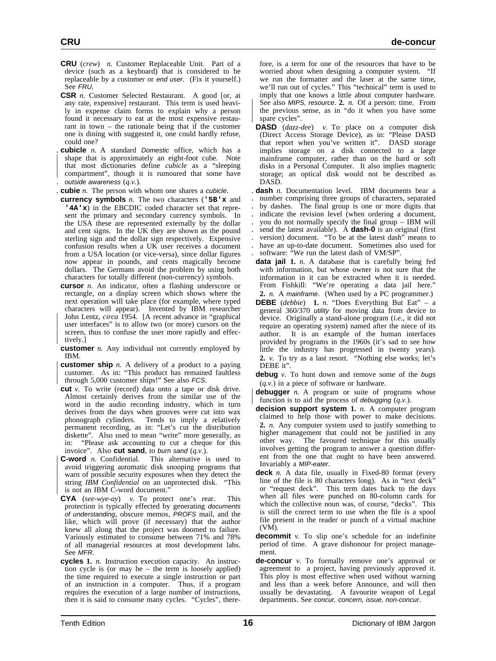- **CRU** (*crew*) *n.* Customer Replaceable Unit. Part of a device (such as a keyboard) that is considered to be replaceable by a customer or end user. (Fix it yourself.) See FRU.
- **CSR** *n.* Customer Selected Restaurant. A good [or, at any rate, expensive] restaurant. This term is used heavily in expense claim forms to explain why a person found it necessary to eat at the most expensive restaurant in town – the rationale being that if the customer one is dining with suggested it, one could hardly refuse, could one?
- cubicle *n.* A standard Domestic office, which has a shape that is approximately an eight-foot cube. Note | that most dictionaries define *cubicle* as a "sleeping compartment", though it is rumoured that some have . outside awareness (*q.v.*).
- . **cubie** *n.* The person with whom one shares a cubicle.
- **currency symbols** *n.* The two characters (**'5B'x** and **'4A'x**) in the EBCDIC coded character set that represent the primary and secondary currency symbols. In the USA these are represented externally by the dollar and cent signs. In the UK they are shown as the pound sterling sign and the dollar sign respectively. Expensive confusion results when a UK user receives a document from a USA location (or vice-versa), since dollar figures now appear in pounds, and cents magically become dollars. The Germans avoid the problem by using both characters for totally different (non-currency) symbols.
- **cursor** *n.* An indicator, often a flashing underscore or rectangle, on a display screen which shows where the next operation will take place (for example, where typed characters will appear). Invented by IBM researcher | John Lentz, *circa* 1954. [A recent advance in "graphical user interfaces" is to allow two (or more) cursors on the screen, thus to confuse the user more rapidly and effectively.]
- **customer** *n*. Any individual not currently employed by IBM.
- **customer ship** *n*. A delivery of a product to a paying customer. As in: "This product has remained faultless | through 5,000 customer ships!" See also FCS.
- **cut** *v.* To write (record) data onto a tape or disk drive. Almost certainly derives from the similar use of the word in the audio recording industry, which in turn derives from the days when grooves were cut into wax phonograph cylinders. Tends to imply a relatively permanent recording, as in: "Let's cut the distribution diskette". Also used to mean "write" more generally, as in: "Please ask accounting to cut a cheque for this invoice". Also **cut sand**, to burn sand (*q.v.*).
- **C-word** *n.* Confidential. This alternative is used to | avoid triggering automatic disk snooping programs that warn of possible security exposures when they detect the string *IBM Confidential* on an unprotected disk. "This is not an IBM C-word document.'
- **CYA** (*see-wye-ay*) *v.* To protect one's rear. This protection is typically effected by generating documents of understanding, obscure memos, PROFS mail, and the like, which will prove (if necessary) that the author knew all along that the project was doomed to failure. Variously estimated to consume between 71% and 78% of all managerial resources at most development labs. See MFR.
- **cycles 1.** *n.* Instruction execution capacity. An instruction cycle is (or may be – the term is loosely applied) the time required to execute a single instruction or part of an instruction in a computer. Thus, if a program requires the execution of a large number of instructions, then it is said to consume many cycles. "Cycles", there-

fore, is a term for one of the resources that have to be worried about when designing a computer system. "If we run the formatter and the laser at the same time, we'll run out of cycles." This "technical" term is used to imply that one knows a little about computer hardware. See also *MIPS*, *resource*. 2. *n*. Of a person: time. From the previous sense, as in "do it when you have some spare cycles".

- **DASD** (*dazz-dee*) *v.* To place on a computer disk (Direct Access Storage Device), as in: "Please DASD that report when you've written it". DASD storage implies storage on a disk connected to a large mainframe computer, rather than on the hard or soft disks in a Personal Computer. It also implies magnetic storage; an optical disk would not be described as DASD.
- . **dash** *n.* Documentation level. IBM documents bear a . number comprising three groups of characters, separated . by dashes. The final group is one or more digits that . indicate the revision level (when ordering a document, . you do not normally specify the final group – IBM will send the latest available). A **dash-0** is an original (first . version) document. "To be at the latest dash" means to . have an up-to-date document. Sometimes also used for software: "We run the latest dash of VM/SP".
- **data jail 1.** *n.* A database that is carefully being fed with information, but whose owner is not sure that the information in it can be extracted when it is needed. From Fishkill: "We're operating a data jail here." **2.** *n.* A mainframe. (When used by a PC programmer.)
- **DEBE** (*debbie*) **1.** *n.* "Does Everything But Eat" a general 360/370 utility for moving data from device to device. Originally a stand-alone program (*i.e.*, it did not require an operating system) named after the niece of its author. It is an example of the human interfaces provided by programs in the 1960s (it's sad to see how little the industry has progressed in twenty years). **2.** *v.* To try as a last resort. "Nothing else works; let's DEBE it".
- **debug** *v.* To hunt down and remove some of the bugs (*q.v.*) in a piece of software or hardware.
- **debugger** *n.* A program or suite of programs whose function is to aid the process of *debugging*  $(q.v.)$ .
- **decision support system 1.** *n.* A computer program claimed to help those with power to make decisions. **2.** *n.* Any computer system used to justify something to higher management that could not be justified in any other way. The favoured technique for this usually involves getting the program to answer a question different from the one that ought to have been answered. Invariably a MIP-eater.
- **deck** *n.* A data file, usually in Fixed-80 format (every line of the file is 80 characters long). As in "text deck" or "request deck". This term dates back to the days when all files were punched on 80-column cards for which the collective noun was, of course, "decks". This is still the correct term to use when the file is a spool file present in the reader or punch of a virtual machine (VM).
- **decommit** *v.* To slip one's schedule for an indefinite period of time. A grave dishonour for project management.
- **de-concur** *v.* To formally remove one's approval or agreement to a project, having previously approved it. This ploy is most effective when used without warning and less than a week before Announce, and will then usually be devastating. A favourite weapon of Legal departments. See concur, concern, issue, non-concur.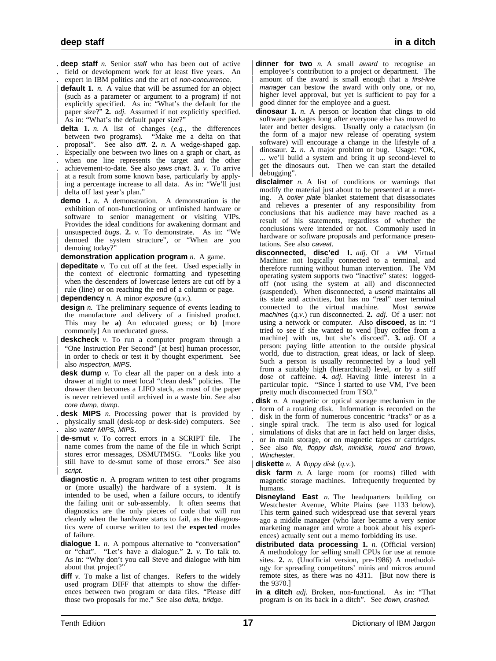- . **deep staff** *n.* Senior staff who has been out of active . field or development work for at least five years. An
- . expert in IBM politics and the art of non-concurrence.
- **default** 1. *n*. A value that will be assumed for an object | (such as a parameter or argument to a program) if not explicitly specified. As in: "What's the default for the | paper size?" **2.** *adj.* Assumed if not explicitly specified. As in: "What's the default paper size?"

**delta 1.** *n.* A list of changes (*e.g.*, the differences between two programs). "Make me a delta on that . proposal". See also diff. **2.** *n.* A wedge-shaped gap.

- . Especially one between two lines on a graph or chart, as
- when one line represents the target and the other
- . achievement-to-date. See also jaws chart. **3.** *v.* To arrive at a result from some known base, particularly by applying a percentage increase to all data. As in: "We'll just delta off last year's plan."
- **demo 1.** *n.* A demonstration. A demonstration is the exhibition of non-functioning or unfinished hardware or software to senior management or visiting VIPs. Provides the ideal conditions for awakening dormant and unsuspected bugs. 2. *v*. To demonstrate. As in: "We | demoed the system structure", or "When are you demoing today?"

**demonstration application program** *n.* A game.

- **depeditate** *v*. To cut off at the feet. Used especially in the context of electronic formatting and typesetting when the descenders of lowercase letters are cut off by a rule (line) or on reaching the end of a column or page.
- | **dependency** *n.* A minor exposure (*q.v.*).
- **design** *n*. The preliminary sequence of events leading to the manufacture and delivery of a finished product. This may be **a)** An educated guess; or **b)** [more commonly] An uneducated guess.
- | **deskcheck** *v.* To run a computer program through a "One Instruction Per Second" [at best] human processor, in order to check or test it by thought experiment. See also inspection, MIPS.
- **desk dump** *v*. To clear all the paper on a desk into a drawer at night to meet local "clean desk" policies. The drawer then becomes a LIFO stack, as most of the paper is never retrieved until archived in a waste bin. See also core dump, dump.
- . **desk MIPS** *n.* Processing power that is provided by . physically small (desk-top or desk-side) computers. See also water MIPS, MIPS.
- | **de-smut** *v.* To correct errors in a SCRIPT file. The name comes from the name of the file in which Script stores error messages, DSMUTMSG. "Looks like you still have to de-smut some of those errors." See also script.
- **diagnostic** *n*. A program written to test other programs or (more usually) the hardware of a system. It is intended to be used, when a failure occurs, to identify the failing unit or sub-assembly. It often seems that diagnostics are the only pieces of code that will run cleanly when the hardware starts to fail, as the diagnostics were of course written to test the **expected** modes of failure.
- **dialogue 1.** *n.* A pompous alternative to "conversation" or "chat". "Let's have a dialogue." **2.** *v.* To talk to. As in: "Why don't you call Steve and dialogue with him about that project?"
- **diff**  $v$ . To make a list of changes. Refers to the widely used program DIFF that attempts to show the differences between two program or data files. "Please diff those two proposals for me." See also delta, bridge.
- **dinner for two** *n*. A small award to recognise an employee's contribution to a project or department. The amount of the award is small enough that a first-line manager can bestow the award with only one, or no, higher level approval, but yet is sufficient to pay for a | good dinner for the employee and a guest.
- **dinosaur 1.** *n.* A person or location that clings to old software packages long after everyone else has moved to later and better designs. Usually only a cataclysm (in the form of a major new release of operating system software) will encourage a change in the lifestyle of a dinosaur. 2. *n.* A major problem or bug. Usage: "OK, ... we'll build a system and bring it up second-level to get the dinosaurs out. Then we can start the detailed debugging".
- **disclaimer** *n.* A list of conditions or warnings that modify the material just about to be presented at a meeting. A boiler plate blanket statement that disassociates and relieves a presenter of any responsibility from conclusions that his audience may have reached as a result of his statements, regardless of whether the conclusions were intended or not. Commonly used in hardware or software proposals and performance presentations. See also caveat.
- **disconnected, disc'ed 1.** *adj.* Of a VM Virtual Machine: not logically connected to a terminal, and therefore running without human intervention. The VM operating system supports two "inactive" states: loggedoff (not using the system at all) and disconnected (suspended). When disconnected, a userid maintains all its state and activities, but has no "real" user terminal connected to the virtual machine. machines (*q.v.*) run disconnected. **2.** *adj.* Of a user: not using a network or computer. Also **discoed**, as in: "I tried to see if she wanted to vend [buy coffee from a machine] with us, but she's discoed". **3.** *adj.* Of a person: paying little attention to the outside physical world, due to distraction, great ideas, or lack of sleep. Such a person is usually reconnected by a loud yell from a suitably high (hierarchical) level, or by a stiff dose of caffeine. **4.** *adj.* Having little interest in a particular topic. "Since I started to use VM, I've been pretty much disconnected from TSO."
- . **disk** *n.* A magnetic or optical storage mechanism in the . form of a rotating disk. Information is recorded on the . disk in the form of numerous concentric "tracks" or as a . single spiral track. The term is also used for logical simulations of disks that are in fact held on larger disks, . or in main storage, or on magnetic tapes or cartridges. See also file, floppy disk, minidisk, round and brown,
- . Winchester. | **diskette** *n.* A floppy disk (*q.v.*).
- **disk farm** *n.* A large room (or rooms) filled with magnetic storage machines. Infrequently frequented by humans.
- **Disneyland East** *n*. The headquarters building on Westchester Avenue, White Plains (see 1133 below). This term gained such widespread use that several years ago a middle manager (who later became a very senior marketing manager and wrote a book about his experiences) actually sent out a memo forbidding its use.
- **distributed data processing 1.** *n.* (Official version) A methodology for selling small CPUs for use at remote sites. 2. *n.* (Unofficial version, pre-1986) A methodology for spreading competitors' minis and micros around remote sites, as there was no 4311. [But now there is the 9370.]
- **in a ditch** *adj.* Broken, non-functional. As in: "That program is on its back in a ditch". See down, crashed.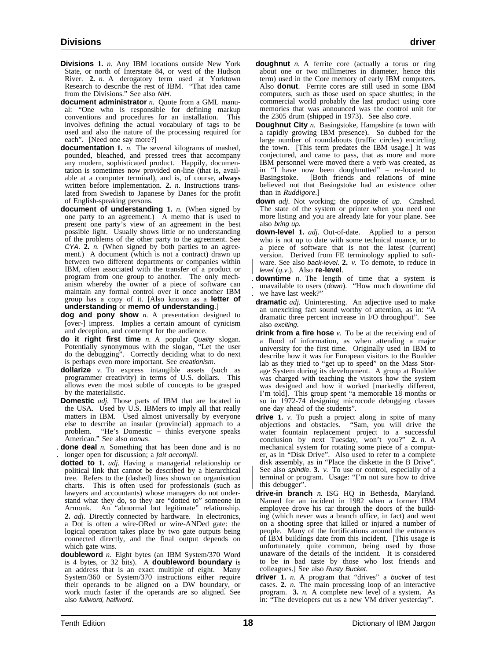- **Divisions 1.** *n.* Any IBM locations outside New York State, or north of Interstate 84, or west of the Hudson River. **2.** *n.* A derogatory term used at Yorktown Research to describe the rest of IBM. "That idea came from the Divisions." See also NIH.
- **document administrator** *n.* Quote from a GML manual: "One who is responsible for defining markup conventions and procedures for an installation. This involves defining the actual vocabulary of tags to be used and also the nature of the processing required for each". [Need one say more?]
- **documentation 1.** *n.* The several kilograms of mashed, pounded, bleached, and pressed trees that accompany any modern, sophisticated product. Happily, documentation is sometimes now provided on-line (that is, available at a computer terminal), and is, of course, **always** written before implementation. **2.** *n.* Instructions translated from Swedish to Japanese by Danes for the profit of English-speaking persons.
- **document of understanding 1.** *n.* (When signed by one party to an agreement.) A memo that is used to present one party's view of an agreement in the best possible light. Usually shows little or no understanding of the problems of the other party to the agreement. See CYA. **2.** *n.* (When signed by both parties to an agreement.) A document (which is not a contract) drawn up between two different departments or companies within IBM, often associated with the transfer of a product or program from one group to another. The only mechanism whereby the owner of a piece of software can maintain any formal control over it once another IBM group has a copy of it. [Also known as a **letter of understanding** or **memo of understanding**.]
- **dog and pony show** *n.* A presentation designed to [over-] impress. Implies a certain amount of cynicism and deception, and contempt for the audience.
- **do it right first time** *n.* A popular Quality slogan. Potentially synonymous with the slogan, "Let the user do the debugging". Correctly deciding what to do next is perhaps even more important. See creationism.
- **dollarize** *v.* To express intangible assets (such as programmer creativity) in terms of U.S. dollars. This allows even the most subtle of concepts to be grasped by the materialistic.
- **Domestic** *adj.* Those parts of IBM that are located in the USA. Used by U.S. IBMers to imply all that really matters in IBM. Used almost universally by everyone else to describe an insular (provincial) approach to a problem. "He's Domestic – thinks everyone speaks American." See also nonus.
- . **done deal** *n.* Something that has been done and is no . longer open for discussion; a *fait accompli*.
- **dotted to 1.** *adj.* Having a managerial relationship or political link that cannot be described by a hierarchical tree. Refers to the (dashed) lines shown on organisation charts. This is often used for professionals (such as lawyers and accountants) whose managers do not understand what they do, so they are "dotted to" someone in Armonk. An "abnormal but legitimate" relationship. **2.** *adj.* Directly connected by hardware. In electronics, a Dot is often a wire-ORed or wire-ANDed gate: the logical operation takes place by two gate outputs being connected directly, and the final output depends on which gate wins.
- **doubleword** *n.* Eight bytes (an IBM System/370 Word is 4 bytes, or 32 bits). A **doubleword boundary** is an address that is an exact multiple of eight. Many System/360 or System/370 instructions either require their operands to be aligned on a DW boundary, or work much faster if the operands are so aligned. See also fullword, halfword.
- **doughnut** *n.* A ferrite core (actually a torus or ring about one or two millimetres in diameter, hence this term) used in the Core memory of early IBM computers. Also **donut**. Ferrite cores are still used in some IBM computers, such as those used on space shuttles; in the commercial world probably the last product using core memories that was announced was the control unit for the 2305 drum (shipped in 1973). See also core.
- **Doughnut City** *n.* Basingstoke, Hampshire (a town with a rapidly growing IBM presence). So dubbed for the large number of roundabouts (traffic circles) encircling the town. [This term predates the IBM usage.] It was conjectured, and came to pass, that as more and more IBM personnel were moved there a verb was created, as in "I have now been doughnutted" – re-located to Basingstoke. [Both friends and relations of mine [Both friends and relations of mine believed not that Basingstoke had an existence other than in *Ruddigore*.]
- **down** *adj.* Not working; the opposite of up. Crashed. The state of the system or printer when you need one more listing and you are already late for your plane. See also bring up.
- **down-level 1.** *adj.* Out-of-date. Applied to a person who is not up to date with some technical nuance, or to a piece of software that is not the latest (current) version. Derived from FE terminology applied to soft- | ware. See also back-level. **2.** *v.* To demote, to reduce in | level (*q.v.*). Also **re-level**.
- . **downtime** *n.* The length of time that a system is . unavailable to users (down). "How much downtime did . we have last week?"
- **dramatic** *adj.* Uninteresting. An adjective used to make an unexciting fact sound worthy of attention, as in: "A dramatic three percent increase in I/O throughput". See also exciting.
- **drink from a fire hose** *v*. To be at the receiving end of a flood of information, as when attending a major university for the first time. Originally used in IBM to describe how it was for European visitors to the Boulder lab as they tried to "get up to speed" on the Mass Storage System during its development. A group at Boulder was charged with teaching the visitors how the system was designed and how it worked [markedly different, I'm told]. This group spent "a memorable 18 months or so in 1972-74 designing microcode debugging classes one day ahead of the students".
- **drive 1.** *v.* To push a project along in spite of many objections and obstacles. "Sam, you will drive the water fountain replacement project to a successful conclusion by next Tuesday, won't you?" **2.** *n.* A mechanical system for rotating some piece of a computer, as in "Disk Drive". Also used to refer to a complete disk assembly, as in "Place the diskette in the B Drive". See also *spindle*. 3. *v*. To use or control, especially of a | terminal or program. Usage: "I'm not sure how to drive this debugger".
- **drive-in branch** *n.* ISG HQ in Bethesda, Maryland. Named for an incident in 1982 when a former IBM employee drove his car through the doors of the building (which never was a branch office, in fact) and went on a shooting spree that killed or injured a number of people. Many of the fortifications around the entrances of IBM buildings date from this incident. [This usage is unfortunately quite common, being used by those unaware of the details of the incident. It is considered to be in bad taste by those who lost friends and colleagues.] See also Rusty Bucket.
- **driver 1.** *n.* A program that "drives" a bucket of test cases. **2.** *n.* The main processing loop of an interactive program. **3.** *n.* A complete new level of a system. As in: "The developers cut us a new VM driver yesterday".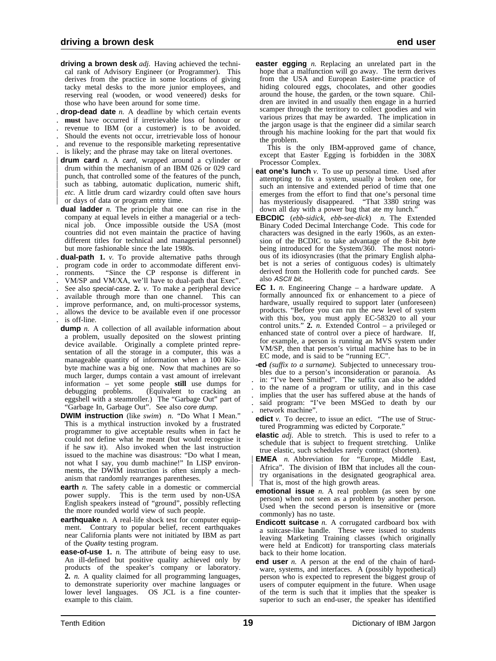- **driving a brown desk** *adj.* Having achieved the technical rank of Advisory Engineer (or Programmer). This derives from the practice in some locations of giving tacky metal desks to the more junior employees, and reserving real (wooden, or wood veneered) desks for those who have been around for some time.
- . **drop-dead date** *n.* A deadline by which certain events
- . **must** have occurred if irretrievable loss of honour or
- . revenue to IBM (or a customer) is to be avoided.
- . Should the events not occur, irretrievable loss of honour
- . and revenue to the responsible marketing representative is likely; and the phrase may take on literal overtones.
- **drum card** *n.* A card, wrapped around a cylinder or drum within the mechanism of an IBM 026 or 029 card punch, that controlled some of the features of the punch, such as tabbing, automatic duplication, numeric shift, etc. A little drum card wizardry could often save hours | or days of data or program entry time.
- **dual ladder** *n.* The principle that one can rise in the company at equal levels in either a managerial or a technical job. Once impossible outside the USA (most countries did not even maintain the practice of having different titles for technical and managerial personnel) but more fashionable since the late 1980s.
- . **dual-path 1.** *v.* To provide alternative paths through
- . program code in order to accommodate different envi-
- . ronments. "Since the CP response is different in
- . VM/SP and VM/XA, we'll have to dual-path that Exec". . See also special-case. **2.** *v.* To make a peripheral device
- . available through more than one channel. This can
- . improve performance, and, on multi-processor systems,
- . allows the device to be available even if one processor
- . is off-line.
- **dump** *n*. A collection of all available information about a problem, usually deposited on the slowest printing device available. Originally a complete printed representation of all the storage in a computer, this was a manageable quantity of information when a 100 Kilobyte machine was a big one. Now that machines are so much larger, dumps contain a vast amount of irrelevant information – yet some people **still** use dumps for debugging problems. (Equivalent to cracking an eggshell with a steamroller.) The "Garbage Out" part of "Garbage In, Garbage Out". See also core dump.
- **DWIM instruction** (like *swim*) *n.* "Do What I Mean." This is a mythical instruction invoked by a frustrated programmer to give acceptable results when in fact he could not define what he meant (but would recognise it if he saw it). Also invoked when the last instruction issued to the machine was disastrous: "Do what I mean, not what I say, you dumb machine!" In LISP environments, the DWIM instruction is often simply a mechanism that randomly rearranges parentheses.
- **earth** *n*. The safety cable in a domestic or commercial power supply. This is the term used by non-USA English speakers instead of "ground", possibly reflecting the more rounded world view of such people.
- **earthquake** *n*. A real-life shock test for computer equipment. Contrary to popular belief, recent earthquakes near California plants were not initiated by IBM as part of the Quality testing program.
- **ease-of-use 1.** *n.* The attribute of being easy to use. An ill-defined but positive quality achieved only by products of the speaker's company or laboratory. **2.** *n.* A quality claimed for all programming languages, to demonstrate superiority over machine languages or lower level languages. OS JCL is a fine counterexample to this claim.

**easter egging** *n.* Replacing an unrelated part in the hope that a malfunction will go away. The term derives from the USA and European Easter-time practice of hiding coloured eggs, chocolates, and other goodies around the house, the garden, or the town square. Children are invited in and usually then engage in a hurried scamper through the territory to collect goodies and win various prizes that may be awarded. The implication in the jargon usage is that the engineer did a similar search through his machine looking for the part that would fix the problem.

This is the only IBM-approved game of chance, except that Easter Egging is forbidden in the 308X Processor Complex.

- **eat one's lunch** *v*. To use up personal time. Used after attempting to fix a system, usually a broken one, for such an intensive and extended period of time that one | emerges from the effort to find that one's personal time has mysteriously disappeared. "That 3380 string was down all day with a power bug that ate my lunch.
- **EBCDIC** (*ebb-sidick, ebb-see-dick*) *n.* The Extended Binary Coded Decimal Interchange Code. This code for characters was designed in the early 1960s, as an extension of the  $BCDIC$  to take advantage of the 8-bit byte being introduced for the System/360. The most notorious of its idiosyncrasies (that the primary English alpha bet is not a series of contiguous codes) is ultimately derived from the Hollerith code for punched cards. See also ASCII bit.
- **EC 1.** *n.* Engineering Change a hardware update. A formally announced fix or enhancement to a piece of hardware, usually required to support later (unforeseen) products. "Before you can run the new level of system with this box, you must apply EC-58320 to all your control units." **2.** *n.* Extended Control – a privileged or enhanced state of control over a piece of hardware. If, for example, a person is running an MVS system under VM/SP, then that person's virtual machine has to be in EC mode, and is said to be "running EC".
- **-ed** *(suffix to a surname).* Subjected to unnecessary troubles due to a person's inconsideration or paranoia. As . in: "I've been Smithed". The suffix can also be added . to the name of a program or utility, and in this case . implies that the user has suffered abuse at the hands of . said program: "I've been MSGed to death by our . network machine".
- **edict** *v*. To decree, to issue an edict. "The use of Structured Programming was edicted by Corporate."
- **elastic** *adj.* Able to stretch. This is used to refer to a schedule that is subject to frequent stretching. Unlike true elastic, such schedules rarely contract (shorten).
- | **EMEA** *n.* Abbreviation for "Europe, Middle East, Africa". The division of IBM that includes all the country organisations in the designated geographical area. That is, most of the high growth areas.
- **emotional issue** *n*. A real problem (as seen by one person) when not seen as a problem by another person. Used when the second person is insensitive or (more commonly) has no taste.
- **Endicott suitcase** *n.* A corrugated cardboard box with a suitcase-like handle. These were issued to students leaving Marketing Training classes (which originally were held at Endicott) for transporting class materials back to their home location.
- **end user** *n.* A person at the end of the chain of hardware, systems, and interfaces. A (possibly hypothetical) person who is expected to represent the biggest group of users of computer equipment in the future. When usage of the term is such that it implies that the speaker is superior to such an end-user, the speaker has identified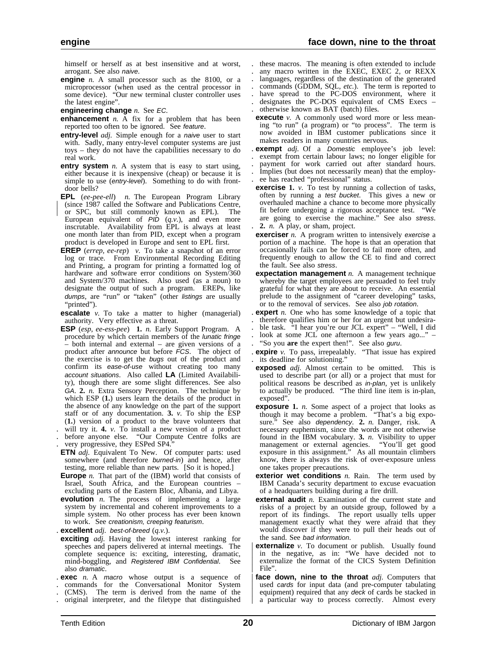himself or herself as at best insensitive and at worst, arrogant. See also naive.

- **engine** *n*. A small processor such as the 8100, or a microprocessor (when used as the central processor in some device). "Our new terminal cluster controller uses the latest engine".
- **engineering change** *n.* See EC.
- **enhancement** *n.* A fix for a problem that has been reported too often to be ignored. See feature.
- **entry-level** *adj.* Simple enough for a naive user to start with. Sadly, many entry-level computer systems are just toys – they do not have the capabilities necessary to do real work.
- **entry system** *n.* A system that is easy to start using, either because it is inexpensive (cheap) or because it is simple to use (entry-level). Something to do with frontdoor bells?
- **EPL** (*ee-pee-ell*) *n.* The European Program Library | (since 1987 called the Software and Publications Centre, | or SPC, but still commonly known as EPL). The European equivalent of PID (*q.v.*), and even more inscrutable. Availability from EPL is always at least one month later than from PID, except when a program product is developed in Europe and sent to EPL first.
- **EREP** (*errep, ee-rep*) *v.* To take a snapshot of an error log or trace. From Environmental Recording Editing and Printing, a program for printing a formatted log of hardware and software error conditions on System/360 and System/370 machines. Also used (as a noun) to designate the output of such a program. EREPs, like dumps, are "run" or "taken" (other listings are usually "printed").
- **escalate** *v*. To take a matter to higher (managerial) authority. Very effective as a threat.
- **ESP** (*esp, ee-ess-pee*) **1.** *n.* Early Support Program. A procedure by which certain members of the lunatic fringe – both internal and external – are given versions of a product after announce but before FCS. The object of the exercise is to get the bugs out of the product and confirm its ease-of-use without creating too many account situations. Also called **LA** (Limited Availability), though there are some slight differences. See also GA. **2.** *n.* Extra Sensory Perception. The technique by which ESP (**1.**) users learn the details of the product in the absence of any knowledge on the part of the support staff or of any documentation. 3. *v*. To ship the ESP (1.) version of a product to the brave volunteers that will try it. **4.** *v*. To install a new version of a product before anyone else. "Our Compute Centre folks are very progressive, they ESPed SP4."
- 
- **ETN** *adj.* Equivalent To New. Of computer parts: used somewhere (and therefore burned-in) and hence, after testing, more reliable than new parts. [So it is hoped.]
- **Europe** *n*. That part of the (IBM) world that consists of Israel, South Africa, and the European countries – excluding parts of the Eastern Bloc, Albania, and Libya.
- **evolution** *n.* The process of implementing a large system by incremental and coherent improvements to a simple system. No other process has ever been known to work. See creationism, creeping featurism.
- . **excellent** *adj.* best-of-breed (*q.v.*).
- **exciting** *adj.* Having the lowest interest ranking for speeches and papers delivered at internal meetings. The complete sequence is: exciting, interesting, dramatic, mind-boggling, and Registered IBM Confidential. See also dramatic.
- . **exec** *n.* A macro whose output is a sequence of
- . commands for the Conversational Monitor System
- . (CMS). The term is derived from the name of the
- . original interpreter, and the filetype that distinguished
- . these macros. The meaning is often extended to include
- . any macro written in the EXEC, EXEC 2, or REXX . languages, regardless of the destination of the generated
- commands (GDDM, SQL, etc.). The term is reported to
- have spread to the PC-DOS environment, where it
- . designates the PC-DOS equivalent of CMS Execs . otherwise known as BAT (batch) files.
- **execute** *v*. A commonly used word more or less meaning "to run" (a program) or "to process". The term is now avoided in IBM customer publications since it makes readers in many countries nervous.
- . **exempt** *adj.* Of a Domestic employee's job level:
- . exempt from certain labour laws; no longer eligible for
- . payment for work carried out after standard hours.
- . Implies (but does not necessarily mean) that the employ- . ee has reached "professional" status.
- **exercise** 1. *v*. To test by running a collection of tasks, often by running a test bucket. This gives a new or overhauled machine a chance to become more physically fit before undergoing a rigorous acceptance test. "We are going to exercise the machine." See also stress. . **2.** *n.* A play, or sham, project.
- **exerciser** *n*. A program written to intensively exercise a portion of a machine. The hope is that an operation that occasionally fails can be forced to fail more often, and frequently enough to allow the CE to find and correct the fault. See also stress.
- **expectation management** *n.* A management technique whereby the target employees are persuaded to feel truly grateful for what they are about to receive. An essential prelude to the assignment of "career developing" tasks, or to the removal of services. See also job rotation.
- . **expert** *n.* One who has some knowledge of a topic that
- . therefore qualifies him or her for an urgent but undesira-
- . ble task. "I hear you're our JCL expert" "Well, I did
- look at some JCL one afternoon a few years ago..." . "So you **are** the expert then!". See also guru.
- . **expire** *v.* To pass, irrepealably. "That issue has expired . its deadline for solutioning."
- **exposed** *adj.* Almost certain to be omitted. This is used to describe part (or all) or a project that must for political reasons be described as in-plan, yet is unlikely to actually be produced. "The third line item is in-plan, exposed".
- **exposure 1.** *n.* Some aspect of a project that looks as though it may become a problem. "That's a big exposure." See also dependency. **2.** *n.* Danger, risk. A necessary euphemism, since the words are not otherwise found in the IBM vocabulary. **3.** *n.* Visibility to upper management or external agencies. "You'll get good exposure in this assignment." As all mountain climbers know, there is always the risk of over-exposure unless one takes proper precautions.
- **exterior wet conditions** *n*. Rain. The term used by IBM Canada's security department to excuse evacuation of a headquarters building during a fire drill.
- **external audit** *n.* Examination of the current state and risks of a project by an outside group, followed by a report of its findings. The report usually tells upper management exactly what they were afraid that they would discover if they were to pull their heads out of the sand. See bad information.
- **externalize** *v*. To document or publish. Usually found in the negative, as in: "We have decided not to externalize the format of the CICS System Definition File".
- face down, nine to the throat *adj*. Computers that used cards for input data (and pre-computer tabulating equipment) required that any deck of cards be stacked in a particular way to process correctly. Almost every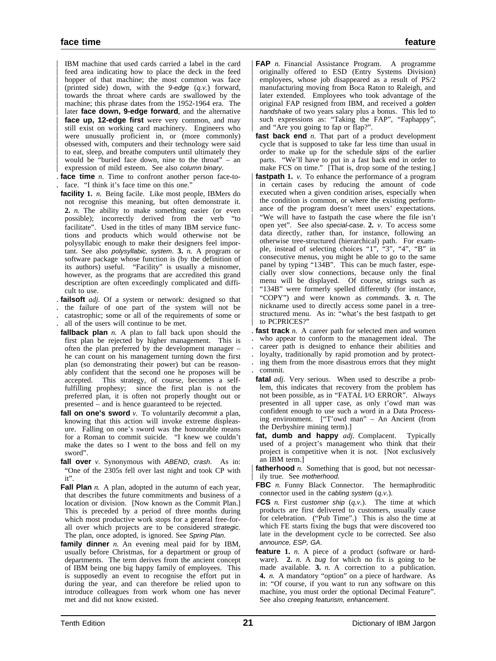IBM machine that used cards carried a label in the card feed area indicating how to place the deck in the feed hopper of that machine; the most common was face | (printed side) down, with the 9-edge (*q.v.*) forward, towards the throat where cards are swallowed by the machine; this phrase dates from the 1952-1964 era. The later **face down, 9-edge forward**, and the alternative face up, 12-edge first were very common, and may still exist on working card machinery. Engineers who were unusually proficient in, or (more commonly) | obsessed with, computers and their technology were said to eat, sleep, and breathe computers until ultimately they would be "buried face down, nine to the throat" – an expression of mild esteem. See also column binary.

- . **face time** *n.* Time to confront another person face-to face. "I think it's face time on this one.
- **facility 1.** *n.* Being facile. Like most people, IBMers do not recognise this meaning, but often demonstrate it. **2.** *n.* The ability to make something easier (or even possible); incorrectly derived from the verb "to facilitate". Used in the titles of many IBM service functions and products which would otherwise not be polysyllabic enough to make their designers feel important. See also polysyllabic, system. **3.** *n.* A program or software package whose function is (by the definition of its authors) useful. "Facility" is usually a misnomer, however, as the programs that are accredited this grand description are often exceedingly complicated and difficult to use.
- . **failsoft** *adj.* Of a system or network: designed so that
- . the failure of one part of the system will not be . catastrophic; some or all of the requirements of some or
- . all of the users will continue to be met.
- **fallback plan** *n.* A plan to fall back upon should the first plan be rejected by higher management. This is often the plan preferred by the development manager – he can count on his management turning down the first plan (so demonstrating their power) but can be reasonably confident that the second one he proposes will be accepted. This strategy, of course, becomes a selffulfilling prophesy; since the first plan is not the preferred plan, it is often not properly thought out or presented – and is hence guaranteed to be rejected.
- **fall on one's sword** *v*. To voluntarily decommit a plan, knowing that this action will invoke extreme displeasure. Falling on one's sword was the honourable means for a Roman to commit suicide. "I knew we couldn't make the dates so I went to the boss and fell on my sword".
- fall over *v*. Synonymous with ABEND, crash. As in: "One of the 2305s fell over last night and took CP with it".
- **Fall Plan** *n.* A plan, adopted in the autumn of each year, that describes the future commitments and business of a location or division. [Now known as the Commit Plan.] This is preceded by a period of three months during which most productive work stops for a general free-forall over which projects are to be considered strategic. The plan, once adopted, is ignored. See Spring Plan.
- **family dinner** *n.* An evening meal paid for by IBM, usually before Christmas, for a department or group of departments. The term derives from the ancient concept of IBM being one big happy family of employees. This is supposedly an event to recognise the effort put in during the year, and can therefore be relied upon to introduce colleagues from work whom one has never met and did not know existed.
- | **FAP** *n.* Financial Assistance Program. A programme | originally offered to ESD (Entry Systems Division) employees, whose job disappeared as a result of PS/2 manufacturing moving from Boca Raton to Raleigh, and later extended. Employees who took advantage of the original FAP resigned from IBM, and received a golden | handshake of two years salary plus a bonus. This led to | such expressions as: "Taking the FAP", "Faphappy", and "Are you going to fap or flap?".
- **fast back end** *n.* That part of a product development cycle that is supposed to take far less time than usual in order to make up for the schedule slips of the earlier parts. "We'll have to put in a fast back end in order to make FCS on time." [That is, drop some of the testing.]
- **fastpath 1.** *v*. To enhance the performance of a program in certain cases by reducing the amount of code executed when a given condition arises, especially when the condition is common, or where the existing performance of the program doesn't meet users' expectations. | "We will have to fastpath the case where the file isn't | open yet". See also special-case. **2.** *v.* To access some data directly, rather than, for instance, following an | otherwise tree-structured (hierarchical) path. For exam- | ple, instead of selecting choices "1", "3", "4", "B" in consecutive menus, you might be able to go to the same panel by typing "134B". This can be much faster, espe-| cially over slow connections, because only the final menu will be displayed. Of course, strings such as "134B" were formerly spelled differently (for instance, | "COPY") and were known as *commands*. **3.** *n.* The nickname used to directly access some panel in a treestructured menu. As in: "what's the best fastpath to get to PCPRICES?"
- . **fast track** *n.* A career path for selected men and women . who appear to conform to the management ideal. The . career path is designed to enhance their abilities and loyalty, traditionally by rapid promotion and by protect-. ing them from the more disastrous errors that they might . commit.
- **fatal** *adj.* Very serious. When used to describe a problem, this indicates that recovery from the problem has not been possible, as in "FATAL I/O ERROR". Always presented in all upper case, as only t'owd man was confident enough to use such a word in a Data Processing environment. ["T'owd man" – An Ancient (from the Derbyshire mining term).]
- **fat, dumb and happy** *adj.* Complacent. Typically used of a project's management who think that their project is competitive when it is not. [Not exclusively an IBM term.]
- fatherhood *n*. Something that is good, but not necessarily true. See motherhood.
- **FBC** *n*. Funny Black Connector. The hermaphroditic connector used in the cabling system (*q.v.*).
- **FCS** *n.* First customer ship (*q.v.*). The time at which products are first delivered to customers, usually cause for celebration. ("Pub Time".) This is also the time at which FE starts fixing the bugs that were discovered too late in the development cycle to be corrected. See also announce, ESP, GA.
- **feature 1.** *n.* A piece of a product (software or hardware). **2.** *n.* A *bug* for which no fix is going to be made available. **3.** *n.* A correction to a publication. **4.** *n.* A mandatory "option" on a piece of hardware. As in: "Of course, if you want to run any software on this machine, you must order the optional Decimal Feature". See also creeping featurism, enhancement.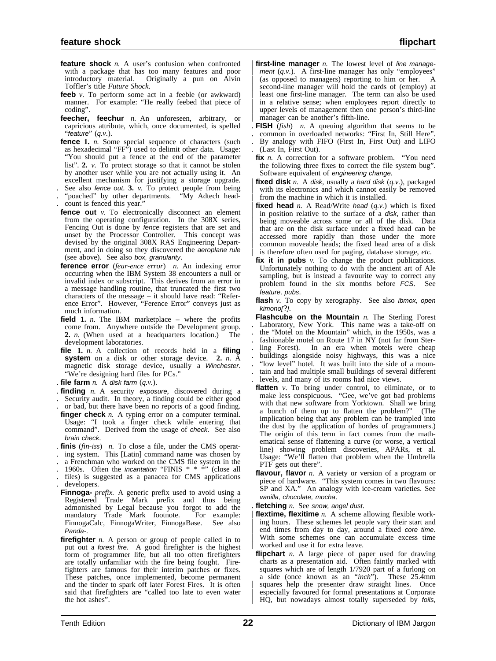- **feature shock** *n.* A user's confusion when confronted with a package that has too many features and poor introductory material. Originally a pun on Alvin Toffler's title *Future Shock*.
- **feeb** *v*. To perform some act in a feeble (or awkward) manner. For example: "He really feebed that piece of coding".
- **feecher, feechur** *n.* An unforeseen, arbitrary, or capricious attribute, which, once documented, is spelled "feature" (*q.v.*).
- **fence 1.** *n.* Some special sequence of characters (such as hexadecimal "FF") used to delimit other data. Usage: "You should put a fence at the end of the parameter list". **2.** *v.* To protect storage so that it cannot be stolen by another user while you are not actually using it. An excellent mechanism for justifying a storage upgrade.
- . See also fence out. **3.** *v.* To protect people from being . "poached" by other departments. "My Adtech head-
- . count is fenced this year."
- **fence out** *v*. To electronically disconnect an element from the operating configuration. In the 308X series, Fencing Out is done by fence registers that are set and unset by the Processor Controller. This concept was devised by the original 308X RAS Engineering Department, and in doing so they discovered the aeroplane rule (see above). See also box, granularity.
- **ference error** (*fear-ence error*) *n.* An indexing error occurring when the IBM System 38 encounters a null or invalid index or subscript. This derives from an error in a message handling routine, that truncated the first two characters of the message – it should have read: "Reference Error". However, "Ference Error" conveys just as much information.
- **field 1.** *n.* The IBM marketplace where the profits come from. Anywhere outside the Development group.<br>2. *n*. (When used at a headquarters location.) The **2.** *n.* (When used at a headquarters location.) development laboratories.
- **file 1.** *n.* A collection of records held in a **filing system** on a disk or other storage device. **2.** *n.* A magnetic disk storage device, usually a Winchester. "We're designing hard files for PCs."
- . **file farm** *n.* A disk farm (*q.v.*).
- . **finding** *n.* A security exposure, discovered during a
- Security audit. In theory, a finding could be either good
- . or bad, but there have been no reports of a good finding. **finger check** *n.* A typing error on a computer terminal. Usage: "I took a finger check while entering that command". Derived from the usage of check. See also brain check.
- . **finis** (*fin-iss*) *n.* To close a file, under the CMS operat-
- . ing system. This [Latin] command name was chosen by
- . a Frenchman who worked on the CMS file system in the
- . 1960s. Often the *incantation* "FINIS  $* * *$ " (close all
- . files) is suggested as a panacea for CMS applications . developers.
- **Finnoga-** *prefix.* A generic prefix used to avoid using a Registered Trade Mark prefix and thus being admonished by Legal because you forgot to add the mandatory Trade Mark footnote. For example: FinnogaCalc, FinnogaWriter, FinnogaBase. See also Panda-.
- **firefighter** *n*. A person or group of people called in to put out a forest fire. A good firefighter is the highest form of programmer life, but all too often firefighters are totally unfamiliar with the fire being fought. Firefighters are famous for their interim patches or fixes. These patches, once implemented, become permanent and the tinder to spark off later Forest Fires. It is often said that firefighters are "called too late to even water the hot ashes".
- first-line manager *n*. The lowest level of line manage $m$ ent  $(q.v.)$ . A first-line manager has only "employees" | (as opposed to managers) reporting to him or her. A second-line manager will hold the cards of (employ) at least one first-line manager. The term can also be used in a relative sense; when employees report directly to upper levels of management then one person's third-line | manager can be another's fifth-line.
- **FISH** (*fish*) *n.* A queuing algorithm that seems to be . common in overloaded networks: "First In, Still Here".
- . By analogy with FIFO (First In, First Out) and LIFO
- . (Last In, First Out).
	- **fix** *n*. A correction for a software problem. "You need the following three fixes to correct the file system bug". Software equivalent of engineering change.
	- **fixed disk**  $n$ . A disk, usually a hard disk  $(q, v)$ , packaged with its electronics and which cannot easily be removed from the machine in which it is installed.
	- **fixed head** *n.* A Read/Write head  $(q.v.)$  which is fixed in position relative to the surface of a *disk*, rather than being moveable across some or all of the disk. Data that are on the disk surface under a fixed head can be accessed more rapidly than those under the more common moveable heads; the fixed head area of a disk is therefore often used for paging, database storage, etc.
	- **fix it in pubs** *v.* To change the product publications. Unfortunately nothing to do with the ancient art of Ale sampling, but is instead a favourite way to correct any problem found in the six months before FCS. See feature, pubs.
	- flash *v*. To copy by xerography. See also *ibmox*, open kimono[?].
	- **Flashcube on the Mountain** *n.* The Sterling Forest . Laboratory, New York. This name was a take-off on . the "Motel on the Mountain" which, in the 1950s, was a fashionable motel on Route 17 in NY (not far from Sterling Forest). In an era when motels were cheap In an era when motels were cheap . buildings alongside noisy highways, this was a nice . "low level" hotel. It was built into the side of a moun- . tain and had multiple small buildings of several different . levels, and many of its rooms had nice views.
	- **flatten** *v*. To bring under control, to eliminate, or to make less conspicuous. "Gee, we've got bad problems with that new software from Yorktown. Shall we bring a bunch of them up to flatten the problem?" (The implication being that any problem can be trampled into the dust by the application of hordes of programmers.) The origin of this term in fact comes from the mathematical sense of flattening a curve (or worse, a vertical line) showing problem discoveries, APARs, et al. Usage: "We'll flatten that problem when the Umbrella PTF gets out there".
	- **flavour, flavor** *n.* A variety or version of a program or piece of hardware. "This system comes in two flavours: SP and XA." An analogy with ice-cream varieties. See vanilla, chocolate, mocha.
	- **fletching** *n.* See snow, angel dust.
	- flextime, flexitime *n*. A scheme allowing flexible working hours. These schemes let people vary their start and end times from day to day, around a fixed core time. | With some schemes one can accumulate excess time worked and use it for extra leave.
	- **flipchart** *n.* A large piece of paper used for drawing charts as a presentation aid. Often faintly marked with squares which are of length  $1/7920$  part of a furlong on a side (once known as an "*inch*"). These 25.4mm a side (once known as an "*inch*"). squares help the presenter draw straight lines. Once | especially favoured for formal presentations at Corporate HQ, but nowadays almost totally superseded by foils,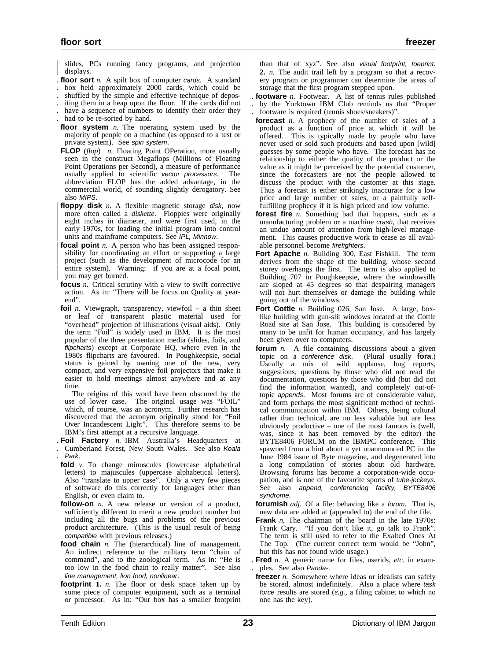slides, PCs running fancy programs, and projection displays.

- . **floor sort** *n.* A spilt box of computer cards. A standard
- . box held approximately 2000 cards, which could be
- . shuffled by the simple and effective technique of depos- . iting them in a heap upon the floor. If the cards did not
- have a sequence of numbers to identify their order they
- . had to be re-sorted by hand.
- **floor system** *n.* The operating system used by the majority of people on a machine (as opposed to a test or private system). See spin system.
- **FLOP** (*flop*) *n.* Floating Point OPeration, more usually seen in the construct Megaflops (Millions of Floating Point Operations per Second), a measure of performance usually applied to scientific vector processors. The abbreviation FLOP has the added advantage, in the commercial world, of sounding slightly derogatory. See also MIPS
- floppy disk *n*. A flexible magnetic storage disk, now more often called a *diskette*. Floppies were originally eight inches in diameter, and were first used, in the early 1970s, for loading the initial program into control units and mainframe computers. See IPL, Minnow.
- **focal point** *n*. A person who has been assigned responsibility for coordinating an effort or supporting a large project (such as the development of microcode for an entire system). Warning: if you are at a focal point, | you may get burned.
- **focus** *n.* Critical scrutiny with a view to swift corrective action. As in: "There will be focus on Quality at yearend".
- **foil** *n.* Viewgraph, transparency, viewfoil a thin sheet or leaf of transparent plastic material used for "overhead" projection of illustrations (visual aids). Only the term "Foil" is widely used in IBM. It is the most popular of the three presentation media (slides, foils, and flipcharts) except at Corporate HQ, where even in the 1980s flipcharts are favoured. In Poughkeepsie, social status is gained by owning one of the new, very compact, and very expensive foil projectors that make it easier to hold meetings almost anywhere and at any time.

The origins of this word have been obscured by the use of lower case. The original usage was "FOIL" which, of course, was an acronym. Further research has discovered that the acronym originally stood for "Foil Over Incandescent Light". This therefore seems to be IBM's first attempt at a recursive language.

- . **Foil Factory** *n.* IBM Australia's Headquarters at
- . Cumberland Forest, New South Wales. See also Koala . Park.
- **fold** *v*. To change minuscules (lowercase alphabetical letters) to majuscules (uppercase alphabetical letters). Also "translate to upper case". Only a very few pieces of software do this correctly for languages other than English, or even claim to.
- **follow-on** *n.* A new release or version of a product, sufficiently different to merit a new product number but including all the bugs and problems of the previous product architecture. (This is the usual result of being compatible with previous releases.)
- **food chain** *n*. The (hierarchical) line of management. An indirect reference to the military term "chain of command", and to the zoological term. As in: "He is too low in the food chain to really matter". See also line management, lion food, nonlinear.
- **footprint 1.** *n.* The floor or desk space taken up by some piece of computer equipment, such as a terminal or processor. As in: "Our box has a smaller footprint

than that of xyz". See also visual footprint, toeprint. **2.** *n.* The audit trail left by a program so that a recovery program or programmer can determine the areas of storage that the first program stepped upon.

- . **footware** *n.* Footwear. A list of tennis rules published . by the Yorktown IBM Club reminds us that "Proper . footware is required (tennis shoes/sneakers)".
- **forecast** *n.* A prophecy of the number of sales of a product as a function of price at which it will be offered. This is typically made by people who have never used or sold such products and based upon [wild] guesses by some people who have. The forecast has no relationship to either the quality of the product or the value as it might be perceived by the potential customer, since the forecasters are not the people allowed to discuss the product with the customer at this stage. Thus a forecast is either strikingly inaccurate for a low price and large number of sales, or a painfully selffulfilling prophecy if it is high priced and low volume.
- **forest fire** *n.* Something bad that happens, such as a manufacturing problem or a machine crash, that receives an undue amount of attention from high-level management. This causes productive work to cease as all available personnel become firefighters.
- **Fort Apache** *n.* Building 300, East Fishkill. The term derives from the shape of the building, whose second storey overhangs the first. The term is also applied to Building 707 in Poughkeepsie, where the windowsills are sloped at 45 degrees so that despairing managers will not hurt themselves or damage the building while going out of the windows.
- Fort Cottle *n*. Building 026, San Jose. A large, boxlike building with gun-slit windows located at the Cottle Road site at San Jose. This building is considered by many to be unfit for human occupancy, and has largely been given over to computers.
- **forum** *n*. A file containing discussions about a given topic on a conference disk. (Plural usually **fora**.) Usually a mix of wild applause, bug reports, suggestions, questions by those who did not read the documentation, questions by those who did (but did not find the information wanted), and completely out-oftopic appends. Most forums are of considerable value, and form perhaps the most significant method of technical communication within IBM. Others, being cultural rather than technical, are no less valuable but are less obviously productive – one of the most famous is (well, was, since it has been removed by the editor) the BYTE8406 FORUM on the IBMPC conference. This spawned from a hint about a yet unannounced PC in the June 1984 issue of Byte magazine, and degenerated into a long compilation of stories about old hardware. Browsing forums has become a corporation-wide occupation, and is one of the favourite sports of tube-jockeys. See also append, conferencing facility, BYTE8406 syndrome.
- **forumish** *adj.* Of a file: behaving like a forum. That is, new data are added at (appended to) the end of the file.
- **Frank** *n.* The chairman of the board in the late 1970s: Frank Cary. "If you don't like it, go talk to Frank". The term is still used to refer to the Exalted Ones At The Top. (The current correct term would be "John", but this has not found wide usage.)
- . **Fred** *n.* A generic name for files, userids, *etc.* in exam- . ples. See also Panda-.
- **freezer** *n.* Somewhere where ideas or idealists can safely be stored, almost indefinitely. Also a place where task force results are stored (*e.g.*, a filing cabinet to which no one has the key).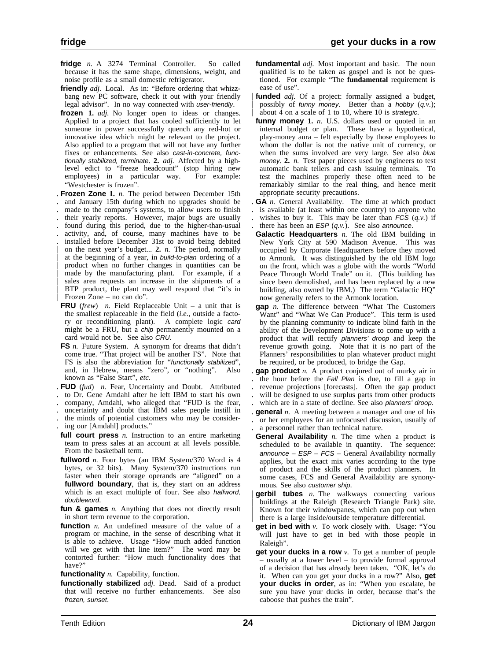- fridge *n.* A 3274 Terminal Controller. So called because it has the same shape, dimensions, weight, and noise profile as a small domestic refrigerator.
- **friendly** *adj.* Local. As in: "Before ordering that whizzbang new PC software, check it out with your friendly legal advisor". In no way connected with user-friendly.
- **frozen 1.** *adj.* No longer open to ideas or changes. Applied to a project that has cooled sufficiently to let someone in power successfully quench any red-hot or innovative idea which might be relevant to the project. Also applied to a program that will not have any further fixes or enhancements. See also cast-in-concrete, functionally stabilized, terminate. **2.** *adj.* Affected by a highlevel edict to "freeze headcount" (stop hiring new employees) in a particular way. "Westchester is frozen".
- . **Frozen Zone 1.** *n.* The period between December 15th
- . and January 15th during which no upgrades should be
- made to the company's systems, to allow users to finish . their yearly reports. However, major bugs are usually
- 
- . found during this period, due to the higher-than-usual . activity, and, of course, many machines have to be . installed before December 31st to avoid being debited | on the next year's budget... **2.** *n.* The period, normally at the beginning of a year, in build-to-plan ordering of a | product when no further changes in quantities can be made by the manufacturing plant. For example, if a sales area requests an increase in the shipments of a BTP product, the plant may well respond that "it's in | Frozen Zone – no can do".
- **FRU** (*frew*) *n.* Field Replaceable Unit a unit that is the smallest replaceable in the field (*i.e.*, outside a factory or reconditioning plant). A complete logic card might be a FRU, but a chip permanently mounted on a card would not be. See also CRU.
- **FS** *n*. Future System. A synonym for dreams that didn't come true. "That project will be another FS". Note that FS is also the abbreviation for "functionally stabilized", and, in Hebrew, means "zero", or "nothing". Also known as "False Start", *etc.*
- . **FUD** (*fud*) *n.* Fear, Uncertainty and Doubt. Attributed
- . to Dr. Gene Amdahl after he left IBM to start his own
- . company, Amdahl, who alleged that "FUD is the fear,
- . uncertainty and doubt that IBM sales people instill in
- . the minds of potential customers who may be consider-
- . ing our [Amdahl] products."
- **full court press** *n.* Instruction to an entire marketing team to press sales at an account at all levels possible. From the basketball term.
- **fullword** *n*. Four bytes (an IBM System/370 Word is 4 bytes, or 32 bits). Many System/370 instructions run faster when their storage operands are "aligned" on a **fullword boundary**, that is, they start on an address which is an exact multiple of four. See also halfword, doubleword.
- **fun & games** *n.* Anything that does not directly result in short term revenue to the corporation.
- **function** *n*. An undefined measure of the value of a program or machine, in the sense of describing what it is able to achieve. Usage "How much added function will we get with that line item?" The word may be contorted further: "How much functionality does that have?"
- **functionality** *n.* Capability, function.
- **functionally stabilized** *adj.* Dead. Said of a product that will receive no further enhancements. See also frozen, sunset.
- **fundamental** *adj.* Most important and basic. The noun qualified is to be taken as gospel and is not be questioned. For example "The **fundamental** requirement is ease of use".
- funded *adj*. Of a project: formally assigned a budget, possibly of funny money. Better than a hobby  $(q.v.)$ ; about 4 on a scale of 1 to 10, where 10 is strategic.
- **funny money 1.** *n.* U.S. dollars used or quoted in an internal budget or plan. These have a hypothetical, play-money aura – felt especially by those employees to whom the dollar is not the native unit of currency, or when the sums involved are very large. See also blue money. **2.** *n.* Test paper pieces used by engineers to test automatic bank tellers and cash issuing terminals. To test the machines properly these often need to be remarkably similar to the real thing, and hence merit appropriate security precautions.
- . **GA** *n.* General Availability. The time at which product
- . is available (at least within one country) to anyone who wishes to buy it. This may be later than  $FCS (q.v.)$  if
- there has been an  $ESP (q.v.)$ . See also announce.
- **Galactic Headquarters** *n.* The old IBM building in New York City at 590 Madison Avenue. This was occupied by Corporate Headquarters before they moved to Armonk. It was distinguished by the old IBM logo on the front, which was a globe with the words "World Peace Through World Trade" on it. (This building has since been demolished, and has been replaced by a new building, also owned by IBM.) The term "Galactic HQ" now generally refers to the Armonk location.
- **gap** *n.* The difference between "What The Customers Want" and "What We Can Produce". This term is used by the planning community to indicate blind faith in the ability of the Development Divisions to come up with a product that will rectify planners' droop and keep the revenue growth going. Note that it is no part of the Planners' responsibilities to plan whatever product might be required, or be produced, to bridge the Gap.
- . **gap product** *n.* A product conjured out of murky air in the hour before the Fall Plan is due, to fill a gap in revenue projections [forecasts]. Often the gap product will be designed to use surplus parts from other products which are in a state of decline. See also planners' droop.
- . **general** *n.* A meeting between a manager and one of his . or her employees for an unfocused discussion, usually of
- . a personnel rather than technical nature. **General Availability** *n*. The time when a product is
- scheduled to be available in quantity. The sequence: announce  $-$  ESP  $-$  FCS  $-$  General Availability normally applies, but the exact mix varies according to the type of product and the skills of the product planners. In some cases, FCS and General Availability are synonymous. See also customer ship.
- | **gerbil tubes** *n.* The walkways connecting various buildings at the Raleigh (Research Triangle Park) site. Known for their windowpanes, which can pop out when | there is a large inside/outside temperature differential.
- **get in bed with** *v*. To work closely with. Usage: "You will just have to get in bed with those people in Raleigh".
- **get your ducks in a row** *v.* To get a number of people – usually at a lower level – to provide formal approval of a decision that has already been taken. "OK, let's do it. When can you get your ducks in a row?" Also, **get your ducks in order**, as in: "When you escalate, be sure you have your ducks in order, because that's the caboose that pushes the train".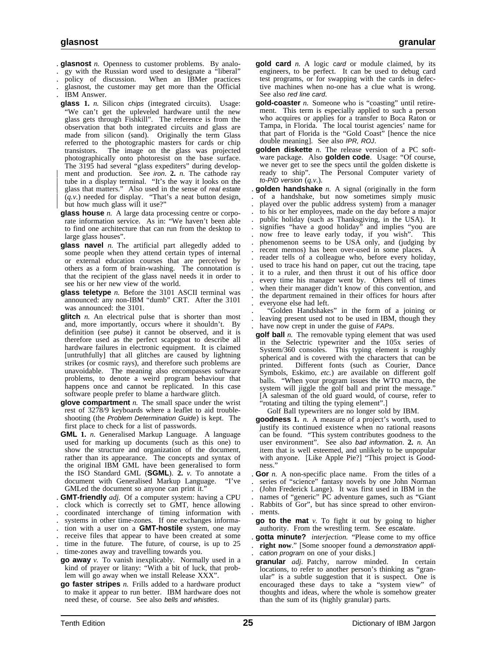- . **glasnost** *n.* Openness to customer problems. By analo-
- . gy with the Russian word used to designate a "liberal"
- . policy of discussion. When an IBMer practices
- . glasnost, the customer may get more than the Official . IBM Answer.
- **glass 1.** *n.* Silicon chips (integrated circuits). Usage: "We can't get the upleveled hardware until the new glass gets through Fishkill". The reference is from the observation that both integrated circuits and glass are made from silicon (sand). Originally the term Glass referred to the photographic masters for cards or chip transistors. The image on the glass was projected photographically onto photoresist on the base surface. The 3195 had several "glass expediters" during develop ment and production. See *iron*. 2. *n*. The cathode ray tube in a display terminal. "It's the way it looks on the glass that matters." Also used in the sense of real estate  $(q.v.)$  needed for display. "That's a neat button design, but how much glass will it use?"
- **glass house** *n.* A large data processing centre or corporate information service. As in: "We haven't been able to find one architecture that can run from the desktop to large glass houses".
- **glass navel** *n.* The artificial part allegedly added to some people when they attend certain types of internal or external education courses that are perceived by others as a form of brain-washing. The connotation is that the recipient of the glass navel needs it in order to see his or her new view of the world.
- **glass teletype** *n.* Before the 3101 ASCII terminal was announced: any non-IBM "dumb" CRT. After the 3101 was announced: the 3101.
- **glitch** *n*. An electrical pulse that is shorter than most and, more importantly, occurs where it shouldn't. By definition (see pulse) it cannot be observed, and it is therefore used as the perfect scapegoat to describe all hardware failures in electronic equipment. It is claimed [untruthfully] that all glitches are caused by lightning strikes (or cosmic rays), and therefore such problems are unavoidable. The meaning also encompasses software problems, to denote a weird program behaviour that happens once and cannot be replicated. In this case software people prefer to blame a hardware glitch.
- **glove compartment** *n.* The small space under the wrist rest of 3278/9 keyboards where a leaflet to aid troubleshooting (the Problem Determination Guide) is kept. The first place to check for a list of passwords.
- **GML 1.** *n.* Generalised Markup Language. A language used for marking up documents (such as this one) to show the structure and organization of the document, rather than its appearance. The concepts and syntax of the original IBM GML have been generalised to form the ISO Standard GML (**SGML**). **2.** *v.* To annotate a document with Generalised Markup Language. "I've GMLed the document so anyone can print it."
- . **GMT-friendly** *adj.* Of a computer system: having a CPU
- . clock which is correctly set to GMT, hence allowing
- . coordinated interchange of timing information with
- systems in other time-zones. If one exchanges informa-
- . tion with a user on a **GMT-hostile** system, one may
- . receive files that appear to have been created at some time in the future. The future, of course, is up to 25
- . time-zones away and travelling towards you.
- **go away** *v.* To vanish inexplicably. Normally used in a kind of prayer or litany: "With a bit of luck, that problem will go away when we install Release XXX".
- **go faster stripes** *n.* Frills added to a hardware product to make it appear to run better. IBM hardware does not need these, of course. See also bells and whistles.
- **gold card** *n.* A logic card or module claimed, by its engineers, to be perfect. It can be used to debug card test programs, or for swapping with the cards in defective machines when no-one has a clue what is wrong. See also red line card.
- **gold-coaster** *n.* Someone who is "coasting" until retirement. This term is especially applied to such a person who acquires or applies for a transfer to Boca Raton or Tampa, in Florida. The local tourist agencies' name for that part of Florida is the "Gold Coast" [hence the nice double meaning]. See also IPR, ROJ.
- **golden diskette** *n.* The release version of a PC software package. Also **golden code**. Usage: "Of course, we never get to see the specs until the golden diskette is ready to ship". The Personal Computer variety of The Personal Computer variety of to-PID version (*q.v.*).
- . **golden handshake** *n.* A signal (originally in the form . of a handshake, but now sometimes simply music . played over the public address system) from a manager . to his or her employees, made on the day before a major . public holiday (such as Thanksgiving, in the USA). It signifies "have a good holiday" and implies "you are . now free to leave early today, if you wish". This . phenomenon seems to be USA only, and (judging by . recent memos) has been over-used in some places. A . reader tells of a colleague who, before every holiday, used to trace his hand on paper, cut out the tracing, tape . it to a ruler, and then thrust it out of his office door . every time his manager went by. Others tell of times when their manager didn't know of this convention, and . the department remained in their offices for hours after . everyone else had left.

. "Golden Handshakes" in the form of a joining or . leaving present used not to be used in IBM, though they have now crept in under the guise of FAPs.

**golf ball** *n*. The removable typing element that was used in the Selectric typewriter and the 105x series of System/360 consoles. This typing element is roughly spherical and is covered with the characters that can be printed. Different fonts (such as Courier, Dance Symbols, Eskimo, *etc.*) are available on different golf balls. "When your program issues the WTO macro, the system will jiggle the golf ball and print the message." [A salesman of the old guard would, of course, refer to "rotating and tilting the typing element".]

Golf Ball typewriters are no longer sold by IBM.

- **goodness 1.** *n.* A measure of a project's worth, used to justify its continued existence when no rational reasons can be found. "This system contributes goodness to the user environment". See also bad information. **2.** *n.* An item that is well esteemed, and unlikely to be unpopular with anyone. [Like Apple Pie?] "This project is Goodness."
- **Gor** *n*. A non-specific place name. From the titles of a
- . series of "science" fantasy novels by one John Norman
- . (John Frederick Lange). It was first used in IBM in the
- . names of "generic" PC adventure games, such as "Giant . Rabbits of Gor", but has since spread to other environ-
- . ments.
- **go to the mat** *v.* To fight it out by going to higher authority. From the wrestling term. See escalate.
- . **gotta minute?** *interjection.* "Please come to my office right now." [Some snooper found a demonstration application program on one of your disks.]
- **granular** *adj.* Patchy, narrow minded. In certain locations, to refer to another person's thinking as "granular" is a subtle suggestion that it is suspect. One is encouraged these days to take a "system view" of thoughts and ideas, where the whole is somehow greater than the sum of its (highly granular) parts.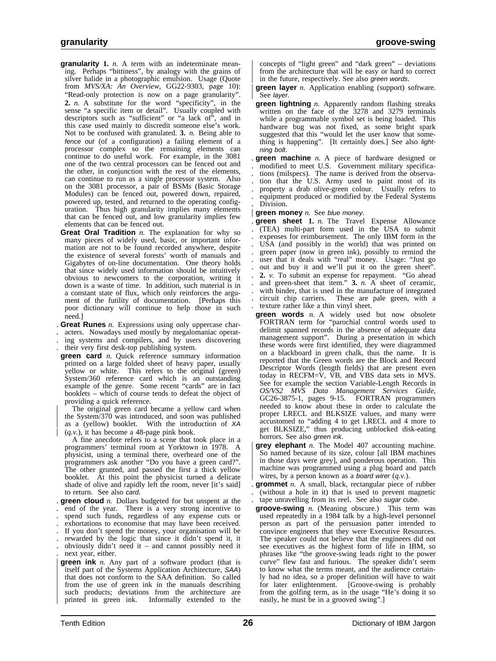- **granularity 1.** *n.* A term with an indeterminate meaning. Perhaps "bittiness", by analogy with the grains of silver halide in a photographic emulsion. Usage (Quote from *MVS/XA: An Overview*, GG22-9303, page 10): "Read-only protection is now on a page granularity". **2.** *n.* A substitute for the word "specificity", in the sense "a specific item or detail". Usually coupled with descriptors such as "sufficient" or "a lack of", and in this case used mainly to discredit someone else's work. Not to be confused with granulated. **3.** *n.* Being able to fence out (of a configuration) a failing element of a processor complex so the remaining elements can continue to do useful work. For example, in the 3081 one of the two central processors can be fenced out and the other, in conjunction with the rest of the elements, can continue to run as a single processor system. Also on the 3081 processor, a pair of BSMs (Basic Storage Modules) can be fenced out, powered down, repaired, powered up, tested, and returned to the operating configuration. Thus high granularity implies many elements that can be fenced out, and low granularity implies few elements that can be fenced out.
- **Great Oral Tradition** *n.* The explanation for why so many pieces of widely used, basic, or important information are not to be found recorded anywhere, despite the existence of several forests' worth of manuals and Gigabytes of on-line documentation. One theory holds that since widely used information should be intuitively obvious to newcomers to the corporation, writing it down is a waste of time. In addition, such material is in a constant state of flux, which only reinforces the argument of the futility of documentation. [Perhaps this poor dictionary will continue to help those in such need.]
- . **Great Runes** *n.* Expressions using only uppercase char-
- . acters. Nowadays used mostly by megalomaniac operat-
- . ing systems and compilers, and by users discovering . their very first desk-top publishing system.
- **green card** *n.* Quick reference summary information printed on a large folded sheet of heavy paper, usually yellow or white. This refers to the original (green) System/360 reference card which is an outstanding example of the genre. Some recent "cards" are in fact booklets – which of course tends to defeat the object of providing a quick reference.

The original green card became a yellow card when the System/370 was introduced, and soon was published as a (yellow) booklet. With the introduction of XA  $(q.v.)$ , it has become a 48-page pink book.

A fine anecdote refers to a scene that took place in a programmers' terminal room at Yorktown in 1978. A physicist, using a terminal there, overheard one of the programmers ask another "Do you have a green card?". The other grunted, and passed the first a thick yellow booklet. At this point the physicist turned a delicate shade of olive and rapidly left the room, never [it's said] to return. See also card.

. **green cloud** *n.* Dollars budgeted for but unspent at the . end of the year. There is a very strong incentive to . spend such funds, regardless of any expense cuts or . exhortations to economise that may have been received.

- . If you don't spend the money, your organisation will be
- . rewarded by the logic that since it didn't spend it, it
- . obviously didn't need it and cannot possibly need it
- . next year, either. **green ink** *n*. Any part of a software product (that is itself part of the Systems Application Architecture, SAA) that does not conform to the SAA definition. So called from the use of green ink in the manuals describing such products; deviations from the architecture are printed in green ink. Informally extended to the Informally extended to the

| concepts of "light green" and "dark green" – deviations from the architecture that will be easy or hard to correct in the future, respectively. See also green words.

- **green layer** *n*. Application enabling (support) software. See layer.
- **green lightning** *n.* Apparently random flashing streaks written on the face of the 3278 and 3279 terminals while a programmable symbol set is being loaded. This hardware bug was not fixed, as some bright spark suggested that this "would let the user know that something is happening". [It certainly does.] See also lightning bolt.
- . **green machine** *n.* A piece of hardware designed or . modified to meet U.S. Government military specifica- . tions (milspecs). The name is derived from the observa- . tion that the U.S. Army used to paint most of its . property a drab olive-green colour. Usually refers to . equipment produced or modified by the Federal Systems . Division.

#### **green money** *n.* See blue money.

- . **green sheet 1.** *n.* The Travel Expense Allowance . (TEA) multi-part form used in the USA to submit . expenses for reimbursement. The only IBM form in the . USA (and possibly in the world) that was printed on . green paper (now in green ink), possibly to remind the user that it deals with "real" money. Usage: "Just go out and buy it and we'll put it on the green sheet". . **2.** *v.* To submit an expense for repayment. "Go ahead and green-sheet that item." 3. *n*. A sheet of ceramic, with binder, that is used in the manufacture of integrated . circuit chip carriers. These are pale green, with a . texture rather like a thin vinyl sheet.
- **green words** *n.* A widely used but now obsolete FORTRAN term for "parochial control words used to delimit spanned records in the absence of adequate data management support". During a presentation in which these words were first identified, they were diagrammed on a blackboard in green chalk, thus the name. It is reported that the Green words are the Block and Record Descriptor Words (length fields) that are present even today in RECFM=V, VB, and VBS data sets in MVS. See for example the section Variable-Length Records in *OS/VS2 MVS Data Management Services Guide*, GC26-3875-1, pages 9-15. FORTRAN programmers needed to know about these in order to calculate the proper LRECL and BLKSIZE values, and many were accustomed to "adding 4 to get LRECL and 4 more to get BLKSIZE," thus producing unblocked disk-eating horrors. See also green ink.
- grey elephant *n*. The Model 407 accounting machine. | So named because of its size, colour [all IBM machines in those days were grey], and ponderous operation. This machine was programmed using a plug board and patch wires, by a person known as a board wirer (q.v.).
- . **grommet** *n.* A small, black, rectangular piece of rubber . (without a hole in it) that is used to prevent magnetic tape unravelling from its reel. See also sugar cube.
- **groove-swing** *n.* (Meaning obscure.) This term was used repeatedly in a 1984 talk by a high-level personnel person as part of the persuasion patter intended to convince engineers that they were Executive Resources. The speaker could not believe that the engineers did not see executives as the highest form of life in IBM, so phrases like "the groove-swing leads right to the power curve" flew fast and furious. The speaker didn't seem to know what the terms meant, and the audience certainly had no idea, so a proper definition will have to wait for later enlightenment. [Groove-swing is probably from the golfing term, as in the usage "He's doing it so easily, he must be in a grooved swing".]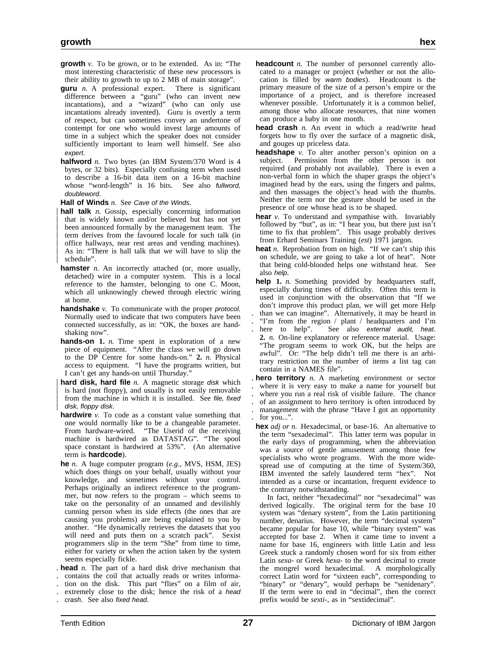- **growth** *v.* To be grown, or to be extended. As in: "The most interesting characteristic of these new processors is their ability to growth to up to 2 MB of main storage".
- **guru** *n.* A professional expert. There is significant difference between a "guru" (who can invent new incantations), and a "wizard" (who can only use incantations already invented). Guru is overtly a term of respect, but can sometimes convey an undertone of contempt for one who would invest large amounts of time in a subject which the speaker does not consider sufficiently important to learn well himself. See also expert.
- **halfword** *n*. Two bytes (an IBM System/370 Word is 4 bytes, or 32 bits). Especially confusing term when used to describe a 16-bit data item on a 16-bit machine whose "word-length" is 16 bits. See also *fullword*, doubleword.

**Hall of Winds** *n.* See Cave of the Winds.

- hall talk *n*. Gossip, especially concerning information that is widely known and/or believed but has not yet been announced formally by the management team. The term derives from the favoured locale for such talk (in | office hallways, near rest areas and vending machines). As in: "There is hall talk that we will have to slip the schedule".
- **hamster** *n*. An incorrectly attached (or, more usually, detached) wire in a computer system. This is a local reference to the hamster, belonging to one C. Moon, which all unknowingly chewed through electric wiring at home.
- **handshake** *v*. To communicate with the proper protocol. Normally used to indicate that two computers have been connected successfully, as in: "OK, the boxes are handshaking now".
- **hands-on 1.** *n.* Time spent in exploration of a new piece of equipment. "After the class we will go down to the DP Centre for some hands-on." **2.** *n.* Physical access to equipment. "I have the programs written, but I can't get any hands-on until Thursday."
- hard disk, hard file *n*. A magnetic storage disk which is hard (not floppy), and usually is not easily removable from the machine in which it is installed. See file, fixed disk, floppy disk.
- **hardwire** *v.* To code as a constant value something that one would normally like to be a changeable parameter. From hardware-wired. "The Userid of the receiving machine is hardwired as DATASTAG". "The spool space constant is hardwired at 53%". (An alternative term is **hardcode**).
- **he** *n.* A huge computer program (*e.g.*, MVS, HSM, JES) which does things on your behalf, usually without your knowledge, and sometimes without your control. Perhaps originally an indirect reference to the programmer, but now refers to the program – which seems to take on the personality of an unnamed and devilishly cunning person when its side effects (the ones that are causing you problems) are being explained to you by another. "He dynamically retrieves the datasets that you will need and puts them on a scratch pack". Sexist programmers slip in the term "She" from time to time, either for variety or when the action taken by the system seems especially fickle.
- . **head** *n.* The part of a hard disk drive mechanism that . contains the coil that actually reads or writes informa-
- . tion on the disk. This part "flies" on a film of air,
- extremely close to the disk; hence the risk of a head
- . crash. See also fixed head.
- **headcount** *n*. The number of personnel currently allocated to a manager or project (whether or not the allocation is filled by warm bodies). Headcount is the primary measure of the size of a person's empire or the importance of a project, and is therefore increased whenever possible. Unfortunately it is a common belief, among those who allocate resources, that nine women can produce a baby in one month.
- **head crash** *n.* An event in which a read/write head forgets how to fly over the surface of a magnetic disk, and gouges up priceless data.
- **headshape** *v.* To alter another person's opinion on a subject. Permission from the other person is not required (and probably not available). There is even a non-verbal form in which the shaper grasps the object's imagined head by the ears, using the fingers and palms, and then massages the object's head with the thumbs. Neither the term nor the gesture should be used in the presence of one whose head is to be shaped.
- **hear** *v.* To understand and sympathise with. Invariably followed by "but", as in: "I hear you, but there just isn't time to fix that problem". This usage probably derives from Erhard Seminars Training (*est*) 1971 jargon.
- **heat** *n.* Reprobation from on high. "If we can't ship this on schedule, we are going to take a lot of heat". Note that being cold-blooded helps one withstand heat. See also help.
- **help 1.** *n.* Something provided by headquarters staff, especially during times of difficulty. Often this term is used in conjunction with the observation that "If we don't improve this product plan, we will get more Help
- . than we can imagine". Alternatively, it may be heard in
- "I'm from the region / plant / headquarters and I'm here to help". See also *external audit, heat.* See also external audit, heat. **2.** *n.* On-line explanatory or reference material. Usage: "The program seems to work OK, but the helps are awful". Or: "The help didn't tell me there is an arbitrary restriction on the number of items a list tag can contain in a NAMES file".
- . **hero territory** *n.* A marketing environment or sector . where it is very easy to make a name for yourself but . where you run a real risk of visible failure. The chance . of an assignment to hero territory is often introduced by . management with the phrase "Have I got an opportunity for you...".
- **hex** *adj or n.* Hexadecimal, or base-16. An alternative to the term "sexadecimal". This latter term was popular in the early days of programming, when the abbreviation was a source of gentle amusement among those few specialists who wrote programs. With the more widespread use of computing at the time of System/360, IBM invented the safely laundered term "hex". Not intended as a curse or incantation, frequent evidence to the contrary notwithstanding.

In fact, neither "hexadecimal" nor "sexadecimal" was derived logically. The original term for the base 10 system was "denary system", from the Latin partitioning number, denarius. However, the term "decimal system" became popular for base 10, while "binary system" was accepted for base 2. When it came time to invent a name for base 16, engineers with little Latin and less Greek stuck a randomly chosen word for six from either Latin *sexa-* or Greek *hexa-* to the word decimal to create the mongrel word hexadecimal. A morphologically correct Latin word for "sixteen each", corresponding to "binary" or "denary", would perhaps be "senidenary". If the term were to end in "decimal", then the correct prefix would be *sexti-*, as in "sextidecimal".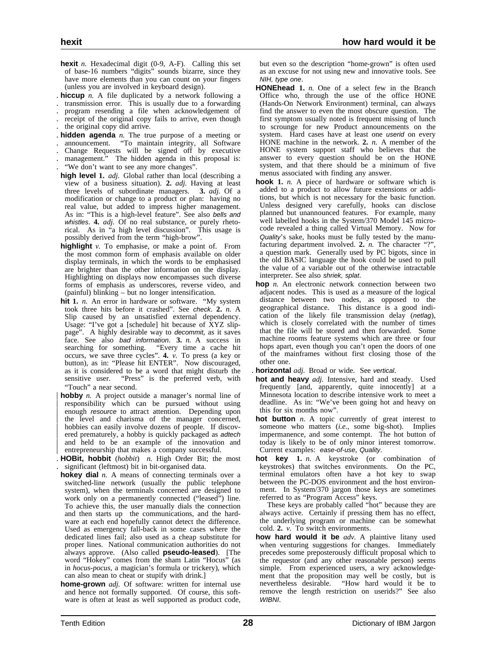- **hexit** *n.* Hexadecimal digit (0-9, A-F). Calling this set of base-16 numbers "digits" sounds bizarre, since they have more elements than you can count on your fingers (unless you are involved in keyboard design).
- . **hiccup** *n.* A file duplicated by a network following a
- . transmission error. This is usually due to a forwarding . program resending a file when acknowledgement of
- receipt of the original copy fails to arrive, even though . the original copy did arrive.
- . **hidden agenda** *n.* The true purpose of a meeting or
- . announcement. "To maintain integrity, all Software
- . Change Requests will be signed off by executive management." The hidden agenda in this proposal is:
- 
- . "We don't want to see any more changes".
- **high level 1.** *adj.* Global rather than local (describing a view of a business situation). **2.** *adj.* Having at least three levels of subordinate managers. **3.** *adj.* Of a modification or change to a product or plan: having no real value, but added to impress higher management. As in: "This is a high-level feature". See also bells and whistles. **4.** *adj.* Of no real substance, or purely rhetorical. As in "a high level discussion". This usage is possibly derived from the term "high-brow".
- **highlight** *v.* To emphasise, or make a point of. From the most common form of emphasis available on older display terminals, in which the words to be emphasised are brighter than the other information on the display. Highlighting on displays now encompasses such diverse forms of emphasis as underscores, reverse video, and (painful) blinking – but no longer intensification.
- **hit 1.** *n.* An error in hardware or software. "My system took three hits before it crashed". See check. **2.** *n.* A Slip caused by an unsatisfied external dependency. Usage: "I've got a [schedule] hit because of XYZ slippage". A highly desirable way to decommit, as it saves face. See also *bad information*. **3.** *n*. A success in searching for something. "Every time a cache hit "Every time a cache hit occurs, we save three cycles". **4.** *v.* To press (a key or button), as in: "Please hit ENTER". Now discouraged, as it is considered to be a word that might disturb the sensitive user. "Press" is the preferred verb, with "Touch" a near second.
- **hobby** *n*. A project outside a manager's normal line of responsibility which can be pursued without using enough resource to attract attention. Depending upon the level and charisma of the manager concerned, hobbies can easily involve dozens of people. If discovered prematurely, a hobby is quickly packaged as adtech and held to be an example of the innovation and entrepreneurship that makes a company successful.
- . **HOBit, hobbit** (*hobbit*) *n.* High Order Bit; the most . significant (leftmost) bit in bit-organised data.
- **hokey dial** *n.* A means of connecting terminals over a switched-line network (usually the public telephone system), when the terminals concerned are designed to work only on a permanently connected ("leased") line. To achieve this, the user manually dials the connection and then starts up the communications, and the hardware at each end hopefully cannot detect the difference. Used as emergency fall-back in some cases where the dedicated lines fail; also used as a cheap substitute for proper lines. National communication authorities do not always approve. (Also called **pseudo-leased**). [The word "Hokey" comes from the sham Latin "Hocus" (as in *hocus-pocus*, a magician's formula or trickery), which can also mean to cheat or stupify with drink.]
- **home-grown** *adj.* Of software: written for internal use and hence not formally supported. Of course, this software is often at least as well supported as product code,

but even so the description "home-grown" is often used as an excuse for not using new and innovative tools. See NIH, type one.

- **HONEhead 1.** *n.* One of a select few in the Branch Office who, through the use of the office HONE (Hands-On Network Environment) terminal, can always find the answer to even the most obscure question. The first symptom usually noted is frequent missing of lunch to scrounge for new Product announcements on the system. Hard cases have at least one userid on every HONE machine in the network. **2.** *n.* A member of the HONE system support staff who believes that the answer to every question should be on the HONE system, and that there should be a minimum of five menus associated with finding any answer.
- **hook 1.** *n.* A piece of hardware or software which is added to a product to allow future extensions or additions, but which is not necessary for the basic function. Unless designed very carefully, hooks can disclose planned but unannounced features. For example, many well labelled hooks in the System/370 Model 145 microcode revealed a thing called Virtual Memory. Now for Quality's sake, hooks must be fully tested by the manufacturing department involved. **2.** *n.* The character "?", a question mark. Generally used by PC bigots, since in the old BASIC language the hook could be used to pull the value of a variable out of the otherwise intractable interpreter. See also shriek, splat.
- **hop** *n*. An electronic network connection between two adjacent nodes. This is used as a measure of the logical distance between two nodes, as opposed to the geographical distance. This distance is a good indication of the likely file transmission delay (netlag), which is closely correlated with the number of times that the file will be stored and then forwarded. Some machine rooms feature systems which are three or four hops apart, even though you can't open the doors of one of the mainframes without first closing those of the other one.
- . **horizontal** *adj.* Broad or wide. See vertical.
- **hot and heavy** *adj.* Intensive, hard and steady. Used frequently [and, apparently, quite innocently] at a Minnesota location to describe intensive work to meet a deadline. As in: "We've been going hot and heavy on this for six months now".
- **hot button** *n*. A topic currently of great interest to someone who matters (*i.e.*, some big-shot). Implies impermanence, and some contempt. The hot button of today is likely to be of only minor interest tomorrow. Current examples: ease-of-use, Quality.
- **hot key 1.** *n.* A keystroke (or combination of keystrokes) that switches environments. On the PC, terminal emulators often have a hot key to swap between the PC-DOS environment and the host environment. In System/370 jargon those keys are sometimes referred to as "Program Access" keys.

These keys are probably called "hot" because they are always active. Certainly if pressing them has no effect, the underlying program or machine can be somewhat cold. **2.** *v.* To switch environments.

**how hard would it be** *adv.* A plaintive litany used when venturing suggestions for changes. Immediately precedes some preposterously difficult proposal which to the requestor (and any other reasonable person) seems simple. From experienced users, a wry acknowledgement that the proposition may well be costly, but is nevertheless desirable. "How hard would it be to remove the length restriction on userids?" See also WIBNI.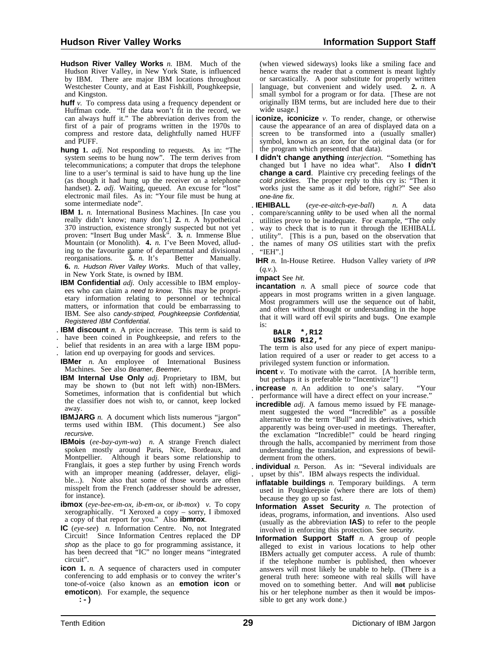- **Hudson River Valley Works** *n.* IBM. Much of the Hudson River Valley, in New York State, is influenced by IBM. There are major IBM locations throughout Westchester County, and at East Fishkill, Poughkeepsie, and Kingston.
- **huff** *v*. To compress data using a frequency dependent or Huffman code. "If the data won't fit in the record, we can always huff it." The abbreviation derives from the first of a pair of programs written in the 1970s to compress and restore data, delightfully named HUFF and PUFF.
- **hung 1.** *adj.* Not responding to requests. As in: "The system seems to be hung now". The term derives from telecommunications; a computer that drops the telephone line to a user's terminal is said to have hung up the line (as though it had hung up the receiver on a telephone handset). 2. *adj.* Waiting, queued. An excuse for "lost" electronic mail files. As in: "Your file must be hung at some intermediate node".
- **IBM 1.** *n.* International Business Machines. [In case you really didn't know; many don't.] **2.** *n.* A hypothetical 370 instruction, existence strongly suspected but not yet proven: "Insert Bug under Mask". **3.** *n.* Immense Blue Mountain (or Monolith). **4.** *n.* I've Been Moved, alluding to the favourite game of departmental and divisional reorganisations. **5.** *n.* It's Better Manually. **6.** *n.* Hudson River Valley Works. Much of that valley, in New York State, is owned by IBM.
- **IBM Confidential** *adj.* Only accessible to IBM employees who can claim a need to know. This may be proprietary information relating to personnel or technical matters, or information that could be embarrassing to IBM. See also candy-striped, Poughkeepsie Confidential, Registered IBM Confidential.
- . **IBM discount** *n.* A price increase. This term is said to
- . have been coined in Poughkeepsie, and refers to the
- . belief that residents in an area with a large IBM popu-
- . lation end up overpaying for goods and services.
- **IBMer** *n.* An employee of International Business Machines. See also Beamer, Beemer.
- **IBM Internal Use Only** *adj.* Proprietary to IBM, but may be shown to (but not left with) non-IBMers. Sometimes, information that is confidential but which the classifier does not wish to, or cannot, keep locked away.
- **IBMJARG** *n.* A document which lists numerous "jargon" terms used within IBM. (This document.) See also recursive.
- **IBMois** (*ee-bay-aym-wa*) *n.* A strange French dialect spoken mostly around Paris, Nice, Bordeaux, and Montpellier. Although it bears some relationship to Franglais, it goes a step further by using French words with an improper meaning (addresser, delayer, eligible...). Note also that some of those words are often misspelt from the French (addresser should be adresser, for instance).
- **ibmox** (*eye-bee-em-ox, ib-em-ox,* or *ib-mox*) *v.* To copy xerographically. "I Xeroxed a copy – sorry, I ibmoxed a copy of that report for you." Also **ibmrox**.
- **IC** (*eye-see*) *n.* Information Centre. No, not Integrated Circuit! Since Information Centres replaced the DP shop as the place to go for programming assistance, it has been decreed that "IC" no longer means "integrated circuit".
- **icon** 1. *n.* A sequence of characters used in computer conferencing to add emphasis or to convey the writer's tone-of-voice (also known as an **emotion icon** or **emoticon**). For example, the sequence

 **:-)**

(when viewed sideways) looks like a smiling face and hence warns the reader that a comment is meant lightly or sarcastically. A poor substitute for properly written language, but convenient and widely used. 2. *n.* A small symbol for a program or for data. [These are not originally IBM terms, but are included here due to their wide usage.]

- **iconize, iconicize** *v*. To render, change, or otherwise cause the appearance of an area of displayed data on a screen to be transformed into a (usually smaller) symbol, known as an *icon*, for the original data (or for | the program which presented that data).
- **I didn't change anything** *interjection*. "Something has changed but I have no idea what". Also **I didn't** changed but I have no idea what". **change a card**. Plaintive cry preceding feelings of the cold pricklies. The proper reply to this cry is: "Then it works just the same as it did before, right?" See also one-line fix.

. **IEHIBALL** (*eye-ee-aitch-eye-ball*) *n.* A data . compare/scanning utility to be used when all the normal . utilities prove to be inadequate. For example, "The only . way to check that is to run it through the IEHIBALL . utility". [This is a pun, based on the observation that . the names of many OS utilities start with the prefix . "IEH".]

**IHR** *n.* In-House Retiree. Hudson Valley variety of IPR (*q.v.*).

**impact** See hit.

**incantation** *n*. A small piece of source code that appears in most programs written in a given language. Most programmers will use the sequence out of habit, and often without thought or understanding in the hope that it will ward off evil spirits and bugs. One example is:

 **BALR \*,R12**

 **USING R12,\***

The term is also used for any piece of expert manipulation required of a user or reader to get access to a privileged system function or information.

- **incent** *v*. To motivate with the carrot. [A horrible term, but perhaps it is preferable to "Incentivize"!]
- **increase** *n*. An addition to one's salary. "Your . performance will have a direct effect on your increase."
- **incredible** *adj.* A famous memo issued by FE management suggested the word "Incredible" as a possible alternative to the term "Bull" and its derivatives, which apparently was being over-used in meetings. Thereafter, the exclamation "Incredible!" could be heard ringing through the halls, accompanied by merriment from those understanding the translation, and expressions of bewilderment from the others.

. **individual** *n.* Person. As in: "Several individuals are . upset by this". IBM always respects the individual.

**inflatable buildings** *n.* Temporary buildings. A term used in Poughkeepsie (where there are lots of them) because they go up so fast.

**Information Asset Security** *n.* The protection of ideas, programs, information, and inventions. Also used (usually as the abbreviation **IAS**) to refer to the people involved in enforcing this protection. See security.

**Information Support Staff** *n.* A group of people alleged to exist in various locations to help other IBMers actually get computer access. A rule of thumb: if the telephone number is published, then whoever answers will most likely be unable to help. (There is a general truth here: someone with real skills will have moved on to something better. And will **not** publicise his or her telephone number as then it would be impossible to get any work done.)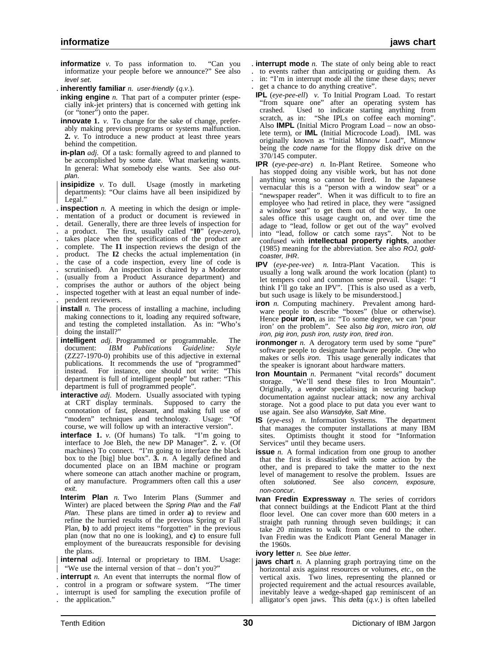- **informatize** *v.* To pass information to. "Can you informatize your people before we announce?" See also level set.
- . **inherently familiar** *n.* user-friendly (*q.v.*).
- **inking engine** *n*. That part of a computer printer (especially ink-jet printers) that is concerned with getting ink (or "toner") onto the paper.
- **innovate** 1. *v*. To change for the sake of change, preferably making previous programs or systems malfunction. **2.** *v.* To introduce a new product at least three years behind the competition.
- **in-plan** *adj.* Of a task: formally agreed to and planned to be accomplished by some date. What marketing wants. In general: What somebody else wants. See also outplan.
- **insipidize** *v*. To dull. Usage (mostly in marketing departments): "Our claims have all been insipidized by Legal."
- . **inspection** *n.* A meeting in which the design or imple- . mentation of a product or document is reviewed in . detail. Generally, there are three levels of inspection for . a product. The first, usually called "**I0**" (*eye-zero*), . takes place when the specifications of the product are
- . complete. The **I1** inspection reviews the design of the
- . product. The **I2** checks the actual implementation (in . the case of a code inspection, every line of code is
- scrutinised). An inspection is chaired by a Moderator
- . (usually from a Product Assurance department) and
- . comprises the author or authors of the object being
- . inspected together with at least an equal number of inde- . pendent reviewers.
- **install** *n*. The process of installing a machine, including making connections to it, loading any required software, and testing the completed installation. As in: "Who's doing the install?"
- **intelligent** *adj.* Programmed or programmable. The document: IBM Publications Guideline: Style | document: *IBM Publications Guideline: Style* | (ZZ27-1970-0) prohibits use of this adjective in external publications. It recommends the use of "programmed" instead. For instance, one should not write: "This | department is full of intelligent people" but rather: "This | department is full of programmed people".
- **interactive** *adj.* Modern. Usually associated with typing at CRT display terminals. Supposed to carry the at CRT display terminals. connotation of fast, pleasant, and making full use of "modern" techniques and technology. Usage: "Of course, we will follow up with an interactive version".
- **interface 1.** *v.* (Of humans) To talk. "I'm going to interface to Joe Bleh, the new DP Manager". **2.** *v.* (Of machines) To connect. "I'm going to interface the black box to the [big] blue box". **3.** *n.* A legally defined and documented place on an IBM machine or program where someone can attach another machine or program, of any manufacture. Programmers often call this a user exit.
- **Interim Plan** *n.* Two Interim Plans (Summer and Winter) are placed between the Spring Plan and the Fall Plan. These plans are timed in order **a)** to review and refine the hurried results of the previous Spring or Fall Plan, **b)** to add project items "forgotten" in the previous plan (now that no one is looking), and **c)** to ensure full employment of the bureaucrats responsible for devising the plans.
- internal *adj*. Internal or proprietary to IBM. Usage: "We use the internal version of that  $-$  don't you?"
- . **interrupt** *n.* An event that interrupts the normal flow of . control in a program or software system. "The timer
- . interrupt is used for sampling the execution profile of . the application."
- . **interrupt mode** *n.* The state of only being able to react . to events rather than anticipating or guiding them. As
- . in: "I'm in interrupt mode all the time these days; never . get a chance to do anything creative".
- **IPL** (*eye-pee-ell*) *v.* To Initial Program Load. To restart "from square one" after an operating system has crashed. Used to indicate starting anything from scratch, as in: "She IPLs on coffee each morning". Also **IMPL** (Initial Micro Program Load – now an obsolete term), or **IML** (Initial Microcode Load). IML was originally known as "Initial Minnow Load", Minnow being the code name for the floppy disk drive on the 370/145 computer.
- **IPR** (*eye-pee-are*) *n.* In-Plant Retiree. Someone who has stopped doing any visible work, but has not done anything wrong so cannot be fired. In the Japanese | vernacular this is a "person with a window seat" or a "newspaper reader". When it was difficult to to fire an employee who had retired in place, they were "assigned a window seat" to get them out of the way. In one sales office this usage caught on, and over time the adage to "lead, follow or get out of the way" evolved into "lead, follow or catch some rays". Not to be confused with **intellectual property rights**, another (1985) meaning for the abbreviation. See also ROJ, goldcoaster, IHR.
- **IPV** (*eye-pee-vee*) *n.* Intra-Plant Vacation. This is usually a long walk around the work location (plant) to let tempers cool and common sense prevail. Usage: "I think I'll go take an IPV". [This is also used as a verb, but such usage is likely to be misunderstood.]
- **iron** *n.* Computing machinery. Prevalent among hardware people to describe "boxes" (blue or otherwise). Hence **pour iron**, as in: "To some degree, we can 'pour iron' on the problem". See also big iron, micro iron, old iron, pig iron, push iron, rusty iron, tired iron.
- **ironmonger** *n*. A derogatory term used by some "pure" software people to designate hardware people. One who makes or sells iron. This usage generally indicates that the speaker is ignorant about hardware matters.
- **Iron Mountain** *n.* Permanent "vital records" document storage. "We'll send these files to Iron Mountain". Originally, a vendor specialising in securing backup documentation against nuclear attack; now any archival storage. Not a good place to put data you ever want to use again. See also Wansdyke, Salt Mine.
- **IS** (*eye-ess*) *n.* Information Systems. The department that manages the computer installations at many IBM sites. Optimists thought it stood for "Information Services" until they became users.
- **issue** *n*. A formal indication from one group to another that the first is dissatisfied with some action by the other, and is prepared to take the matter to the next level of management to resolve the problem. Issues are often solutioned. See also concern, exposure, non-concur.
- **Ivan Fredin Expressway** *n.* The series of corridors that connect buildings at the Endicott Plant at the third floor level. One can cover more than 600 meters in a straight path running through seven buildings; it can take 20 minutes to walk from one end to the other. Ivan Fredin was the Endicott Plant General Manager in the 1960s.

**ivory letter** *n.* See blue letter.

**jaws chart** *n*. A planning graph portraying time on the horizontal axis against resources or volumes, *etc.*, on the | vertical axis. Two lines, representing the planned or projected requirement and the actual resources available, inevitably leave a wedge-shaped gap reminiscent of an alligator's open jaws. This  $\det(a, v)$  is often labelled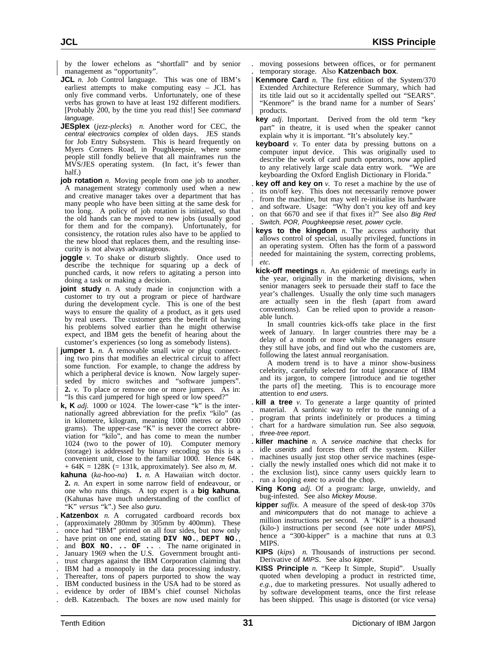by the lower echelons as "shortfall" and by senior management as "opportunity".

- **JCL** *n*. Job Control language. This was one of IBM's earliest attempts to make computing easy – JCL has only five command verbs. Unfortunately, one of these verbs has grown to have at least 192 different modifiers. [Probably 200, by the time you read this!] See command language.
- **JESplex** (*jezz-plecks*) *n.* Another word for CEC, the central electronics complex of olden days. JES stands for Job Entry Subsystem. This is heard frequently on Myers Corners Road, in Poughkeepsie, where some people still fondly believe that all mainframes run the MVS/JES operating system. (In fact, it's fewer than half.)
- **job rotation** *n*. Moving people from one job to another. A management strategy commonly used when a new and creative manager takes over a department that has many people who have been sitting at the same desk for too long. A policy of job rotation is initiated, so that the old hands can be moved to new jobs (usually good for them and for the company). Unfortunately, for consistency, the rotation rules also have to be applied to the new blood that replaces them, and the resulting insecurity is not always advantageous.
- **joggle** *v*. To shake or disturb slightly. Once used to describe the technique for squaring up a deck of punched cards, it now refers to agitating a person into doing a task or making a decision.
- **joint study** *n*. A study made in conjunction with a customer to try out a program or piece of hardware during the development cycle. This is one of the best ways to ensure the quality of a product, as it gets used by real users. The customer gets the benefit of having his problems solved earlier than he might otherwise expect, and IBM gets the benefit of hearing about the customer's experiences (so long as somebody listens).
- **jumper** 1. *n.* A removable small wire or plug connecting two pins that modifies an electrical circuit to affect some function. For example, to change the address by which a peripheral device is known. Now largely superseded by micro switches and "software jumpers". | **2.** *v.* To place or remove one or more jumpers. As in: "Is this card jumpered for high speed or low speed?"
- **k, K** *adj.* 1000 or 1024. The lower-case "k" is the internationally agreed abbreviation for the prefix "kilo" (as in kilometre, kilogram, meaning 1000 metres or 1000 grams). The upper-case "K" is never the correct abbreviation for "kilo", and has come to mean the number 1024 (two to the power of 10). Computer memory (storage) is addressed by binary encoding so this is a convenient unit, close to the familiar 1000. Hence 64K  $+ 64K = 128K (= 131k, approximately)$ . See also *m*, *M*.
- **kahuna** (*ka-hoo-na*) **1.** *n.* A Hawaiian witch doctor. **2.** *n.* An expert in some narrow field of endeavour, or one who runs things. A top expert is a **big kahuna**. (Kahunas have much understanding of the conflict of "K" *versus* "k".) See also guru.
- . **Katzenbox** *n.* A corrugated cardboard records box . (approximately 280mm by 305mm by 400mm). These
- . once had "IBM" printed on all four sides, but now only
- . have print on one end, stating **DIV NO.**, **DEPT NO.**, . and **BOX NO. .. OF ..** . The name originated in
- . January 1969 when the U.S. Government brought anti-
- . trust charges against the IBM Corporation claiming that
- . IBM had a monopoly in the data processing industry.
- . Thereafter, tons of papers purported to show the way
- . IBM conducted business in the USA had to be stored as
- . evidence by order of IBM's chief counsel Nicholas . deB. Katzenbach. The boxes are now used mainly for
- . moving possesions between offices, or for permanent . temporary storage. Also **Katzenbach box**.
- **Kenmore Card** *n*. The first edition of the System/370 Extended Architecture Reference Summary, which had its title laid out so it accidentally spelled out "SEARS". "Kenmore" is the brand name for a number of Sears' | products.
- **key** *adj.* Important. Derived from the old term "key part" in theatre, it is used when the speaker cannot explain why it is important. "It's absolutely key."
- **keyboard** *v*. To enter data by pressing buttons on a computer input device. This was originally used to describe the work of card punch operators, now applied to any relatively large scale data entry work. "We are keyboarding the Oxford English Dictionary in Florida."
- . **key off and key on** *v.* To reset a machine by the use of . its on/off key. This does not necessarily remove power . from the machine, but may well re-initialise its hardware . and software. Usage: "Why don't you key off and key . on that 6670 and see if that fixes it?" See also Big Red . Switch, POR, Poughkeepsie reset, power cycle.
- **keys to the kingdom** *n*. The access authority that allows control of special, usually privileged, functions in an operating system. Often has the form of a password needed for maintaining the system, correcting problems, | *etc.*
- **kick-off meetings** *n.* An epidemic of meetings early in the year, originally in the marketing divisions, when senior managers seek to persuade their staff to face the year's challenges. Usually the only time such managers are actually seen in the flesh (apart from award conventions). Can be relied upon to provide a reasonable lunch.
- In small countries kick-offs take place in the first week of January. In larger countries there may be a delay of a month or more while the managers ensure they still have jobs, and find out who the customers are, following the latest annual reorganisation.
- A modern trend is to have a minor show-business celebrity, carefully selected for total ignorance of IBM and its jargon, to compere [introduce and tie together the parts of] the meeting. This is to encourage more attention to end users.
- . **kill a tree** *v.* To generate a large quantity of printed . material. A sardonic way to refer to the running of a . program that prints indefinitely or produces a timing . chart for a hardware simulation run. See also sequoia, . three-tree report.
- . **killer machine** *n.* A service machine that checks for idle *userids* and forces them off the system. Killer . machines usually just stop other service machines (espe- . cially the newly installed ones which did not make it to . the exclusion list), since canny users quickly learn to . run a looping exec to avoid the chop.
- **King Kong** *adj.* Of a program: large, unwieldy, and bug-infested. See also Mickey Mouse.
- **kipper** *suffix.* A measure of the speed of desk-top 370s and minicomputers that do not manage to achieve a million instructions per second. A "KIP" is a thousand (kilo-) instructions per second (see note under MIPS), hence a "300-kipper" is a machine that runs at 0.3 MIPS.
- **KIPS** (*kips*) *n.* Thousands of instructions per second. Derivative of MIPS. See also kipper.
- **KISS Principle** *n.* "Keep It Simple, Stupid". Usually quoted when developing a product in restricted time, *e.g.*, due to marketing pressures. Not usually adhered to by software development teams, once the first release has been shipped. This usage is distorted (or vice versa)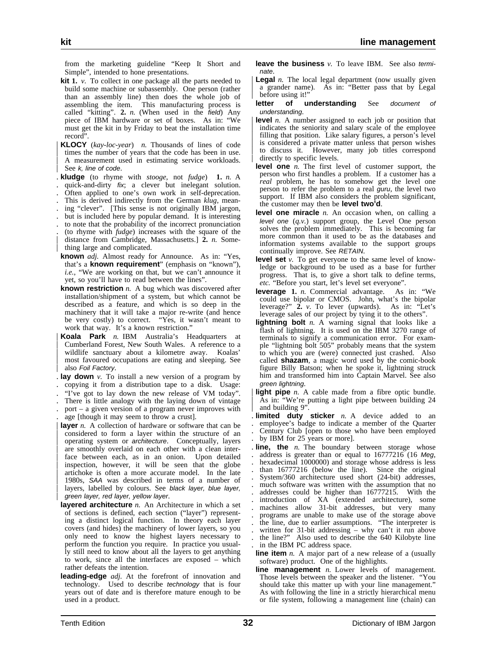from the marketing guideline "Keep It Short and Simple", intended to hone presentations.

- **kit 1.** *v.* To collect in one package all the parts needed to build some machine or subassembly. One person (rather than an assembly line) then does the whole job of assembling the item. This manufacturing process is called "kitting". **2.** *n.* (When used in the field) Any piece of IBM hardware or set of boxes. As in: "We must get the kit in by Friday to beat the installation time record".
- | **KLOCY** (*kay-loc-year*) *n.* Thousands of lines of code times the number of years that the code has been in use. A measurement used in estimating service workloads. See k, line of code.
- . **kludge** (to rhyme with *stooge*, not *fudge*) **1.** *n.* A
- . quick-and-dirty fix; a clever but inelegant solution. . Often applied to one's own work in self-deprecation.
- . This is derived indirectly from the German *klug*, mean-
- ing "clever". [This sense is not originally IBM jargon,
- . but is included here by popular demand. It is interesting
- . to note that the probability of the incorrect pronunciation
- . (to rhyme with *fudge*) increases with the square of the | distance from Cambridge, Massachusetts.] **2.** *n.* Some-
- thing large and complicated. **known** *adj.* Almost ready for Announce. As in: "Yes,
- that's a **known requirement**" (emphasis on "known"), *i.e.*, "We are working on that, but we can't announce it yet, so you'll have to read between the lines".
- **known restriction** *n.* A bug which was discovered after installation/shipment of a system, but which cannot be described as a feature, and which is so deep in the machinery that it will take a major re-write (and hence be very costly) to correct. "Yes, it wasn't meant to work that way. It's a known restriction."
- | **Koala Park** *n.* IBM Australia's Headquarters at | Cumberland Forest, New South Wales. A reference to a wildlife sanctuary about a kilometre away. most favoured occupations are eating and sleeping. See also Foil Factory.
- . **lay down** *v.* To install a new version of a program by . copying it from a distribution tape to a disk. Usage:
- . "I've got to lay down the new release of VM today".
- . There is little analogy with the laying down of vintage
- . port a given version of a program never improves with . age [though it may seem to throw a crust].
- layer *n*. A collection of hardware or software that can be | considered to form a layer within the structure of an operating system or *architecture*. Conceptually, layers are smoothly overlaid on each other with a clean interface between each, as in an onion. Upon detailed inspection, however, it will be seen that the globe artichoke is often a more accurate model. In the late 1980s, SAA was described in terms of a number of layers, labelled by colours. See black layer, blue layer, green layer, red layer, yellow layer.
- **layered architecture** *n.* An Architecture in which a set of sections is defined, each section ("layer") representing a distinct logical function. In theory each layer covers (and hides) the machinery of lower layers, so you only need to know the highest layers necessary to perform the function you require. In practice you usually still need to know about all the layers to get anything to work, since all the interfaces are exposed – which rather defeats the intention.
- **leading-edge** *adj.* At the forefront of innovation and technology. Used to describe technology that is four years out of date and is therefore mature enough to be used in a product.

**leave the business** *v.* To leave IBM. See also terminate.

- | Legal *n*. The local legal department (now usually given | a grander name). As in: "Better pass that by Legal before using it!"
- **letter of understanding** See document understanding.
- level *n*. A number assigned to each job or position that indicates the seniority and salary scale of the employee filling that position. Like salary figures, a person's level is considered a private matter unless that person wishes | to discuss it. However, many job titles correspond directly to specific levels.
- **level one** *n.* The first level of customer support, the person who first handles a problem. If a customer has a *real* problem, he has to somehow get the level one person to refer the problem to a real guru, the level two support. If IBM also considers the problem significant, the customer may then be **level two'd**.
- **level one miracle** *n.* An occasion when, on calling a level one (*q.v.*) support group, the Level One person solves the problem immediately. This is becoming far more common than it used to be as the databases and information systems available to the support groups continually improve. See RETAIN.
- **level set** *v.* To get everyone to the same level of knowledge or background to be used as a base for further progress. That is, to give a short talk to define terms, *etc.* "Before you start, let's level set everyone".
- **leverage 1.** *n.* Commercial advantage. As in: "We could use bipolar or CMOS. John, what's the bipolar leverage?" **2.** *v.* To lever (upwards). As in: "Let's leverage sales of our project by tying it to the others".
- **lightning bolt** *n.* A warning signal that looks like a flash of lightning. It is used on the IBM 3270 range of terminals to signify a communication error. For example "lightning bolt 505" probably means that the system to which you are (were) connected just crashed. Also called **shazam**, a magic word used by the comic-book figure Billy Batson; when he spoke it, lightning struck him and transformed him into Captain Marvel. See also green lightning.
- **light pipe** *n*. A cable made from a fibre optic bundle. | As in: "We're putting a light pipe between building 24 and building 9".
- **limited duty sticker** *n*. A device added to an . employee's badge to indicate a member of the Quarter . Century Club [open to those who have been employed by IBM for 25 years or more].
- . **line, the** *n.* The boundary between storage whose address is greater than or equal to  $16777216$  (16 Meg, . hexadecimal 1000000) and storage whose address is less . than 16777216 (below the line). Since the original . System/360 architecture used short (24-bit) addresses, . much software was written with the assumption that no . addresses could be higher than 16777215. With the . introduction of XA (extended architecture), some . machines allow 31-bit addresses, but very many . programs are unable to make use of the storage above . the line, due to earlier assumptions. "The interpreter is written for 31-bit addressing  $-$  why can't it run above . the line?" Also used to describe the 640 Kilobyte line . in the IBM PC address space.
- **line item** *n*. A major part of a new release of a (usually software) product. One of the highlights.
- **line management** *n.* Lower levels of management. Those levels between the speaker and the listener. "You should take this matter up with your line management." As with following the line in a strictly hierarchical menu or file system, following a management line (chain) can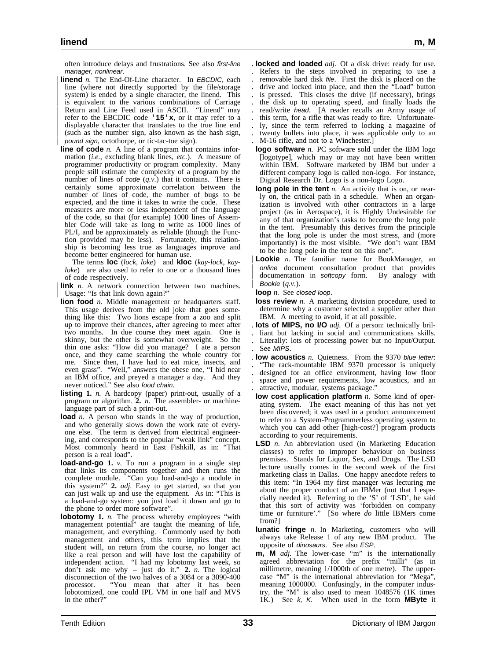often introduce delays and frustrations. See also first-line manager, nonlinear.

- **linend** *n*. The End-Of-Line character. In EBCDIC, each line (where not directly supported by the file/storage system) is ended by a single character, the linend. This is equivalent to the various combinations of Carriage Return and Line Feed used in ASCII. "Linend" may | refer to the EBCDIC code **'15'x**, or it may refer to a | displayable character that translates to the true line end (such as the number sign, also known as the hash sign, | pound sign, octothorpe, or tic-tac-toe sign).
- **line of code** *n*. A line of a program that contains information (*i.e.*, excluding blank lines, *etc.*). A measure of programmer productivity or program complexity. Many people still estimate the complexity of a program by the number of lines of code (*q.v.*) that it contains. There is certainly some approximate correlation between the number of lines of code, the number of bugs to be expected, and the time it takes to write the code. These measures are more or less independent of the language of the code, so that (for example) 1000 lines of Assembler Code will take as long to write as 1000 lines of PL/I, and be approximately as reliable (though the Function provided may be less). Fortunately, this relationship is becoming less true as languages improve and become better engineered for human use.

The terms **loc** (*lock, loke*) and **kloc** (*kay-lock, kayloke*) are also used to refer to one or a thousand lines of code respectively.

link *n*. A network connection between two machines. Usage: "Is that link down again?"

- **lion food** *n*. Middle management or headquarters staff. This usage derives from the old joke that goes something like this: Two lions escape from a zoo and split up to improve their chances, after agreeing to meet after two months. In due course they meet again. One is skinny, but the other is somewhat overweight. So the thin one asks: "How did you manage? I ate a person once, and they came searching the whole country for me. Since then, I have had to eat mice, insects, and even grass". "Well," answers the obese one, "I hid near an IBM office, and preyed a manager a day. And they never noticed." See also food chain.
- **listing 1.** *n.* A hardcopy (paper) print-out, usually of a program or algorithm. **2.** *n.* The assembler- or machinelanguage part of such a print-out.
- **load** *n*. A person who stands in the way of production, and who generally slows down the work rate of everyone else. The term is derived from electrical engineering, and corresponds to the popular "weak link" concept. Most commonly heard in East Fishkill, as in: "That person is a real load".
- **load-and-go 1.** *v.* To run a program in a single step that links its components together and then runs the complete module. "Can you load-and-go a module in this system?" **2.** *adj.* Easy to get started, so that you can just walk up and use the equipment. As in: "This is a load-and-go system: you just load it down and go to the phone to order more software".
- **lobotomy 1.** *n.* The process whereby employees "with management potential" are taught the meaning of life, management, and everything. Commonly used by both management and others, this term implies that the student will, on return from the course, no longer act like a real person and will have lost the capability of independent action. "I had my lobotomy last week, so don't ask me why – just do it." **2.** *n.* The logical disconnection of the two halves of a 3084 or a 3090-400 processor. "You mean that after it has been lobotomized, one could IPL VM in one half and MVS in the other?"

. **locked and loaded** *adj.* Of a disk drive: ready for use. . Refers to the steps involved in preparing to use a removable hard disk file. First the disk is placed on the . drive and locked into place, and then the "Load" button . is pressed. This closes the drive (if necessary), brings . the disk up to operating speed, and finally loads the . read/write head. [A reader recalls an Army usage of this term, for a rifle that was ready to fire. Unfortunate-. ly, since the term referred to locking a magazine of twenty bullets into place, it was applicable only to an . M-16 rifle, and not to a Winchester.]

- **logo software** *n.* PC software sold under the IBM logo [logotype], which may or may not have been written within IBM. Software marketed by IBM but under a different company logo is called non-logo. For instance, Digital Research Dr. Logo is a non-logo Logo.
- **long pole in the tent** *n*. An activity that is on, or nearly on, the critical path in a schedule. When an organization is involved with other contractors in a large project (as in Aerospace), it is Highly Undesirable for any of that organization's tasks to become the long pole in the tent. Presumably this derives from the principle that the long pole is under the most stress, and (more importantly) is the most visible. "We don't want IBM to be the long pole in the tent on this one".
- **Lookie** *n*. The familiar name for BookManager, an | online document consultation product that provides documentation in softcopy form. By analogy with | Bookie (*q.v.*).
- **loop** *n.* See closed loop.
- **loss review** *n*. A marketing division procedure, used to determine why a customer selected a supplier other than IBM. A meeting to avoid, if at all possible.
- . **lots of MIPS, no I/O** *adj.* Of a person: technically bril-

. liant but lacking in social and communications skills. . Literally: lots of processing power but no Input/Output. See MIPS.

. **low acoustics** *n.* Quietness. From the 9370 blue letter: "The rack-mountable IBM 9370 processor is uniquely . designed for an office environment, having low floor space and power requirements, low acoustics, and an . attractive, modular, systems package."

- **low cost application platform** *n.* Some kind of operating system. The exact meaning of this has not yet been discovered; it was used in a product announcement to refer to a System-Programmerless operating system to which you can add other [high-cost?] program products according to your requirements.
- **LSD** *n*. An abbreviation used (in Marketing Education classes) to refer to improper behaviour on business premises. Stands for Liquor, Sex, and Drugs. The LSD lecture usually comes in the second week of the first marketing class in Dallas. One happy anecdote refers to this item: "In 1964 my first manager was lecturing me about the proper conduct of an IBMer (not that I especially needed it). Referring to the 'S' of 'LSD', he said that this sort of activity was 'forbidden on company time or furniture'." [So where *do* little IBMers come from?]
- **lunatic fringe** *n.* In Marketing, customers who will always take Release 1 of any new IBM product. The opposite of dinosaurs. See also ESP.
- **m, M** *adj.* The lower-case "m" is the internationally agreed abbreviation for the prefix "milli" (as in millimetre, meaning 1/1000th of one metre). The uppercase "M" is the international abbreviation for "Mega", meaning 1000000. Confusingly, in the computer industry, the "M" is also used to mean 1048576 (1K times 1K.) See k, K. When used in the form **MByte** it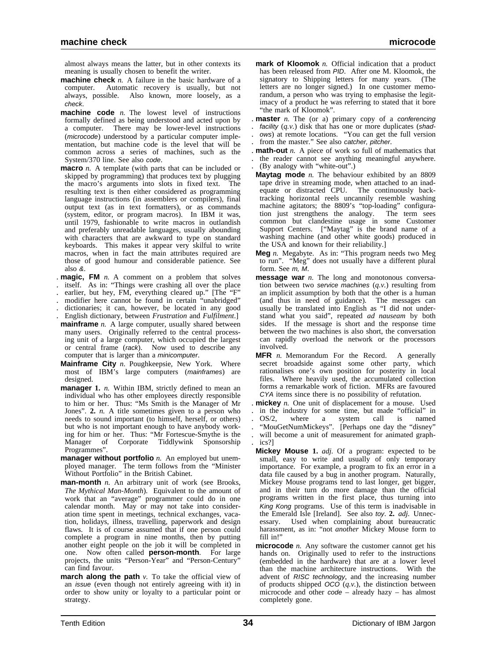almost always means the latter, but in other contexts its meaning is usually chosen to benefit the writer.

- **machine check** *n.* A failure in the basic hardware of a computer. Automatic recovery is usually, but not always, possible. Also known, more loosely, as a check.
- **machine code** *n*. The lowest level of instructions formally defined as being understood and acted upon by a computer. There may be lower-level instructions (microcode) understood by a particular computer implementation, but machine code is the level that will be common across a series of machines, such as the System/370 line. See also code.
- **macro** *n.* A template (with parts that can be included or skipped by programming) that produces text by plugging the macro's arguments into slots in fixed text. The resulting text is then either considered as programming language instructions (in assemblers or compilers), final output text (as in text formatters), or as commands (system, editor, or program macros). In IBM it was, until 1979, fashionable to write macros in outlandish and preferably unreadable languages, usually abounding with characters that are awkward to type on standard keyboards. This makes it appear very skilful to write macros, when in fact the main attributes required are those of good humour and considerable patience. See also &.
- . **magic, FM** *n.* A comment on a problem that solves
- . itself. As in: "Things were crashing all over the place
- earlier, but hey, FM, everything cleared up." [The "F"
- . modifier here cannot be found in certain "unabridged" . dictionaries; it can, however, be located in any good
- . English dictionary, between *Frustration* and *Fulfilment*.]
- **mainframe** *n*. A large computer, usually shared between many users. Originally referred to the central processing unit of a large computer, which occupied the largest or central frame (rack). Now used to describe any computer that is larger than a minicomputer.
- **Mainframe City** *n.* Poughkeepsie, New York. Where most of IBM's large computers (mainframes) are designed.
- **manager 1.** *n.* Within IBM, strictly defined to mean an individual who has other employees directly responsible to him or her. Thus: "Ms Smith is the Manager of Mr Jones". **2.** *n.* A title sometimes given to a person who needs to sound important (to himself, herself, or others) but who is not important enough to have anybody working for him or her. Thus: "Mr Fortescue-Smythe is the Manager of Corporate Tiddlywink Sponsorship Programmes".
- **manager without portfolio** *n*. An employed but unemployed manager. The term follows from the "Minister Without Portfolio" in the British Cabinet.
- **man-month** *n.* An arbitrary unit of work (see Brooks, *The Mythical Man-Month*). Equivalent to the amount of work that an "average" programmer could do in one calendar month. May or may not take into consideration time spent in meetings, technical exchanges, vacation, holidays, illness, travelling, paperwork and design flaws. It is of course assumed that if one person could complete a program in nine months, then by putting another eight people on the job it will be completed in one. Now often called **person-month**. For large projects, the units "Person-Year" and "Person-Century" can find favour.
- **march along the path**  $v$ . To take the official view of an issue (even though not entirely agreeing with it) in order to show unity or loyalty to a particular point or strategy.
- **mark of Kloomok** *n.* Official indication that a product has been released from PID. After one M. Kloomok, the signatory to Shipping letters for many years. (The letters are no longer signed.) In one customer memorandum, a person who was trying to emphasise the legitimacy of a product he was referring to stated that it bore "the mark of Kloomok".
- . **master** *n.* The (or a) primary copy of a conferencing facility (q.v.) disk that has one or more duplicates (shad-. ows) at remote locations. "You can get the full version
- from the master." See also catcher, pitcher.
- . **math-out** *n.* A piece of work so full of mathematics that . the reader cannot see anything meaningful anywhere. . (By analogy with "white-out".)
- **Maytag mode** *n.* The behaviour exhibited by an 8809 tape drive in streaming mode, when attached to an inadequate or distracted CPU. The continuously backtracking horizontal reels uncannily resemble washing machine agitators; the 8809's "top-loading" configura-<br>tion just strengthens the analogy. The term sees tion just strengthens the analogy. common but clandestine usage in some Customer Support Centers. ["Maytag" is the brand name of a washing machine (and other white goods) produced in the USA and known for their reliability.]
- **Meg** *n.* Megabyte. As in: "This program needs two Meg to run". "Meg" does not usually have a different plural form. See m, M.
- **message war** *n.* The long and monotonous conversation between two service machines (*q.v.*) resulting from an implicit assumption by both that the other is a human (and thus in need of guidance). The messages can usually be translated into English as "I did not understand what you said", repeated *ad nauseam* by both sides. If the message is short and the response time between the two machines is also short, the conversation can rapidly overload the network or the processors involved.
- **MFR** *n*. Memorandum For the Record. A generally secret broadside against some other party, which rationalises one's own position for posterity in local files. Where heavily used, the accumulated collection forms a remarkable work of fiction. MFRs are favoured CYA items since there is no possibility of refutation.
- . **mickey** *n.* One unit of displacement for a mouse. Used . in the industry for some time, but made "official" in . OS/2, where a system call is named . "MouGetNumMickeys". [Perhaps one day the "disney" will become a unit of measurement for animated graph-. ics?]
- **Mickey Mouse 1.** *adj.* Of a program: expected to be small, easy to write and usually of only temporary importance. For example, a program to fix an error in a data file caused by a bug in another program. Naturally, Mickey Mouse programs tend to last longer, get bigger, and in their turn do more damage than the official programs written in the first place, thus turning into King Kong programs. Use of this term is inadvisable in the Emerald Isle [Ireland]. See also toy. **2.** *adj.* Unnec-Used when complaining about bureaucratic harassment, as in: "not *another* Mickey Mouse form to fill in!"
- **microcode** *n.* Any software the customer cannot get his hands on. Originally used to refer to the instructions (embedded in the hardware) that are at a lower level than the machine architecture instructions. With the advent of RISC technology, and the increasing number of products shipped OCO (*q.v.*), the distinction between microcode and other code – already hazy – has almost completely gone.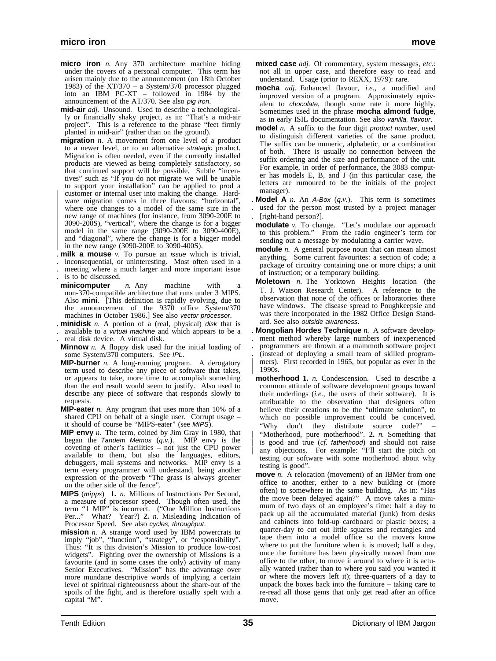- **micro iron** *n.* Any 370 architecture machine hiding under the covers of a personal computer. This term has arisen mainly due to the announcement (on 18th October 1983) of the XT/370 – a System/370 processor plugged into an IBM PC-XT – followed in 1984 by the announcement of the AT/370. See also pig iron.
- **mid-air** *adj.* Unsound. Used to describe a technologically or financially shaky project, as in: "That's a mid-air project". This is a reference to the phrase "feet firmly planted in mid-air" (rather than on the ground).
- **migration** *n.* A movement from one level of a product to a newer level, or to an alternative strategic product. Migration is often needed, even if the currently installed products are viewed as being completely satisfactory, so that continued support will be possible. Subtle "incentives" such as "If you do not migrate we will be unable to support your installation" can be applied to prod a customer or internal user into making the change. Hardware migration comes in three flavours: "horizontal", | where one changes to a model of the same size in the new range of machines (for instance, from 3090-200E to | 3090-200S), "vertical", where the change is for a bigger model in the same range  $(3090-200E)$  to  $3090-400E$ ), and "diagonal", where the change is for a bigger model in the new range (3090-200E to 3090-400S).
- 
- . **milk a mouse** *v.* To pursue an issue which is trivial, . inconsequential, or uninteresting. Most often used in a . meeting where a much larger and more important issue . is to be discussed.
- **minicomputer** *n.* Any machine with non-370-compatible architecture that runs under 3 MIPS. Also **mini**. [This definition is rapidly evolving, due to the announcement of the 9370 office System/370 machines in October 1986.] See also vector processor.
- . **minidisk** *n.* A portion of a (real, physical) disk that is
- . available to a virtual machine and which appears to be a

. real disk device. A virtual disk.

- **Minnow** *n.* A floppy disk used for the initial loading of some System/370 computers. See IPL.
- **MIP-burner** *n.* A long-running program. A derogatory term used to describe any piece of software that takes, or appears to take, more time to accomplish something than the end result would seem to justify. Also used to describe any piece of software that responds slowly to requests.
- **MIP-eater** *n.* Any program that uses more than 10% of a shared CPU on behalf of a single user. Corrupt usage – it should of course be "MIPS-eater" (see MIPS).
- **MIP envy** *n.* The term, coined by Jim Gray in 1980, that began the Tandem Memos (*q.v.*). MIP envy is the coveting of other's facilities – not just the CPU power available to them, but also the languages, editors, debuggers, mail systems and networks. MIP envy is a term every programmer will understand, being another expression of the proverb "The grass is always greener on the other side of the fence".
- **MIPS** (*mipps*) **1.** *n.* Millions of Instructions Per Second, a measure of processor speed. Though often used, the term "1 MIP" is incorrect. ("One Million Instructions Per..." What? Year?) **2.** *n.* Misleading Indication of Processor Speed. See also cycles, throughput.
- **mission** *n*. A strange word used by IBM powercrats to imply "job", "function", "strategy", or "responsibility". Thus: "It is this division's Mission to produce low-cost widgets". Fighting over the ownership of Missions is a favourite (and in some cases the only) activity of many Senior Executives. "Mission" has the advantage over more mundane descriptive words of implying a certain level of spiritual righteousness about the share-out of the spoils of the fight, and is therefore usually spelt with a capital "M".
- **mixed case** *adj.* Of commentary, system messages, *etc.*: not all in upper case, and therefore easy to read and understand. Usage (prior to REXX, 1979): rare.
- **mocha** *adj.* Enhanced flavour, *i.e.*, a modified and improved version of a program. Approximately equivalent to chocolate, though some rate it more highly. Sometimes used in the phrase **mocha almond fudge**, as in early ISIL documentation. See also vanilla, flavour.
- **model** *n*. A suffix to the four digit product number, used to distinguish different varieties of the same product. The suffix can be numeric, alphabetic, or a combination of both. There is usually no connection between the suffix ordering and the size and performance of the unit. For example, in order of performance, the 3083 computer has models E, B, and J (in this particular case, the letters are rumoured to be the initials of the project manager).
- **Model A** *n*. An A-Box  $(q, v)$ . This term is sometimes . used for the person most trusted by a project manager
- . [right-hand person?].
- **modulate** *v*. To change. "Let's modulate our approach to this problem." From the radio engineer's term for sending out a message by modulating a carrier wave.
- **module** *n*. A general purpose noun that can mean almost anything. Some current favourites: a section of code; a package of circuitry containing one or more chips; a unit of instruction; or a temporary building.
- **Moletown** *n.* The Yorktown Heights location (the T. J. Watson Research Center). A reference to the observation that none of the offices or laboratories there have windows. The disease spread to Poughkeepsie and was there incorporated in the 1982 Office Design Standard. See also outside awareness.
- . **Mongolian Hordes Technique** *n.* A software develop- . ment method whereby large numbers of inexperienced . programmers are thrown at a mammoth software project . (instead of deploying a small team of skilled program mers). First recorded in 1965, but popular as ever in the | 1990s.
- **motherhood 1.** *n.* Condescension. Used to describe a common attitude of software development groups toward their underlings (*i.e.*, the users of their software). It is attributable to the observation that designers often believe their creations to be the "ultimate solution", to which no possible improvement could be conceived. "Why don't they distribute source code?"
- | "Motherhood, pure motherhood". **2.** *n.* Something that is good and true (*cf.* fatherhood) and should not raise any objections. For example: "I'll start the pitch on testing our software with some motherhood about why testing is good".
- **move** *n*. A relocation (movement) of an IBMer from one office to another, either to a new building or (more often) to somewhere in the same building. As in: "Has the move been delayed again?" A move takes a minimum of two days of an employee's time: half a day to pack up all the accumulated material (junk) from desks and cabinets into fold-up cardboard or plastic boxes; a quarter-day to cut out little squares and rectangles and tape them into a model office so the movers know where to put the furniture when it is moved; half a day, once the furniture has been physically moved from one office to the other, to move it around to where it is actually wanted (rather than to where you said you wanted it or where the movers left it); three-quarters of a day to unpack the boxes back into the furniture – taking care to re-read all those gems that only get read after an office move.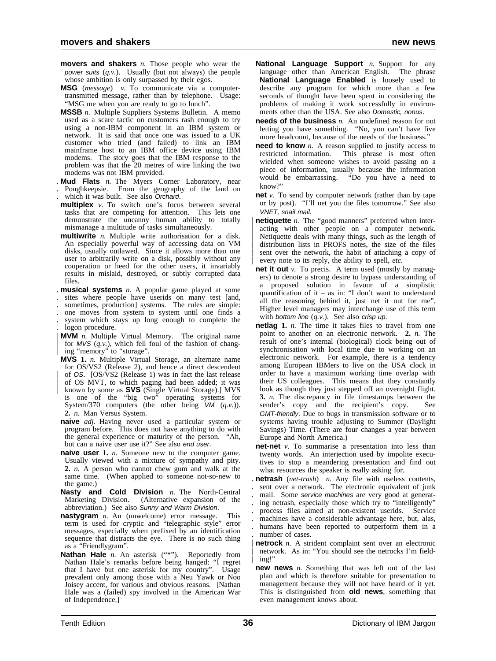- **movers and shakers** *n.* Those people who wear the power suits (*q.v.*). Usually (but not always) the people whose ambition is only surpassed by their egos.
- **MSG** (*message*) *v.* To communicate via a computertransmitted message, rather than by telephone. Usage: "MSG me when you are ready to go to lunch".
- **MSSB** *n.* Multiple Suppliers Systems Bulletin. A memo used as a scare tactic on customers rash enough to try using a non-IBM component in an IBM system or network. It is said that once one was issued to a UK customer who tried (and failed) to link an IBM mainframe host to an IBM office device using IBM modems. The story goes that the IBM response to the problem was that the 20 metres of wire linking the two modems was not IBM provided.
- . **Mud Flats** *n.* The Myers Corner Laboratory, near . Poughkeepsie. From the geography of the land on which it was built. See also Orchard.
- **multiplex** *v*. To switch one's focus between several tasks that are competing for attention. This lets one demonstrate the uncanny human ability to totally mismanage a multitude of tasks simultaneously.
- **multiwrite** *n.* Multiple write authorisation for a disk. An especially powerful way of accessing data on VM disks, usually outlawed. Since it allows more than one user to arbitrarily write on a disk, possibly without any cooperation or heed for the other users, it invariably results in mislaid, destroyed, or subtly corrupted data files.
- . **musical systems** *n.* A popular game played at some
- sites where people have userids on many test [and,
- sometimes, production] systems. The rules are simple:
- . one moves from system to system until one finds a . system which stays up long enough to complete the
- . logon procedure.
- | **MVM** *n.* Multiple Virtual Memory. The original name for *MVS*  $(q, v)$ , which fell foul of the fashion of chang-| ing "memory" to "storage".
- **MVS 1.** *n.* Multiple Virtual Storage, an alternate name for OS/VS2 (Release 2), and hence a direct descendent of OS. [OS/VS2 (Release 1) was in fact the last release of OS MVT, to which paging had been added; it was known by some as **SVS** (Single Virtual Storage).] MVS is one of the "big two" operating systems for System/370 computers (the other being VM (*q.v.*)). **2.** *n.* Man Versus System.
- **naive** *adj.* Having never used a particular system or program before. This does not have anything to do with the general experience or maturity of the person. "Ah, but can a naive user use it?" See also end user.
- **naive user 1.** *n.* Someone new to the computer game. Usually viewed with a mixture of sympathy and pity. **2.** *n.* A person who cannot chew gum and walk at the same time. (When applied to someone not-so-new to the game.)
- **Nasty and Cold Division** *n.* The North-Central Marketing Division. (Alternative expansion of the abbreviation.) See also Sunny and Warm Division.
- **nastygram** *n.* An (unwelcome) error message. This term is used for cryptic and "telegraphic style" error messages, especially when prefixed by an identification sequence that distracts the eye. There is no such thing as a "Friendlygram".
- Nathan Hale *n*. An asterisk ("\*"). Reportedly from Nathan Hale's remarks before being hanged: "I regret that I have but one asterisk for my country". Usage prevalent only among those with a Neu Yawk or Noo Joisey accent, for various and obvious reasons. [Nathan Hale was a (failed) spy involved in the American War of Independence.]
- **National Language Support** *n.* Support for any language other than American English. The phrase **National Language Enabled** is loosely used to describe any program for which more than a few seconds of thought have been spent in considering the problems of making it work successfully in environments other than the USA. See also Domestic, nonus.
- **needs of the business** *n.* An undefined reason for not letting you have something. "No, you can't have five more headcount, because of the needs of the business."
- **need to know** *n*. A reason supplied to justify access to restricted information. This phrase is most often wielded when someone wishes to avoid passing on a piece of information, usually because the information would be embarrassing. "Do you have a need to "Do you have a need to know?"
- **net** *v.* To send by computer network (rather than by tape or by post). "I'll net you the files tomorrow." See also VNET, snail mail.
- **netiquette** *n*. The "good manners" preferred when interacting with other people on a computer network. Netiquette deals with many things, such as the length of distribution lists in PROFS notes, the size of the files sent over the network, the habit of attaching a copy of every note to its reply, the ability to spell, etc.
- **net it out** *v*. To precis. A term used (mostly by managers) to denote a strong desire to bypass understanding of a proposed solution in favour of a simplistic quantification of it – as in: "I don't want to understand all the reasoning behind it, just net it out for me". Higher level managers may interchange use of this term with bottom line (*q.v.*). See also crisp up.
- **netlag 1.** *n.* The time it takes files to travel from one point to another on an electronic network. **2.** *n.* The result of one's internal (biological) clock being out of synchronisation with local time due to working on an electronic network. For example, there is a tendency among European IBMers to live on the USA clock in order to have a maximum working time overlap with their US colleagues. This means that they constantly look as though they just stepped off an overnight flight. **3.** *n.* The discrepancy in file timestamps between the sender's copy and the recipient's copy. See GMT-friendly. Due to bugs in transmission software or to systems having trouble adjusting to Summer (Daylight Savings) Time. (There are four changes a year between Europe and North America.)
- **net-net** *v*. To summarise a presentation into less than twenty words. An interjection used by impolite executives to stop a meandering presentation and find out what resources the speaker is really asking for.
- . **netrash** (*net-trash*) *n.* Any file with useless contents, sent over a network. The electronic equivalent of junk mail. Some service machines are very good at generat-. ing netrash, especially those which try to "intelligently" . process files aimed at non-existent userids. Service . machines have a considerable advantage here, but, alas, . humans have been reported to outperform them in a number of cases.
- **netrock** *n*. A strident complaint sent over an electronic network. As in: "You should see the netrocks I'm fielding!
- **new news** *n.* Something that was left out of the last plan and which is therefore suitable for presentation to management because they will not have heard of it yet. This is distinguished from **old news**, something that even management knows about.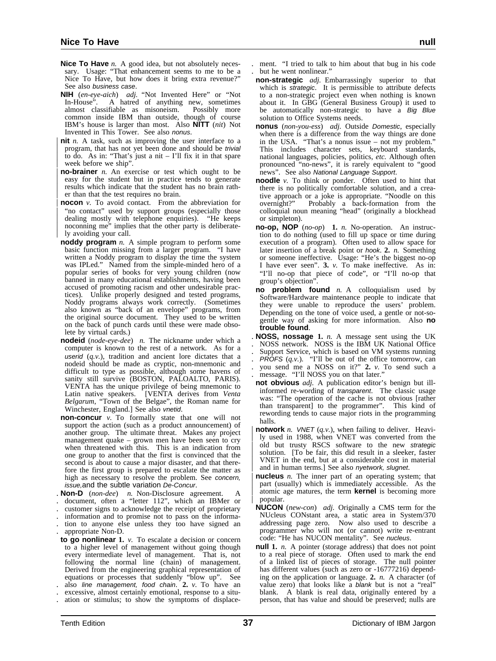- **Nice To Have** *n.* A good idea, but not absolutely necessary. Usage: "That enhancement seems to me to be a Nice To Have, but how does it bring extra revenue?" See also business case.
- **NIH** (*en-eye-aich*) *adj.* "Not Invented Here" or "Not A hatred of anything new, sometimes<br>sifiable as misoneism. Possibly more almost classifiable as misoneism. common inside IBM than outside, though of course IBM's house is larger than most. Also **NITT** (*nit*) Not Invented in This Tower. See also nonus.
- **nit** *n*. A task, such as improving the user interface to a program, that has not yet been done and should be trivial to do. As in: "That's just a nit  $-$  I'll fix it in that spare week before we ship".
- **no-brainer** *n*. An exercise or test which ought to be easy for the student but in practice tends to generate results which indicate that the student has no brain rath-| er than that the test requires no brain.
- **nocon** *v*. To avoid contact. From the abbreviation for "no contact" used by support groups (especially those dealing mostly with telephone enquiries). "He keeps noconning me" implies that the other party is deliberately avoiding your call.
- **noddy program** *n.* A simple program to perform some basic function missing from a larger program. "I have written a Noddy program to display the time the system was IPLed." Named from the simple-minded hero of a popular series of books for very young children (now banned in many educational establishments, having been accused of promoting racism and other undesirable practices). Unlike properly designed and tested programs, Noddy programs always work correctly. (Sometimes also known as "back of an envelope" programs, from the original source document. They used to be written on the back of punch cards until these were made obsolete by virtual cards.)
- **nodeid** (*node-eye-dee*) *n.* The nickname under which a computer is known to the rest of a network. As for a userid (*q.v.*), tradition and ancient lore dictates that a nodeid should be made as cryptic, non-mnemonic and difficult to type as possible, although some havens of sanity still survive (BOSTON, PALOALTO, PARIS). VENTA has the unique privilege of being mnemonic to Latin native speakers. [VENTA derives from *Venta Belgarum*, "Town of the Belgae", the Roman name for Winchester, England.] See also vnetid.
- **non-concur** *v.* To formally state that one will not support the action (such as a product announcement) of another group. The ultimate threat. Makes any project management quake – grown men have been seen to cry when threatened with this. This is an indication from one group to another that the first is convinced that the second is about to cause a major disaster, and that therefore the first group is prepared to escalate the matter as high as necessary to resolve the problem. See concern, issue,and the subtle variation De-Concur.
- . **Non-D** (*non-dee*) *n.* Non-Disclosure agreement. A
- document, often a "letter 112", which an IBMer or
- . customer signs to acknowledge the receipt of proprietary
- . information and to promise not to pass on the informa-
- . tion to anyone else unless they too have signed an . appropriate Non-D.
- **to go nonlinear 1.** *v.* To escalate a decision or concern to a higher level of management without going though every intermediate level of management. That is, not every intermediate level of management. That is, not following the normal line (chain) of management. Derived from the engineering graphical representation of equations or processes that suddenly "blow up". See
- . also line management, food chain. **2.** *v.* To have an . excessive, almost certainly emotional, response to a situ-
- . ation or stimulus; to show the symptoms of displace-
- . ment. "I tried to talk to him about that bug in his code but he went nonlinear.'
- **non-strategic** *adj.* Embarrassingly superior to that which is strategic. It is permissible to attribute defects to a non-strategic project even when nothing is known about it. In GBG (General Business Group) it used to be automatically non-strategic to have a Big Blue solution to Office Systems needs.
- **nonus** (*non-you-ess*) *adj.* Outside Domestic, especially when there is a difference from the way things are done in the USA. "That's a nonus issue – not my problem." This includes character sets, keyboard standards, national languages, policies, politics, *etc.* Although often pronounced "no-news", it is rarely equivalent to "good news". See also National Language Support.
- **noodle** *v*. To think or ponder. Often used to hint that there is no politically comfortable solution, and a creative approach or a joke is appropriate. "Noodle on this overnight?" Probably a back-formation from the colloquial noun meaning "head" (originally a blockhead or simpleton).
- **no-op, NOP** (*no-op*) **1.** *n.* No-operation. An instruction to do nothing (used to fill up space or time during execution of a program). Often used to allow space for later insertion of a break point or hook. **2.** *n.* Something or someone ineffective. Usage: "He's the biggest no-op I have ever seen". **3.** *v.* To make ineffective. As in: "I'll no-op that piece of code", or "I'll no-op that group's objection".
- **no problem found** *n.* A colloquialism used by Software/Hardware maintenance people to indicate that they were unable to reproduce the users' problem. Depending on the tone of voice used, a gentle or not-sogentle way of asking for more information. Also **no trouble found**.
- . **NOSS, nossage 1.** *n.* A message sent using the UK . NOSS network. NOSS is the IBM UK National Office . Support Service, which is based on VM systems running  $PROFS$   $(q.v.)$ . "I'll be out of the office tomorrow, can . you send me a NOSS on it?" **2.** *v.* To send such a message. "I'll NOSS you on that later."
- **not obvious** *adj.* A publication editor's benign but illinformed re-wording of transparent. The classic usage was: "The operation of the cache is not obvious [rather than transparent] to the programmer". This kind of rewording tends to cause major riots in the programming halls.
- **notwork** *n.* VNET  $(q, v)$ , when failing to deliver. Heavily used in 1988, when VNET was converted from the old but trusty RSCS software to the new strategic solution. [To be fair, this did result in a sleeker, faster | VNET in the end, but at a considerable cost in material and in human terms.] See also nyetwork, slugnet.
- **nucleus** *n*. The inner part of an operating system; that part (usually) which is immediately accessible. As the atomic age matures, the term **kernel** is becoming more | popular.
- **NUCON** (*new-con*) *adj.* Originally a CMS term for the NUcleus CONstant area, a static area in System/370 addressing page zero. Now also used to describe a programmer who will not (or cannot) write re-entrant code: "He has NUCON mentality". See nucleus.
- **null 1.** *n.* A pointer (storage address) that does not point to a real piece of storage. Often used to mark the end of a linked list of pieces of storage. The null pointer has different values (such as zero or -16777216) depending on the application or language. **2.** *n.* A character (of value zero) that looks like a blank but is not a "real" blank. A blank is real data, originally entered by a person, that has value and should be preserved; nulls are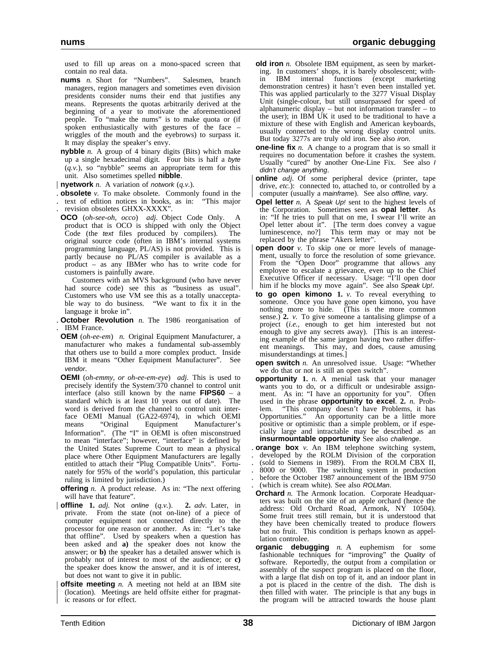used to fill up areas on a mono-spaced screen that contain no real data.

- **nums** *n.* Short for "Numbers". Salesmen, branch managers, region managers and sometimes even division presidents consider nums their end that justifies any means. Represents the quotas arbitrarily derived at the beginning of a year to motivate the aforementioned people. To "make the nums" is to make quota or (if spoken enthusiastically with gestures of the face – wriggles of the mouth and the eyebrows) to surpass it. It may display the speaker's envy.
- **nybble** *n*. A group of 4 binary digits (Bits) which make up a single hexadecimal digit. Four bits is half a byte (*q.v.*), so "nybble" seems an appropriate term for this unit. Also sometimes spelled **nibble**.
- | **nyetwork** *n.* A variation of notwork (*q.v.*).
- . **obsolete** *v.* To make obsolete. Commonly found in the . text of edition notices in books, as in: "This major
- . revision obsoletes GHXX-XXXX".
- **OCO** (*oh-see-oh, occo*) *adj.* Object Code Only. A product that is OCO is shipped with only the Object Code (the text files produced by compilers). The original source code (often in IBM's internal systems programming language, PL/AS) is not provided. This is partly because no PL/AS compiler is available as a product – as any IBMer who has to write code for customers is painfully aware.
- Customers with an MVS background (who have never had source code) see this as "business as usual". Customers who use VM see this as a totally unacceptable way to do business. "We want to fix it in the language it broke in".
- . **October Revolution** *n.* The 1986 reorganisation of . **IBM** France
- **OEM** (*oh-ee-em*) *n.* Original Equipment Manufacturer, a manufacturer who makes a fundamental sub-assembly that others use to build a more complex product. Inside IBM it means "Other Equipment Manufacturer". See vendor.
- **OEMI** (*oh-emmy, or oh-ee-em-eye*) *adj.* This is used to precisely identify the System/370 channel to control unit interface (also still known by the name **FIPS60** – a standard which is at least 10 years out of date). The word is derived from the channel to control unit interface OEMI Manual (GA22-6974), in which OEMI means "Original Equipment Manufacturer's Information". (The "I" in OEMI is often misconstrued to mean "interface"; however, "interface" is defined by the United States Supreme Court to mean a physical place where Other Equipment Manufacturers are legally entitled to attach their "Plug Compatible Units". Fortunately for 95% of the world's population, this particular ruling is limited by jurisdiction.)
- **offering** *n*. A product release. As in: "The next offering will have that feature".
- | **offline 1.** *adj.* Not online (*q.v.*). **2.** *adv.* Later, in private. From the state (not on-line) of a piece of computer equipment not connected directly to the processor for one reason or another. As in: "Let's take that offline". Used by speakers when a question has been asked and **a)** the speaker does not know the answer; or **b)** the speaker has a detailed answer which is probably not of interest to most of the audience; or **c)** the speaker does know the answer, and it is of interest, but does not want to give it in public.
- **offsite meeting** *n.* A meeting not held at an IBM site | (location). Meetings are held offsite either for pragmat ic reasons or for effect.
- **old iron** *n*. Obsolete IBM equipment, as seen by marketing. In customers' shops, it is barely obsolescent; within IBM internal functions (except marketing demonstration centres) it hasn't even been installed yet. This was applied particularly to the 3277 Visual Display Unit (single-colour, but still unsurpassed for speed of alphanumeric display – but not information transfer – to the user); in IBM UK it used to be traditional to have a mixture of these with English and American keyboards, usually connected to the wrong display control units. But today 3277s are truly old iron. See also iron.
- **one-line fix** *n*. A change to a program that is so small it requires no documentation before it crashes the system. Usually "cured" by another One-Line Fix. See also I didn't change anything.
- **online** *adj*. Of some peripheral device (printer, tape drive, *etc.*): connected to, attached to, or controlled by a computer (usually a mainframe). See also offline, vary.
- **Opel letter** *n.* A Speak Up! sent to the highest levels of the Corporation. Sometimes seen as **opal letter**. As in: "If he tries to pull that on me, I swear I'll write an Opel letter about it". [The term does convey a vague luminescence, no?] This term may or may not be replaced by the phrase "Akers letter".
- **open door** *v*. To skip one or more levels of management, usually to force the resolution of some grievance. From the "Open Door" programme that allows any employee to escalate a grievance, even up to the Chief Executive Officer if necessary. Usage: "I'll open door him if he blocks my move again". See also Speak Up!.
- **to go open kimono 1.** *v.* To reveal everything to someone. Once you have gone open kimono, you have nothing more to hide. (This is the more common sense.) **2.** *v.* To give someone a tantalising glimpse of a project (*i.e.*, enough to get him interested but not enough to give any secrets away). [This is an interesting example of the same jargon having two rather different meanings. This may, and does, cause amusing misunderstandings at times.]
- **open switch** *n*. An unresolved issue. Usage: "Whether we do that or not is still an open switch".
- **opportunity 1.** *n.* A menial task that your manager wants you to do, or a difficult or undesirable assignment. As in: "I have an opportunity for you". Often used in the phrase **opportunity to excel**. **2.** *n.* Problem. "This company doesn't have Problems, it has Opportunities." An opportunity can be a little more positive or optimistic than a simple problem, or if especially large and intractable may be described as an **insurmountable opportunity** See also challenge.
- **orange box** *v*. An IBM telephone switching system, . developed by the ROLM Division of the corporation . (sold to Siemens in 1989). From the ROLM CBX II, . 8000 or 9000. The switching system in production . before the October 1987 announcement of the IBM 9750 (which is cream white). See also ROLMan.
- **Orchard** *n*. The Armonk location. Corporate Headquarters was built on the site of an apple orchard (hence the address: Old Orchard Road, Armonk, NY 10504). Some fruit trees still remain, but it is understood that they have been chemically treated to produce flowers but no fruit. This condition is perhaps known as appellation controlee.
- **organic debugging** *n.* A euphemism for some fashionable techniques for "improving" the Quality of software. Reportedly, the output from a compilation or assembly of the suspect program is placed on the floor, with a large flat dish on top of it, and an indoor plant in a pot is placed in the centre of the dish. The dish is then filled with water. The principle is that any bugs in the program will be attracted towards the house plant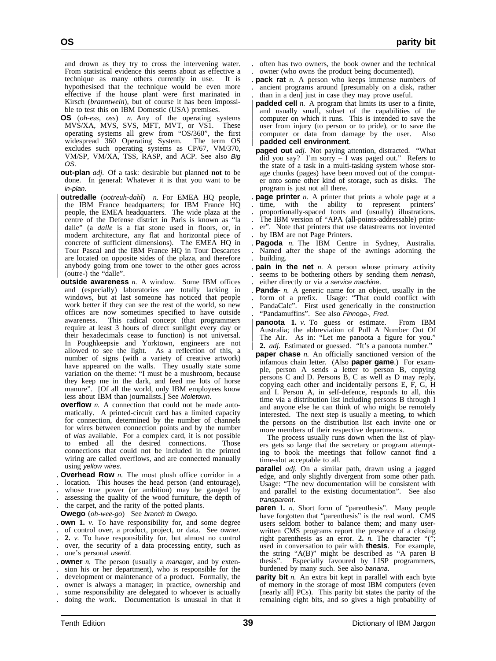and drown as they try to cross the intervening water. From statistical evidence this seems about as effective a technique as many others currently in use. It is hypothesised that the technique would be even more effective if the house plant were first marinated in Kirsch (*branntwein*), but of course it has been impossible to test this on IBM Domestic (USA) premises.

- **OS** (*oh-ess, oss*) *n.* Any of the operating systems MVS/XA, MVS, SVS, MFT, MVT, or VS1. These operating systems all grew from "OS/360", the first widespread 360 Operating System. The term OS excludes such operating systems as CP/67, VM/370, VM/SP, VM/XA, TSS, RASP, and ACP. See also Big OS.
- **out-plan** *adj.* Of a task: desirable but planned **not** to be done. In general: Whatever it is that you want to be in-plan.
- | **outredalle** (*ootreuh-dahl*) *n.* For EMEA HQ people, | the IBM France headquarters; for IBM France HQ | people, the EMEA headquarters. The wide plaza at the centre of the Defense district in Paris is known as "la dalle" (a *dalle* is a flat stone used in floors, or, in modern architecture, any flat and horizontal piece of | concrete of sufficient dimensions). The EMEA HQ in | Tour Pascal and the IBM France HQ in Tour Descartes are located on opposite sides of the plaza, and therefore anybody going from one tower to the other goes across | (outre-) the "dalle".
- **outside awareness** *n.* A window. Some IBM offices and (especially) laboratories are totally lacking in windows, but at last someone has noticed that people work better if they can see the rest of the world, so new offices are now sometimes specified to have outside awareness. This radical concept (that programmers require at least 3 hours of direct sunlight every day or their hexadecimals cease to function) is not universal. In Poughkeepsie and Yorktown, engineers are not allowed to see the light. As a reflection of this, a number of signs (with a variety of creative artwork) have appeared on the walls. They usually state some variation on the theme: "I must be a mushroom, because they keep me in the dark, and feed me lots of horse manure". [Of all the world, only IBM employees know less about IBM than journalists.] See Moletown.
- **overflow** *n*. A connection that could not be made automatically. A printed-circuit card has a limited capacity for connection, determined by the number of channels for wires between connection points and by the number of vias available. For a complex card, it is not possible to embed all the desired connections. Those connections that could not be included in the printed wiring are called overflows, and are connected manually using yellow wires.
- . **Overhead Row** *n.* The most plush office corridor in a
- location. This houses the head person (and entourage),
- whose true power (or ambition) may be gauged by
- . assessing the quality of the wood furniture, the depth of
- . the carpet, and the rarity of the potted plants.
- **Owego** (*oh-wee-go*) See branch to Owego.
- . **own 1.** *v.* To have responsibility for, and some degree . of control over, a product, project, or data. See owner.
- . **2.** *v.* To have responsibility for, but almost no control . over, the security of a data processing entity, such as
- one's personal *userid*.
- . **owner** *n.* The person (usually a manager, and by exten- . sion his or her department), who is responsible for the
- . development or maintenance of a product. Formally, the
- . owner is always a manager; in practice, ownership and
- some responsibility are delegated to whoever is actually
- . doing the work. Documentation is unusual in that it
- . often has two owners, the book owner and the technical
- . owner (who owns the product being documented).
- . **pack rat** *n.* A person who keeps immense numbers of . ancient programs around [presumably on a disk, rather . than in a den] just in case they may prove useful.
- **padded cell**  $n$ . A program that limits its user to a finite, | and usually small, subset of the capabilities of the | computer on which it runs. This is intended to save the user from injury (to person or to pride), or to save the computer or data from damage by the user. | **padded cell environment**.
- **paged out** *adj.* Not paying attention, distracted. "What did you say? I'm sorry  $-$  I was paged out." Refers to the state of a task in a multi-tasking system whose storage chunks (pages) have been moved out of the computer onto some other kind of storage, such as disks. The program is just not all there.
- . **page printer** *n.* A printer that prints a whole page at a . time, with the ability to represent printers' . proportionally-spaced fonts and (usually) illustrations. . The IBM version of "APA (all-points-addressable) print- . er". Note that printers that use datastreams not invented
- . by IBM are not Page Printers. . **Pagoda** *n.* The IBM Centre in Sydney, Australia.
- . Named after the shape of the awnings adorning the . building.
- . **pain in the net** *n.* A person whose primary activity seems to be bothering others by sending them netrash, . either directly or via a service machine.
- . **Panda-** *n.* A generic name for an object, usually in the . form of a prefix. Usage: "That could conflict with . PandaCalc". First used generically in the construction . "Pandamuffins". See also Finnoga-, Fred.
- | **panoota 1.** *v.* To guess or estimate. From IBM Australia; the abbreviation of Pull A Number Out Of | The Air. As in: "Let me panoota a figure for you." | **2.** *adj.* Estimated or guessed. "It's a panoota number."
- **paper chase** *n*. An officially sanctioned version of the infamous chain letter. (Also **paper game**.) For example, person A sends a letter to person B, copying persons C and D. Persons B, C as well as D may reply, copying each other and incidentally persons E, F, G, H and I. Person A, in self-defence, responds to all, this time via a distribution list including persons B through I and anyone else he can think of who might be remotely interested. The next step is usually a meeting, to which the persons on the distribution list each invite one or more members of their respective departments.
- The process usually runs down when the list of players gets so large that the secretary or program attempting to book the meetings that follow cannot find a time-slot acceptable to all.
- **parallel** *adj.* On a similar path, drawn using a jagged edge, and only slightly divergent from some other path. Usage: "The new documentation will be consistent with and parallel to the existing documentation". See also transparent.
- **paren 1.** *n.* Short form of "parenthesis". Many people have forgotten that "parenthesis" is the real word. CMS users seldom bother to balance them; and many userwritten CMS programs report the presence of a closing right parenthesis as an error. 2. *n*. The character "(" used in conversation to pair with **thesis**. For example, the string "A(B)" might be described as "A paren B thesis". Especially favoured by LISP programmers, burdened by many such. See also banana.
- **parity bit** *n*. An extra bit kept in parallel with each byte of memory in the storage of most IBM computers (even [nearly all] PCs). This parity bit states the parity of the remaining eight bits, and so gives a high probability of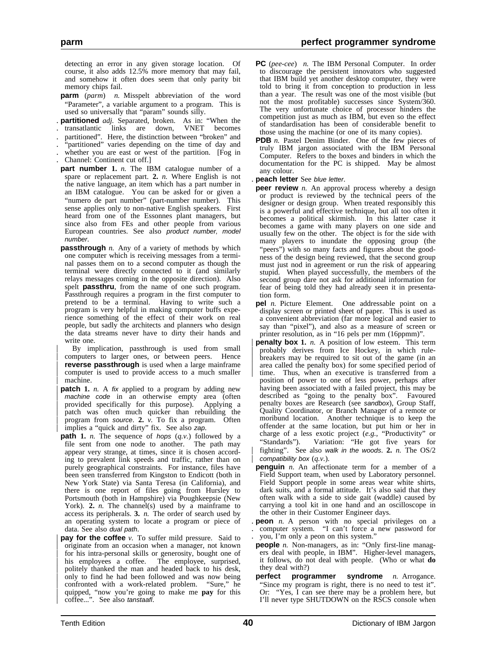detecting an error in any given storage location. Of course, it also adds 12.5% more memory that may fail, and somehow it often does seem that only parity bit memory chips fail.

- **parm** (*parm*) *n.* Misspelt abbreviation of the word "Parameter", a variable argument to a program. This is used so universally that "param" sounds silly.
- **partitioned** *adj*. Separated, broken. As in: "When the transatlantic links are down, VNET becomes
- . transatlantic links are down, VNET becomes
- . partitioned". Here, the distinction between "broken" and
- . "partitioned" varies depending on the time of day and whether you are east or west of the partition. [Fog in
- . Channel: Continent cut off.]
- **part number 1.** *n.* The IBM catalogue number of a spare or replacement part. **2.** *n.* Where English is not the native language, an item which has a part number in an IBM catalogue. You can be asked for or given a "numero de part number" (part-number number). This sense applies only to non-native English speakers. First heard from one of the Essonnes plant managers, but since also from FEs and other people from various European countries. See also product number, model number.
- **passthrough** *n.* Any of a variety of methods by which one computer which is receiving messages from a terminal passes them on to a second computer as though the terminal were directly connected to it (and similarly relays messages coming in the opposite direction). Also spelt **passthru**, from the name of one such program. Passthrough requires a program in the first computer to pretend to be a terminal. Having to write such a program is very helpful in making computer buffs experience something of the effect of their work on real people, but sadly the architects and planners who design the data streams never have to dirty their hands and write one.
- | By implication, passthrough is used from small computers to larger ones, or between peers. Hence **reverse passthrough** is used when a large mainframe computer is used to provide access to a much smaller machine.
- **patch** 1. *n.* A fix applied to a program by adding new  $|$  machine code in an otherwise empty area (often | provided specifically for this purpose). Applying a patch was often much quicker than rebuilding the | program from source. **2.** *v.* To fix a program. Often implies a "quick and dirty" fix. See also zap.
- **path 1.** *n.* The sequence of hops (*q.v.*) followed by a file sent from one node to another. The path may appear very strange, at times, since it is chosen according to prevalent link speeds and traffic, rather than on purely geographical constraints. For instance, files have been seen transferred from Kingston to Endicott (both in New York State) via Santa Teresa (in California), and there is one report of files going from Hursley to Portsmouth (both in Hampshire) via Poughkeepsie (New York). **2.** *n*. The channel(s) used by a mainframe to access its peripherals. **3.** *n.* The order of search used by an operating system to locate a program or piece of data. See also dual path.
- **pay for the coffee** *v*. To suffer mild pressure. Said to originate from an occasion when a manager, not known for his intra-personal skills or generosity, bought one of his employees a coffee. The employee, surprised, The employee, surprised, politely thanked the man and headed back to his desk, | only to find he had been followed and was now being confronted with a work-related problem. "Sure," he | quipped, "now you're going to make me **pay** for this coffee...". See also tanstaafl.
- **PC** (*pee-cee*) *n.* The IBM Personal Computer. In order to discourage the persistent innovators who suggested that IBM build yet another desktop computer, they were told to bring it from conception to production in less than a year. The result was one of the most visible (but not the most profitable) successes since System/360. The very unfortunate choice of processor hinders the competition just as much as IBM, but even so the effect of standardisation has been of considerable benefit to those using the machine (or one of its many copies).
- **PDB** *n.* Pastel Denim Binder. One of the few pieces of truly IBM jargon associated with the IBM Personal Computer. Refers to the boxes and binders in which the documentation for the PC is shipped. May be almost any colour.
- . **peach letter** See blue letter.
- **peer review** *n*. An approval process whereby a design or product is reviewed by the technical peers of the designer or design group. When treated responsibly this is a powerful and effective technique, but all too often it becomes a political skirmish. In this latter case it becomes a game with many players on one side and usually few on the other. The object is for the side with many players to inundate the opposing group (the "peers") with so many facts and figures about the goodness of the design being reviewed, that the second group must just nod in agreement or run the risk of appearing stupid. When played successfully, the members of the second group dare not ask for additional information for fear of being told they had already seen it in presentation form.
- **pel** *n.* Picture Element. One addressable point on a display screen or printed sheet of paper. This is used as a convenient abbreviation (far more logical and easier to say than "pixel"), and also as a measure of screen or printer resolution, as in "16 pels per mm (16ppmm)".
- | **penalty box 1.** *n.* A position of low esteem. This term probably derives from Ice Hockey, in which rulebreakers may be required to sit out of the game (in an area called the penalty box) for some specified period of time. Thus, when an executive is transferred from a position of power to one of less power, perhaps after having been associated with a failed project, this may be described as "going to the penalty box". Favoured penalty boxes are Research (see sandbox), Group Staff, Quality Coordinator, or Branch Manager of a remote or moribund location. Another technique is to keep the offender at the same location, but put him or her in charge of a less exotic project (*e.g.*, "Productivity" or "Standards"). Variation: "He got five years for | fighting". See also walk in the woods. **2.** *n.* The OS/2 compatibility box  $(q.v.)$ .
- **penguin** *n.* An affectionate term for a member of a Field Support team, when used by Laboratory personnel. Field Support people in some areas wear white shirts, dark suits, and a formal attitude. It's also said that they often walk with a side to side gait (waddle) caused by carrying a tool kit in one hand and an oscilloscope in the other in their Customer Engineer days.
- . **peon** *n.* A person with no special privileges on a . computer system. "I can't force a new password for you, I'm only a peon on this system."
- **people** *n.* Non-managers, as in: "Only first-line managers deal with people, in IBM". Higher-level managers, it follows, do not deal with people. (Who or what **do** they deal with?)
- **perfect programmer syndrome** *n.* Arrogance. "Since my program is right, there is no need to test it". Or: "Yes, I can see there may be a problem here, but I'll never type SHUTDOWN on the RSCS console when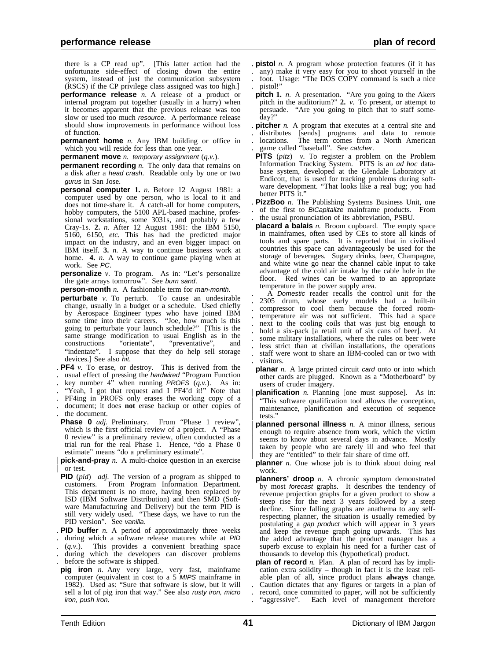there is a CP read up". [This latter action had the unfortunate side-effect of closing down the entire system, instead of just the communication subsystem (RSCS) if the CP privilege class assigned was too high.]

- **performance release** *n.* A release of a product or internal program put together (usually in a hurry) when it becomes apparent that the previous release was too slow or used too much *resource*. A performance release should show improvements in performance without loss of function.
- **permanent home** *n*. Any IBM building or office in which you will reside for less than one year.
- **permanent move** *n.* temporary assignment (*q.v.*).
- **permanent recording** *n*. The only data that remains on a disk after a head crash. Readable only by one or two gurus in San Jose.
- **personal computer 1.** *n.* Before 12 August 1981: a computer used by one person, who is local to it and does not time-share it. A catch-all for home computers, hobby computers, the 5100 APL-based machine, professional workstations, some 3031s, and probably a few Cray-1s. **2.** *n.* After 12 August 1981: the IBM 5150, 5160, 6150, *etc.* This has had the predicted major impact on the industry, and an even bigger impact on IBM itself. **3.** *n.* A way to continue business work at home. **4.** *n.* A way to continue game playing when at work. See PC.
- **personalize** *v.* To program. As in: "Let's personalize the gate arrays tomorrow". See burn sand.
- **person-month** *n.* A fashionable term for man-month.
- **perturbate** *v*. To perturb. To cause an undesirable change, usually in a budget or a schedule. Used chiefly by Aerospace Engineer types who have joined IBM some time into their careers. "Joe, how much is this going to perturbate your launch schedule?" [This is the same strange modification to usual English as in the constructions "orientate", "preventative", and "preventative", "indentate". I suppose that they do help sell storage devices.] See also hit.
- . **PF4** *v.* To erase, or destroy. This is derived from the
- . usual effect of pressing the hardwired "Program Function . key number  $4^{\prime\prime}$  when running PROFS  $(q.v.)$ . As in:
- "Yeah, I got that request and I PF4'd it!" Note that
- . PF4ing in PROFS only erases the working copy of a
- . document; it does **not** erase backup or other copies of . the document.
- Phase 0 *adj*. Preliminary. From "Phase 1 review", which is the first official review of a project. A "Phase 0 review" is a preliminary review, often conducted as a trial run for the real Phase 1. Hence, "do a Phase 0 estimate" means "do a preliminary estimate".
- **pick-and-pray** *n.* A multi-choice question in an exercise | or test.
- **PID** (*pid*) *adj.* The version of a program as shipped to customers. From Program Information Department. This department is no more, having been replaced by ISD (IBM Software Distribution) and then SMD (Software Manufacturing and Delivery) but the term PID is still very widely used. "These days, we have to run the PID version". See vanilla.
- . **PID buffer** *n.* A period of approximately three weeks
- . during which a software release matures while at PID
- . (*q.v.*). This provides a convenient breathing space
- . during which the developers can discover problems
- . before the software is shipped.
- **pig iron** *n.* Any very large, very fast, mainframe computer (equivalent in cost to a 5 MIPS mainframe in 1982). Used as: "Sure that software is slow, but it will sell a lot of pig iron that way." See also rusty iron, micro iron, push iron.
- . **pistol** *n.* A program whose protection features (if it has
- . any) make it very easy for you to shoot yourself in the . foot. Usage: "The DOS COPY command is such a nice
- pistol!"
- **pitch 1.** *n.* A presentation. "Are you going to the Akers" pitch in the auditorium?" **2.** *v.* To present, or attempt to persuade. "Are you going to pitch that to staff someday?"
- . **pitcher** *n.* A program that executes at a central site and
- . distributes [sends] programs and data to remote . locations. The term comes from a North American
- . game called "baseball". See catcher.
- **PITS** (*pitz*) *v.* To register a problem on the Problem Information Tracking System. PITS is an *ad hoc* database system, developed at the Glendale Laboratory at Endicott, that is used for tracking problems during software development. "That looks like a real bug; you had better PITS it.'
- **PizzBoo** *n*. The Publishing Systems Business Unit, one . of the first to *BiCapitalize* mainframe products. From . the usual pronunciation of its abbreviation, PSBU.
- **placard a balais** *n.* Broom cupboard. The empty space in mainframes, often used by CEs to store all kinds of tools and spare parts. It is reported that in civilised countries this space can advantageously be used for the storage of beverages. Sugary drinks, beer, Champagne, and white wine go near the channel cable input to take advantage of the cold air intake by the cable hole in the floor. Red wines can be warmed to an appropriate temperature in the power supply area.<br>A Domestic reader recalls the control unit for the
- . 2305 drum, whose early models had a built-in . compressor to cool them because the forced room- . temperature air was not sufficient. This had a space . next to the cooling coils that was just big enough to hold a six-pack [a retail unit of six cans of beer]. At some military installations, where the rules on beer were . less strict than at civilian installations, the operations . staff were wont to share an IBM-cooled can or two with . visitors.
- **planar** *n*. A large printed circuit card onto or into which other cards are plugged. Known as a "Motherboard" by users of cruder imagery.
- | **planification** *n.* Planning [one must suppose]. As in: "This software qualification tool allows the conception, maintenance, planification and execution of sequence tests.'
- **planned personal illness** *n.* A minor illness, serious | enough to require absence from work, which the victim seems to know about several days in advance. Mostly taken by people who are rarely ill and who feel that they are "entitled" to their fair share of time off.
- **planner** *n*. One whose job is to think about doing real work.
- **planners' droop** *n.* A chronic symptom demonstrated by most forecast graphs. It describes the tendency of revenue projection graphs for a given product to show a steep rise for the next 3 years followed by a steep decline. Since falling graphs are anathema to any selfrespecting planner, the situation is usually remedied by postulating a gap product which will appear in 3 years and keep the revenue graph going upwards. This has the added advantage that the product manager has a superb excuse to explain his need for a further cast of thousands to develop this (hypothetical) product.
- **plan of record** *n.* Plan. A plan of record has by implication extra solidity – though in fact it is the least reliable plan of all, since product plans **always** change. . Caution dictates that any figures or targets in a plan of record, once committed to paper, will not be sufficiently . "aggressive". Each level of management therefore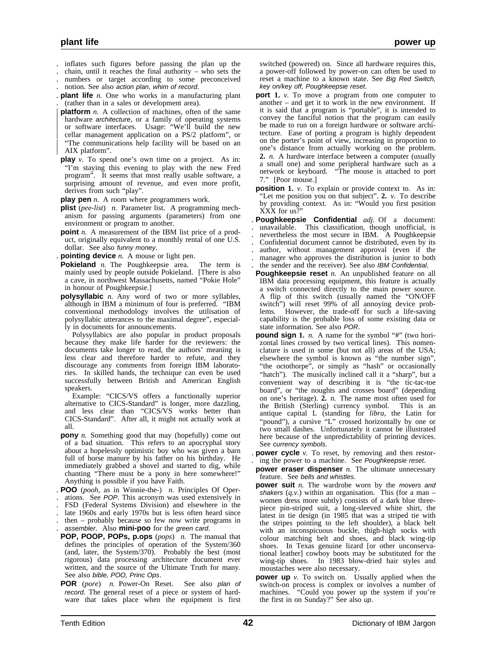- . inflates such figures before passing the plan up the
- chain, until it reaches the final authority who sets the
- . numbers or target according to some preconceived
- . notion. See also action plan, whim of record.
- . **plant life** *n.* One who works in a manufacturing plant . (rather than in a sales or development area).
- **platform** *n*. A collection of machines, often of the same | hardware *architecture*, or a family of operating systems | or software interfaces. Usage: "We'll build the new | cellar management application on a PS/2 platform", or | "The communications help facility will be based on an AIX platform".
- **play** *v*. To spend one's own time on a project. As in: "I'm staying this evening to play with the new Fred program". It seems that most really usable software, a surprising amount of revenue, and even more profit, derives from such "play".

**play pen** *n.* A room where programmers work.

- **plist** (*pee-list*) *n.* Parameter list. A programming mechanism for passing arguments (parameters) from one environment or program to another.
- **point** *n*. A measurement of the IBM list price of a product, originally equivalent to a monthly rental of one U.S. dollar. See also funny money.
- . **pointing device** *n.* A mouse or light pen.
- **Pokieland** *n*. The Poughkeepsie area. The term is mainly used by people outside Pokieland. [There is also a cave, in northwest Massachusetts, named "Pokie Hole" in honour of Poughkeepsie.]
- **polysyllabic** *n.* Any word of two or more syllables, although in IBM a minimum of four is preferred. "IBM conventional methodology involves the utilisation of polysyllabic utterances to the maximal degree", especially in documents for announcements.

Polysyllabics are also popular in product proposals because they make life harder for the reviewers: the documents take longer to read, the authors' meaning is less clear and therefore harder to refute, and they discourage any comments from foreign IBM laboratories. In skilled hands, the technique can even be used successfully between British and American English speakers.

Example: "CICS/VS offers a functionally superior alternative to CICS-Standard" is longer, more dazzling, and less clear than "CICS/VS works better than CICS-Standard". After all, it might not actually work at all.

- **pony** *n*. Something good that may (hopefully) come out of a bad situation. This refers to an apocryphal story about a hopelessly optimistic boy who was given a barn full of horse manure by his father on his birthday. He immediately grabbed a shovel and started to dig, while chanting "There must be a pony in here somewhere!" Anything is possible if you have Faith.
- . **POO** (*pooh*, as in Winnie-the-) *n.* Principles Of Oper-
- . ations. See POP. This acronym was used extensively in
- . FSD (Federal Systems Division) and elsewhere in the
- . late 1960s and early 1970s but is less often heard since
- . then probably because so few now write programs in
- . assembler. Also **mini-poo** for the green card.
- **POP, POOP, POPs, p.ops** (*pops*) *n.* The manual that defines the principles of operation of the System/360 (and, later, the System/370). Probably the best (most rigorous) data processing architecture document ever written, and the source of the Ultimate Truth for many. See also bible, POO, Princ Ops.
- **POR** (*pore*) *n.* Power-On Reset. See also plan of record. The general reset of a piece or system of hardware that takes place when the equipment is first

switched (powered) on. Since all hardware requires this, a power-off followed by power-on can often be used to reset a machine to a known state. See Big Red Switch, key on/key off, Poughkeepsie reset.

**port** 1. *v*. To move a program from one computer to another – and get it to work in the new environment. If it is said that a program is "portable", it is intended to convey the fanciful notion that the program can easily be made to run on a foreign hardware or software architecture. Ease of porting a program is highly dependent on the porter's point of view, increasing in proportion to one's distance from actually working on the problem. **2.** *n.* A hardware interface between a computer (usually a small one) and some peripheral hardware such as a network or keyboard. "The mouse is attached to port 7." [Poor mouse.]

**position 1.** *v.* To explain or provide context to. As in: "Let me position you on that subject". **2.** *v.* To describe by providing context. As in: "Would you first position XXX for us?

- . **Poughkeepsie Confidential** *adj.* Of a document: . unavailable. This classification, though unofficial, is . nevertheless the most secure in IBM. A Poughkeepsie . Confidential document cannot be distributed, even by its . author, without management approval (even if the . manager who approves the distribution is junior to both . the sender and the receiver). See also IBM Confidential.
- **Poughkeepsie reset** *n*. An unpublished feature on all IBM data processing equipment, this feature is actually a switch connected directly to the main power source. A flip of this switch (usually named the "ON/OFF switch") will reset 99% of all annoying device problems. However, the trade-off for such a life-saving capability is the probable loss of some existing data or state information. See also POR.
- **pound sign 1.** *n*. A name for the symbol "#" (two horizontal lines crossed by two vertical lines). This nomenclature is used in some (but not all) areas of the USA; elsewhere the symbol is known as "the number sign", "the octothorpe", or simply as "hash" or occasionally "hatch"). The musically inclined call it a "sharp", but a convenient way of describing it is "the tic-tac-toe board", or "the noughts and crosses board" (depending on one's heritage). **2.** *n.* The name most often used for the British (Sterling) currency symbol. This is an antique capital L (standing for *libra*, the Latin for "pound"), a cursive "L" crossed horizontally by one or two small dashes. Unfortunately it cannot be illustrated here because of the unpredictability of printing devices. See currency symbols.

. **power cycle** *v.* To reset, by removing and then restor- . ing the power to a machine. See Poughkeepsie reset.

- **power eraser dispenser** *n*. The ultimate unnecessary feature. See bells and whistles.
- **power suit** *n*. The wardrobe worn by the movers and shakers  $(q, v)$  within an organisation. This (for a man – women dress more subtly) consists of a dark blue threepiece pin-striped suit, a long-sleeved white shirt, the latest in tie design (in 1985 that was a striped tie with the stripes pointing to the left shoulder), a black belt with an inconspicuous buckle, thigh-high socks with colour matching belt and shoes, and black wing-tip shoes. In Texas genuine lizard [or other unconservational leather] cowboy boots may be substituted for the wing-tip shoes. In 1983 blow-dried hair styles and moustaches were also necessary.
- **power up** *v*. To switch on. Usually applied when the switch-on process is complex or involves a number of machines. "Could you power up the system if you're the first in on Sunday?" See also  $\mu$ p.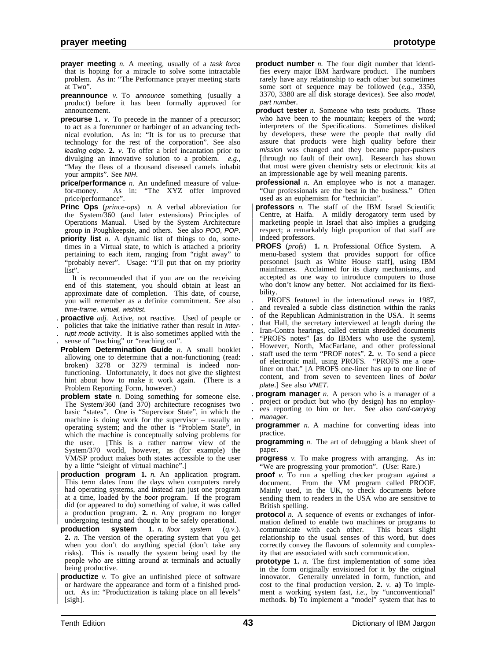- **prayer meeting** *n*. A meeting, usually of a task force that is hoping for a miracle to solve some intractable problem. As in: "The Performance prayer meeting starts at Two".
- **preannounce** *v*. To announce something (usually a product) before it has been formally approved for announcement.
- **precurse 1.** *v.* To precede in the manner of a precursor; to act as a forerunner or harbinger of an advancing technical evolution. As in: "It is for us to precurse that technology for the rest of the corporation". See also leading edge. **2.** *v.* To offer a brief incantation prior to divulging an innovative solution to a problem. *e.g.*, "May the fleas of a thousand diseased camels inhabit your armpits". See NIH.
- **price/performance** *n*. An undefined measure of value-<br>for-money. As in: "The XYZ offer improved As in: "The XYZ offer improved price/performance".
- **Princ Ops** (*prince-ops*) *n.* A verbal abbreviation for the System/360 (and later extensions) Principles of Operations Manual. Used by the System Architecture group in Poughkeepsie, and others. See also POO, POP.
- **priority list** *n.* A dynamic list of things to do, sometimes in a Virtual state, to which is attached a priority pertaining to each item, ranging from "right away" to "probably never". Usage: "I'll put that on my priority list".
- It is recommended that if you are on the receiving end of this statement, you should obtain at least an approximate date of completion. This date, of course, you will remember as a definite commitment. See also time-frame, virtual, wishlist.
- . **proactive** *adj.* Active, not reactive. Used of people or
- . policies that take the initiative rather than result in inter-
- rupt mode activity. It is also sometimes applied with the
- sense of "teaching" or "reaching out".
- **Problem Determination Guide** *n.* A small booklet allowing one to determine that a non-functioning (read: broken) 3278 or 3279 terminal is indeed nonfunctioning. Unfortunately, it does not give the slightest hint about how to make it work again. (There is a Problem Reporting Form, however.)
- **problem state** *n.* Doing something for someone else. The System/360 (and 370) architecture recognises two basic "states". One is "Supervisor State", in which the machine is doing work for the supervisor – usually an operating system; and the other is "Problem State", in which the machine is conceptually solving problems for the user. [This is a rather narrow view of the System/370 world, however, as (for example) the VM/SP product makes both states accessible to the user by a little "sleight of virtual machine".]
- | **production program 1.** *n.* An application program. This term dates from the days when computers rarely had operating systems, and instead ran just one program at a time, loaded by the *boot* program. If the program did (or appeared to do) something of value, it was called a production program. 2. *n*. Any program no longer undergoing testing and thought to be safely operational.
- **production system 1.** *n.* floor system (*q.v.*). **2.** *n.* The version of the operating system that you get when you don't do anything special (don't take any risks). This is usually the system being used by the people who are sitting around at terminals and actually being productive.
- **productize** *v*. To give an unfinished piece of software | or hardware the appearance and form of a finished prod uct. As in: "Productization is taking place on all levels" | [sigh].
- **product number** *n*. The four digit number that identifies every major IBM hardware product. The numbers rarely have any relationship to each other but sometimes some sort of sequence may be followed (*e.g.*, 3350, 3370, 3380 are all disk storage devices). See also model, part number.
- **product tester** *n.* Someone who tests products. Those who have been to the mountain; keepers of the word; interpreters of the Specifications. Sometimes disliked by developers, these were the people that really did assure that products were high quality before their mission was changed and they became paper-pushers [through no fault of their own]. Research has shown that most were given chemistry sets or electronic kits at an impressionable age by well meaning parents.
- **professional** *n.* An employee who is not a manager. "Our professionals are the best in the business." Often used as an euphemism for "technician".
- | **professors** *n.* The staff of the IBM Israel Scientific | Centre, at Haifa. A mildly derogatory term used by marketing people in Israel that also implies a grudging respect; a remarkably high proportion of that staff are indeed professors.
- **PROFS** (*profs*) **1.** *n.* Professional Office System. A menu-based system that provides support for office personnel [such as White House staff], using IBM mainframes. Acclaimed for its diary mechanisms, and accepted as one way to introduce computers to those who don't know any better. Not acclaimed for its flexibility.
- . PROFS featured in the international news in 1987, . and revealed a subtle class distinction within the ranks . of the Republican Administration in the USA. It seems . that Hall, the secretary interviewed at length during the . Iran-Contra hearings, called certain shredded documents "PROFS notes" [as do IBMers who use the system]. . However, North, MacFarlane, and other professional . staff used the term "PROF notes". **2.** *v.* To send a piece of electronic mail, using PROFS. "PROFS me a oneliner on that." [A PROFS one-liner has up to one line of content, and from seven to seventeen lines of boiler plate.] See also VNET.

. **program manager** *n.* A person who is a manager of a

- . project or product but who (by design) has no employ- . ees reporting to him or her. See also card-carrying . manager.
- **programmer** *n*. A machine for converting ideas into practice.
- **programming** *n.* The art of debugging a blank sheet of paper.
- **progress** *v.* To make progress with arranging. As in: "We are progressing your promotion". (Use: Rare.)
- **proof** *v*. To run a spelling checker program against a document. From the VM program called PROOF. Mainly used, in the UK, to check documents before sending them to readers in the USA who are sensitive to British spelling.
- **protocol** *n*. A sequence of events or exchanges of information defined to enable two machines or programs to communicate with each other. This bears slight relationship to the usual senses of this word, but does correctly convey the flavours of solemnity and complexity that are associated with such communication.
- **prototype 1.** *n*. The first implementation of some idea in the form originally envisioned for it by the original innovator. Generally unrelated in form, function, and cost to the final production version. **2.** *v.* **a)** To implement a working system fast, *i.e.*, by "unconventional" methods. **b)** To implement a "model" system that has to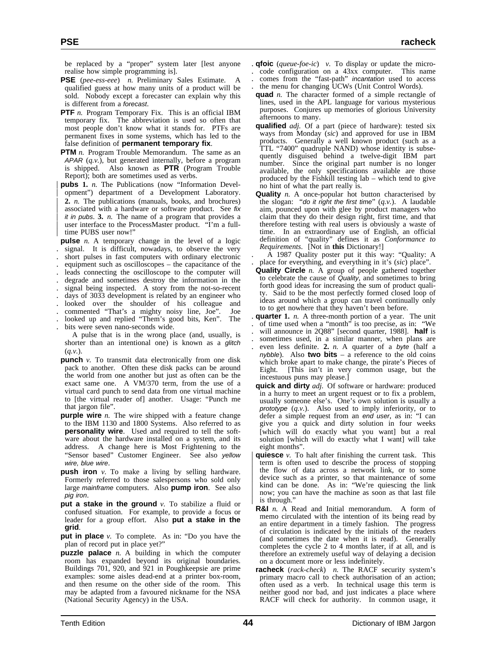be replaced by a "proper" system later [lest anyone realise how simple programming is].

- **PSE** (*pee-ess-eee*) *n.* Preliminary Sales Estimate. A qualified guess at how many units of a product will be sold. Nobody except a forecaster can explain why this is different from a forecast.
- **PTF** *n*. Program Temporary Fix. This is an official IBM temporary fix. The abbreviation is used so often that most people don't know what it stands for. PTFs are permanent fixes in some systems, which has led to the false definition of **permanent temporary fix**.
- **PTM** *n*. Program Trouble Memorandum. The same as an APAR (*q.v.*), but generated internally, before a program is shipped. Also known as **PTR** (Program Trouble Report); both are sometimes used as verbs.
- | **pubs 1.** *n.* The Publications (now "Information Devel opment") department of a Development Laboratory. | **2.** *n.* The publications (manuals, books, and brochures) associated with a hardware or software product. See fix *it in pubs.* **3.**  $n$ . The name of a program that provides a user interface to the ProcessMaster product. "I'm a fulltime PUBS user now!"

**pulse** *n.* A temporary change in the level of a logic signal. It is difficult, nowadays, to observe the very . short pulses in fast computers with ordinary electronic . equipment such as oscilloscopes – the capacitance of the . leads connecting the oscilloscope to the computer will

- . degrade and sometimes destroy the information in the signal being inspected. A story from the not-so-recent
- days of 3033 development is related by an engineer who
- . looked over the shoulder of his colleague and
- . commented "That's a mighty noisy line, Joe". Joe
- . looked up and replied "Them's good bits, Ken". The

. bits were seven nano-seconds wide. A pulse that is in the wrong place (and, usually, is shorter than an intentional one) is known as a glitch  $(q.v.)$ 

- **punch** *v.* To transmit data electronically from one disk pack to another. Often these disk packs can be around the world from one another but just as often can be the exact same one. A VM/370 term, from the use of a virtual card punch to send data from one virtual machine to [the virtual reader of] another. Usage: "Punch me that jargon file".
- **purple wire** *n*. The wire shipped with a feature change to the IBM 1130 and 1800 Systems. Also referred to as **personality wire**. Used and required to tell the software about the hardware installed on a system, and its address. A change here is Most Frightening to the "Sensor based" Customer Engineer. See also yellow wire, blue wire.
- **push iron** *v.* To make a living by selling hardware. Formerly referred to those salespersons who sold only large mainframe computers. Also **pump iron**. See also pig iron.
- **put a stake in the ground** *v.* To stabilize a fluid or confused situation. For example, to provide a focus or leader for a group effort. Also **put a stake in the grid**.

**put in place** *v.* To complete. As in: "Do you have the plan of record put in place yet?"

**puzzle palace** *n.* A building in which the computer room has expanded beyond its original boundaries. Buildings 701, 920, and 921 in Poughkeepsie are prime examples: some aisles dead-end at a printer box-room, and then resume on the other side of the room. This may be adapted from a favoured nickname for the NSA (National Security Agency) in the USA.

- . **qfoic** (*queue-foe-ic*) *v.* To display or update the micro-
- . code configuration on a 43xx computer. This name . comes from the "fast-path" incantation used to access
- the menu for changing UCWs (Unit Control Words).
- **quad** *n*. The character formed of a simple rectangle of lines, used in the APL language for various mysterious purposes. Conjures up memories of glorious University afternoons to many.
- **qualified** *adj.* Of a part (piece of hardware): tested six ways from Monday (*sic*) and approved for use in IBM products. Generally a well known product (such as a TTL "7400" quadruple NAND) whose identity is subsequently disguised behind a twelve-digit IBM part number. Since the original part number is no longer available, the only specifications available are those produced by the Fishkill testing lab – which tend to give no hint of what the part really is.
- **Quality** *n.* A once-popular hot button characterised by the slogan: "do it right the first time" (*q.v.*). A laudable aim, pounced upon with glee by product managers who claim that they do their design right, first time, and that therefore testing with real users is obviously a waste of time. In an extraordinary use of English, an official definition of "quality" defines it as *Conformance to Requirements*. [Not in **this** Dictionary!]

. A 1987 Quality poster put it this way: "Quality: A . place for everything, and everything in it's (*sic*) place".

- **Quality Circle** *n.* A group of people gathered together to celebrate the cause of Quality, and sometimes to bring forth good ideas for increasing the sum of product quality. Said to be the most perfectly formed closed loop of ideas around which a group can travel continually only to to get nowhere that they haven't been before.
- . **quarter 1.** *n.* A three-month portion of a year. The unit . of time used when a "month" is too precise, as in: "We . will announce in 2Q88" [second quarter, 1988]. **half** is . sometimes used, in a similar manner, when plans are . even less definite. **2.** *n.* A quarter of a byte (half a nybble). Also **two bits** – a reference to the old coins which broke apart to make change, the pirate's Pieces of Eight. [This isn't in very common usage, but the incestuous puns may please.]
- **quick and dirty** *adj.* Of software or hardware: produced in a hurry to meet an urgent request or to fix a problem, usually someone else's. One's own solution is usually a prototype (*q.v.*). Also used to imply inferiority, or to defer a simple request from an end user, as in: "I can give you a quick and dirty solution in four weeks [which will do exactly what you want] but a real solution [which will do exactly what I want] will take eight months".
- **quiesce** *v*. To halt after finishing the current task. This term is often used to describe the process of stopping the flow of data across a network link, or to some device such as a printer, so that maintenance of some kind can be done. As in: "We're quiescing the link now; you can have the machine as soon as that last file is through."
- **R&I** *n.* A Read and Initial memorandum. A form of memo circulated with the intention of its being read by an entire department in a timely fashion. The progress of circulation is indicated by the initials of the readers (and sometimes the date when it is read). Generally completes the cycle 2 to 4 months later, if at all, and is therefore an extremely useful way of delaying a decision on a document more or less indefinitely.
- **racheck** (*rack-check*) *n.* The RACF security system's primary macro call to check authorisation of an action; often used as a verb. In technical usage this term is neither good nor bad, and just indicates a place where RACF will check for authority. In common usage, it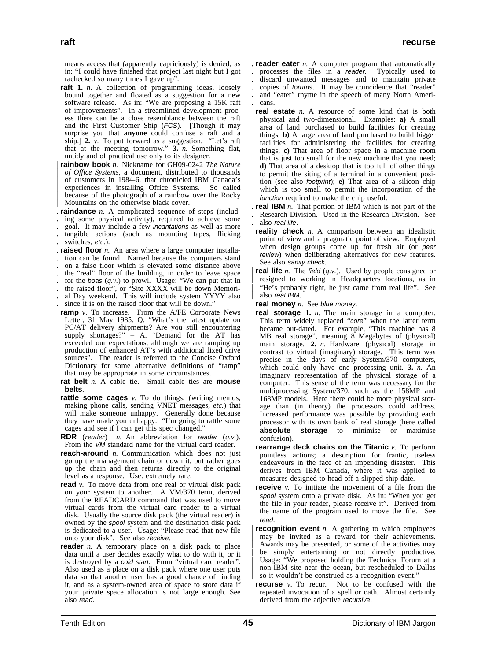means access that (apparently capriciously) is denied; as in: "I could have finished that project last night but I got rachecked so many times I gave up".

- **raft 1.** *n.* A collection of programming ideas, loosely bound together and floated as a suggestion for a new software release. As in: "We are proposing a 15K raft of improvements". In a streamlined development process there can be a close resemblance between the raft and the First Customer Ship (FCS). [Though it may surprise you that **anyone** could confuse a raft and a ship.] 2. *v*. To put forward as a suggestion. "Let's raft" that at the meeting tomorrow." **3.** *n.* Something flat, untidy and of practical use only to its designer.
- | **rainbow book** *n.* Nickname for GH09-0242 *The Nature* | *of Office Systems*, a document, distributed to thousands of customers in 1984-6, that chronicled IBM Canada's experiences in installing Office Systems. So called because of the photograph of a rainbow over the Rocky | Mountains on the otherwise black cover.
- . **raindance** *n.* A complicated sequence of steps (includ-
- . ing some physical activity), required to achieve some
- . goal. It may include a few incantations as well as more
- . tangible actions (such as mounting tapes, flicking . switches, *etc.*).
- . **raised floor** *n.* An area where a large computer installa-
- . tion can be found. Named because the computers stand
- . on a false floor which is elevated some distance above
- . the "real" floor of the building, in order to leave space
- for the boas  $(q, v)$  to prowl. Usage: "We can put that in
- the raised floor", or "Site XXXX will be down Memori-
- . al Day weekend. This will include system YYYY also
- . since it is on the raised floor that will be down."
- **ramp** *v*. To increase. From the A/FE Corporate News Letter, 31 May 1985: Q. "What's the latest update on PC/AT delivery shipments? Are you still encountering supply shortages?" – A. "Demand for the AT has exceeded our expectations, although we are ramping up production of enhanced AT's with additional fixed drive sources". The reader is referred to the Concise Oxford Dictionary for some alternative definitions of "ramp" that may be appropriate in some circumstances.
- **rat belt** *n.* A cable tie. Small cable ties are **mouse belts**.
- **rattle some cages** *v.* To do things, (writing memos, making phone calls, sending VNET messages, *etc.*) that will make someone unhappy. Generally done because they have made you unhappy. "I'm going to rattle some cages and see if I can get this spec changed."
- **RDR** (*reader*) *n.* An abbreviation for reader (*q.v.*). From the VM standard name for the virtual card reader.
- **reach-around** *n.* Communication which does not just go up the management chain or down it, but rather goes up the chain and then returns directly to the original level as a response. Use: extremely rare.
- **read** *v.* To move data from one real or virtual disk pack on your system to another. A VM/370 term, derived from the READCARD command that was used to move virtual cards from the virtual card reader to a virtual disk. Usually the source disk pack (the virtual reader) is owned by the spool system and the destination disk pack is dedicated to a user. Usage: "Please read that new file onto your disk". See also receive.
- **reader** *n.* A temporary place on a disk pack to place data until a user decides exactly what to do with it, or it is destroyed by a cold start. From "virtual card reader". Also used as a place on a disk pack where one user puts data so that another user has a good chance of finding it, and as a system-owned area of space to store data if your private space allocation is not large enough. See also read.
- . **reader eater** *n.* A computer program that automatically . processes the files in a reader. Typically used to . discard unwanted messages and to maintain private copies of forums. It may be coincidence that "reader" . and "eater" rhyme in the speech of many North Ameri- . cans.
- **real estate** *n.* A resource of some kind that is both physical and two-dimensional. Examples: **a)** A small area of land purchased to build facilities for creating things; **b)** A large area of land purchased to build bigger facilities for administering the facilities for creating things; **c)** That area of floor space in a machine room that is just too small for the new machine that you need; **d)** That area of a desktop that is too full of other things to permit the siting of a terminal in a convenient position (see also footprint); **e)** That area of a silicon chip which is too small to permit the incorporation of the function required to make the chip useful.
- . **real IBM** *n.* That portion of IBM which is not part of the . Research Division. Used in the Research Division. See also real life.
- **reality check** *n.* A comparison between an idealistic point of view and a pragmatic point of view. Employed when design groups come up for fresh air (or peer review) when deliberating alternatives for new features. See also sanity check.
- **real life** *n*. The field  $(q, v)$ . Used by people consigned or resigned to working in Headquarters locations, as in "He's probably right, he just came from real life". See also real IBM.
- **real money** *n.* See blue money.
- **real storage 1.** *n.* The main storage in a computer. This term widely replaced "core" when the latter term became out-dated. For example, "This machine has 8 MB real storage", meaning 8 Megabytes of (physical) main storage. **2.** *n.* Hardware (physical) storage in contrast to virtual (imaginary) storage. This term was precise in the days of early System/370 computers, which could only have one processing unit. **3.** *n.* An imaginary representation of the physical storage of a computer. This sense of the term was necessary for the multiprocessing System/370, such as the 158MP and 168MP models. Here there could be more physical storage than (in theory) the processors could address. Increased performance was possible by providing each processor with its own bank of real storage (here called **absolute storage** to minimise or maximise confusion).
- **rearrange deck chairs on the Titanic** *v.* To perform pointless actions; a description for frantic, useless endeavours in the face of an impending disaster. This derives from IBM Canada, where it was applied to measures designed to head off a slipped ship date.
- **receive** *v*. To initiate the movement of a file from the spool system onto a private disk. As in: "When you get the file in your reader, please receive it". Derived from the name of the program used to move the file. See read.
- **recognition event** *n*. A gathering to which employees may be invited as a reward for their achievements. Awards may be presented, or some of the activities may be simply entertaining or not directly productive. Usage: "We proposed holding the Technical Forum at a non-IBM site near the ocean, but rescheduled to Dallas so it wouldn't be construed as a recognition event."
- **recurse** *v*. To recur. Not to be confused with the repeated invocation of a spell or oath. Almost certainly derived from the adjective recursive.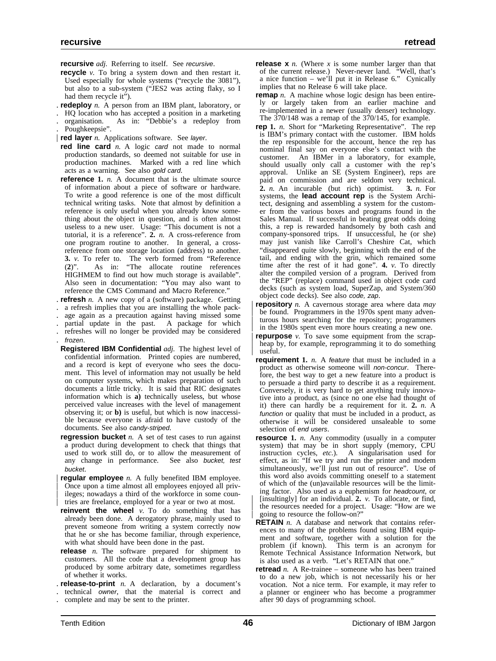**recursive** *adj.* Referring to itself. See recursive.

- **recycle** *v*. To bring a system down and then restart it. Used especially for whole systems ("recycle the 3081"), but also to a sub-system ("JES2 was acting flaky, so I had them recycle it").
- . **redeploy** *n.* A person from an IBM plant, laboratory, or
- . HQ location who has accepted a position in a marketing
- . organisation. As in: "Debbie's a redeploy from
- . Poughkeepsie".
- | **red layer** *n.* Applications software. See layer.
- **red line card** *n.* A logic card not made to normal production standards, so deemed not suitable for use in production machines. Marked with a red line which acts as a warning. See also gold card.
- **reference 1.** *n.* A document that is the ultimate source of information about a piece of software or hardware. To write a good reference is one of the most difficult technical writing tasks. Note that almost by definition a reference is only useful when you already know something about the object in question, and is often almost useless to a new user. Usage: "This document is not a tutorial, it is a reference". **2.** *n.* A cross-reference from one program routine to another. In general, a crossreference from one storage location (address) to another. **3.** *v.* To refer to. The verb formed from "Reference (**2**)". As in: "The allocate routine references HIGHMEM to find out how much storage is available". Also seen in documentation: "You may also want to reference the CMS Command and Macro Reference.'
- . **refresh** *n.* A new copy of a (software) package. Getting
- . a refresh implies that you are installing the whole pack-
- . age again as a precaution against having missed some
- . partial update in the past. A package for which . refreshes will no longer be provided may be considered
- . frozen.
- **Registered IBM Confidential** *adj.* The highest level of confidential information. Printed copies are numbered, and a record is kept of everyone who sees the document. This level of information may not usually be held on computer systems, which makes preparation of such documents a little tricky. It is said that RIC designates information which is **a)** technically useless, but whose perceived value increases with the level of management observing it; or **b)** is useful, but which is now inaccessible because everyone is afraid to have custody of the documents. See also candy-striped.
- **regression bucket** *n.* A set of test cases to run against a product during development to check that things that used to work still do, or to allow the measurement of any change in performance. See also bucket, test bucket.
- **regular employee** *n*. A fully benefited IBM employee. | Once upon a time almost all employees enjoyed all priv ileges; nowadays a third of the workforce in some countries are freelance, employed for a year or two at most.
- **reinvent the wheel** *v*. To do something that has already been done. A derogatory phrase, mainly used to prevent someone from writing a system correctly now that he or she has become familiar, through experience, with what should have been done in the past.
- **release** *n.* The software prepared for shipment to customers. All the code that a development group has produced by some arbitrary date, sometimes regardless of whether it works.
- . **release-to-print** *n.* A declaration, by a document's
- . technical owner, that the material is correct and
- . complete and may be sent to the printer.
- **release x** *n.* (Where *x* is some number larger than that of the current release.) Never-never land. "Well, that's a nice function – we'll put it in Release 6." Cynically implies that no Release  $\vec{6}$  will take place.
- **remap** *n*. A machine whose logic design has been entirely or largely taken from an earlier machine and re-implemented in a newer (usually denser) technology. The 370/148 was a remap of the 370/145, for example.
- **rep 1.** *n.* Short for "Marketing Representative". The rep is IBM's primary contact with the customer. IBM holds the rep responsible for the account, hence the rep has nominal final say on everyone else's contact with the customer. An IBMer in a laboratory, for example, should usually only call a customer with the rep's approval. Unlike an SE (System Engineer), reps are paid on commission and are seldom very technical. **2.** *n.* An incurable (but rich) optimist. **3.** *n.* For systems, the **lead account rep** is the System Architect, designing and assembling a system for the customer from the various boxes and programs found in the Sales Manual. If successful in beating great odds doing this, a rep is rewarded handsomely by both cash and company-sponsored trips. If unsuccessful, he (or she) may just vanish like Carroll's Cheshire Cat, which "disappeared quite slowly, beginning with the end of the tail, and ending with the grin, which remained some time after the rest of it had gone". **4.** *v.* To directly alter the compiled version of a program. Derived from the "REP" (replace) command used in object code card decks (such as system load, SuperZap, and System/360 object code decks). See also code, zap.
- | **repository** *n.* A cavernous storage area where data *may* be found. Programmers in the 1970s spent many adventurous hours searching for the repository; programmers in the 1980s spent even more hours creating a new one.
- **repurpose**  $v$ . To save some equipment from the scrapheap by, for example, reprogramming it to do something useful.
- **requirement 1.** *n.* A feature that must be included in a product as otherwise someone will non-concur. Therefore, the best way to get a new feature into a product is to persuade a third party to describe it as a requirement. Conversely, it is very hard to get anything truly innovative into a product, as (since no one else had thought of it) there can hardly be a requirement for it. **2.** *n.* A function or quality that must be included in a product, as otherwise it will be considered unsaleable to some selection of end users.
- **resource 1.** *n.* Any commodity (usually in a computer system) that may be in short supply (memory, CPU instruction cycles,  $etc.$ ). A singularisation used for A singularisation used for effect, as in: "If we try and run the printer and modem simultaneously, we'll just run out of resource". Use of this word also avoids committing oneself to a statement of which of the (un)available resources will be the limiting factor. Also used as a euphemism for headcount, or | [insultingly] for an individual. **2.** *v.* To allocate, or find, the resources needed for a project. Usage: "How are we | going to resource the follow-on?"
- **RETAIN** *n.* A database and network that contains references to many of the problems found using IBM equipment and software, together with a solution for the problem (if known). This term is an acronym for Remote Technical Assistance Information Network, but is also used as a verb. "Let's RETAIN that one."
- **retread** *n.* A Re-trainee someone who has been trained to do a new job, which is not necessarily his or her vocation. Not a nice term. For example, it may refer to a planner or engineer who has become a programmer after 90 days of programming school.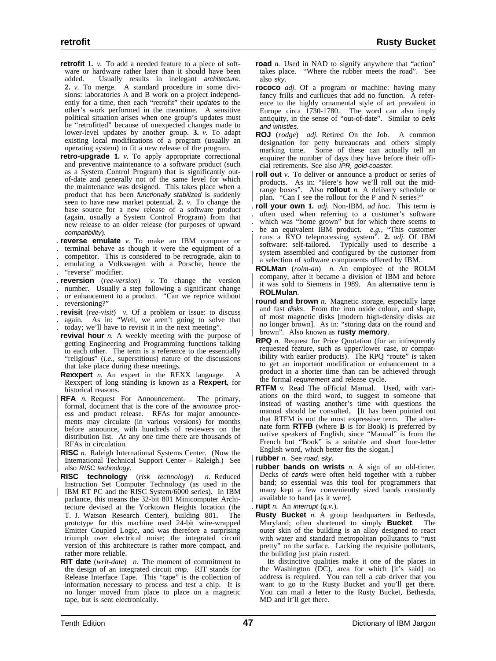- **retrofit 1.** *v.* To add a needed feature to a piece of software or hardware rather later than it should have been added. Usually results in inelegant architecture. **2.** *v.* To merge. A standard procedure in some divisions: laboratories A and B work on a project independently for a time, then each "retrofit" their updates to the other's work performed in the meantime. A sensitive political situation arises when one group's updates must be "retrofitted" because of unexpected changes made to lower-level updates by another group. **3.** *v.* To adapt existing local modifications of a program (usually an operating system) to fit a new release of the program.
- **retro-upgrade 1.** *v.* To apply appropriate correctional and preventive maintenance to a software product (such as a System Control Program) that is significantly outof-date and generally not of the same level for which the maintenance was designed. This takes place when a product that has been functionally stabilized is suddenly seen to have new market potential. **2.** *v.* To change the base source for a new release of a software product (again, usually a System Control Program) from that new release to an older release (for purposes of upward compatibility).
- . **reverse emulate** *v.* To make an IBM computer or
- . terminal behave as though it were the equipment of a
- . competitor. This is considered to be retrograde, akin to . emulating a Volkswagen with a Porsche, hence the
- "reverse" modifier.
- . **reversion** (*ree-version*) *v.* To change the version
- . number. Usually a step following a significant change or enhancement to a product. "Can we reprice without
- . reversioning?"
- . **revisit** (*ree-visit*) *v.* Of a problem or issue: to discuss again. As in: "Well, we aren't going to solve that . today; we'll have to revisit it in the next meeting".
- **revival hour** *n.* A weekly meeting with the purpose of getting Engineering and Programming functions talking to each other. The term is a reference to the essentially "religious" (*i.e.*, superstitious) nature of the discussions that take place during these meetings.
- **Rexxpert** *n.* An expert in the REXX language. A Rexxpert of long standing is known as a **Rexpert**, for historical reasons.
- **RFA** *n.* Request For Announcement. The primary, formal, document that is the core of the *announce* process and product release. RFAs for major announcements may circulate (in various versions) for months before announce, with hundreds of reviewers on the distribution list. At any one time there are thousands of RFAs in circulation.
- | **RISC** *n.* Raleigh International Systems Center. (Now the | International Technical Support Center – Raleigh.) See also RISC technology.
- **RISC technology** (*risk technology*) *n.* Reduced Instruction Set Computer Technology (as used in the IBM RT PC and the RISC System/6000 series). In IBM parlance, this means the 32-bit 801 Minicomputer Architecture devised at the Yorktown Heights location (the T. J. Watson Research Center), building 801. The prototype for this machine used 24-bit wire-wrapped Emitter Coupled Logic, and was therefore a surprising triumph over electrical noise; the integrated circuit version of this architecture is rather more compact, and rather more reliable.
- **RIT date** (*writ-date*) *n.* The moment of commitment to the design of an integrated circuit chip. RIT stands for Release Interface Tape. This "tape" is the collection of information necessary to process and test a chip. It is no longer moved from place to place on a magnetic tape, but is sent electronically.
- **road** *n*. Used in NAD to signify anywhere that "action" takes place. "Where the rubber meets the road". See also sky.
- **rococo** *adj.* Of a program or machine: having many fancy frills and curlicues that add no function. A reference to the highly ornamental style of art prevalent in Europe circa 1730-1780. The word can also imply antiquity, in the sense of "out-of-date". Similar to bells and whistles.
- **ROJ** (*rodge*) *adj.* Retired On the Job. A common designation for petty bureaucrats and others simply marking time. Some of these can actually tell an enquirer the number of days they have before their official retirements. See also IPR, gold-coaster.
- **roll out** *v*. To deliver or announce a product or series of products. As in: "Here's how we'll roll out the mid-| range boxes". Also **rollout** *n.* A delivery schedule or plan. "Can I see the rollout for the P and N series?"
- . **roll your own 1.** *adj.* Non-IBM, *ad hoc*. This term is . often used when referring to a customer's software which was "home grown" but for which there seems to . be an equivalent IBM product. *e.g.*, "This customer | runs a RYO teleprocessing system". **2.** *adj.* Of IBM software: self-tailored. Typically used to describe a system assembled and configured by the customer from a selection of software components offered by IBM.
- **ROLMan** (*rolm-an*) *n.* An employee of the ROLM | company, after it became a division of IBM and before it was sold to Siemens in 1989. An alternative term is **ROLMulan**.
- **round and brown** *n*. Magnetic storage, especially large and fast disks. From the iron oxide colour, and shape, of most magnetic disks [modern high-density disks are no longer brown]. As in: "storing data on the round and | brown". Also known as **rusty memory**.
- **RPQ** *n.* Request for Price Quotation (for an infrequently requested feature, such as upper/lower case, or compatibility with earlier products). The RPQ "route" is taken to get an important modification or enhancement to a product in a shorter time than can be achieved through the formal requirement and release cycle.
- **RTFM** *v.* Read The oFficial Manual. Used, with variations on the third word, to suggest to someone that instead of wasting another's time with questions the manual should be consulted. [It has been pointed out that RTFM is not the most expressive term. The alternate form **RTFB** (where **B** is for Book) is preferred by native speakers of English, since "Manual" is from the French but "Book" is a suitable and short four-letter English word, which better fits the slogan.]
- rubber *n.* See road, sky.
- **rubber bands on wrists** *n*. A sign of an old-timer. Decks of cards were often held together with a rubber band; so essential was this tool for programmers that many kept a few conveniently sized bands constantly available to hand [as it were].
- . **rupt** *n.* An interrupt (*q.v.*).
- **Rusty Bucket** *n.* A group headquarters in Bethesda, Maryland; often shortened to simply **Bucket**. The outer skin of the building is an alloy designed to react with water and standard metropolitan pollutants to "rust pretty" on the surface. Lacking the requisite pollutants, the building just plain rusted.

Its distinctive qualities make it one of the places in the Washington (DC), area for which [it's said] no address is required. You can tell a cab driver that you want to go to the Rusty Bucket and you'll get there. You can mail a letter to the Rusty Bucket, Bethesda, MD and it'll get there.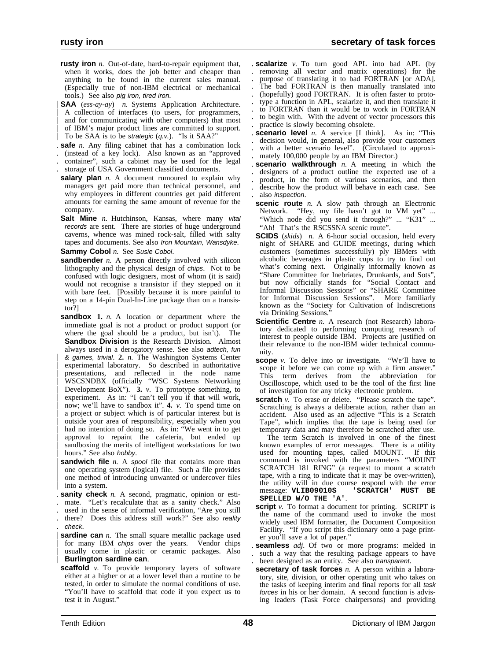**rusty iron** *n*. Out-of-date, hard-to-repair equipment that, when it works, does the job better and cheaper than anything to be found in the current sales manual. (Especially true of non-IBM electrical or mechanical tools.) See also pig iron, tired iron.

| **SAA** (*ess-ay-ay*) *n.* Systems Application Architecture. A collection of interfaces (to users, for programmers, and for communicating with other computers) that most of IBM's major product lines are committed to support. | To be SAA is to be strategic (*q.v.*). "Is it SAA?"

- . **safe** *n.* Any filing cabinet that has a combination lock
- . (instead of a key lock). Also known as an "approved
- . container", such a cabinet may be used for the legal
- . storage of USA Government classified documents.
- **salary plan** *n*. A document rumoured to explain why managers get paid more than technical personnel, and why employees in different countries get paid different amounts for earning the same amount of revenue for the company.
- **Salt Mine** *n.* Hutchinson, Kansas, where many vital records are sent. There are stories of huge underground caverns, whence was mined rock-salt, filled with salty tapes and documents. See also Iron Mountain, Wansdyke.

**Sammy Cobol** *n.* See Susie Cobol.

- **sandbender** *n*. A person directly involved with silicon lithography and the physical design of chips. Not to be confused with logic designers, most of whom (it is said) would not recognise a transistor if they stepped on it with bare feet. [Possibly because it is more painful to step on a 14-pin Dual-In-Line package than on a transistor?]
- **sandbox** 1. *n*. A location or department where the immediate goal is not a product or product support (or where the goal should be a product, but isn't). The **Sandbox Division** is the Research Division. Almost always used in a derogatory sense. See also adtech, fun | & games, trivial. **2.** *n.* The Washington Systems Center experimental laboratory. So described in authoritative | presentations, and reflected in the node name | WSCSNDBX (officially "WSC Systems Networking | Development BoX"). **3.** *v.* To prototype something, to experiment. As in: "I can't tell you if that will work, | now; we'll have to sandbox it". **4.** *v.* To spend time on a project or subject which is of particular interest but is outside your area of responsibility, especially when you had no intention of doing so. As in: "We went in to get approval to repaint the cafeteria, but ended up sandboxing the merits of intelligent workstations for two hours." See also hobby.
- **sandwich file** *n*. A spool file that contains more than | one operating system (logical) file. Such a file provides one method of introducing unwanted or undercover files into a system.
- . **sanity check** *n.* A second, pragmatic, opinion or esti-
- . mate. "Let's recalculate that as a sanity check." Also
- . used in the sense of informal verification, "Are you still . there? Does this address still work?" See also reality
- . check.
- **sardine can** *n*. The small square metallic package used for many IBM chips over the years. Vendor chips usually come in plastic or ceramic packages. Also | **Burlington sardine can**.
- **scaffold** *v*. To provide temporary layers of software either at a higher or at a lower level than a routine to be tested, in order to simulate the normal conditions of use. "You'll have to scaffold that code if you expect us to test it in August."

. **scalarize** *v.* To turn good APL into bad APL (by . removing all vector and matrix operations) for the purpose of translating it to bad FORTRAN [or ADA]. The bad FORTRAN is then manually translated into . (hopefully) good FORTRAN. It is often faster to proto- . type a function in APL, scalarize it, and then translate it . to FORTRAN than it would be to work in FORTRAN . to begin with. With the advent of vector processors this . practice is slowly becoming obsolete.

- **scenario level** *n*. A service [I think]. As in: "This . decision would, in general, also provide your customers with a better scenario level". (Circulated to approxi-. mately 100,000 people by an IBM Director.)
- . **scenario walkthrough** *n.* A meeting in which the . designers of a product outline the expected use of a . product, in the form of various scenarios, and then . describe how the product will behave in each case. See . also inspection.
- **scenic route** *n*. A slow path through an Electronic Network. "Hey, my file hasn't got to VM yet" ... "Which node did you send it through?" ... "K31" ... "Ah! That's the RSCSSNA scenic route".
- **SCIDS** (*skids*) *n.* A 6-hour social occasion, held every night of SHARE and GUIDE meetings, during which customers (sometimes successfully) ply IBMers with alcoholic beverages in plastic cups to try to find out what's coming next. Originally informally known as "Share Committee for Inebriates, Drunkards, and Sots", but now officially stands for "Social Contact and Informal Discussion Sessions" or "SHARE Committee for Informal Discussion Sessions". More familiarly known as the "Society for Cultivation of Indiscretions via Drinking Sessions."
- **Scientific Centre** *n.* A research (not Research) laboratory dedicated to performing computing research of interest to people outside IBM. Projects are justified on their relevance to the non-IBM wider technical community.
- **scope** *v*. To delve into or investigate. "We'll have to scope it before we can come up with a firm answer." This term derives from the abbreviation for Oscilloscope, which used to be the tool of the first line of investigation for any tricky electronic problem.
- **scratch** *v*. To erase or delete. "Please scratch the tape". Scratching is always a deliberate action, rather than an accident. Also used as an adjective "This is a Scratch Tape", which implies that the tape is being used for temporary data and may therefore be scratched after use.
- The term Scratch is involved in one of the finest known examples of error messages. There is a utility used for mounting tapes, called MOUNT. If this command is invoked with the parameters "MOUNT SCRATCH 181 RING" (a request to mount a scratch tape, with a ring to indicate that it may be over-written), the utility will in due course respond with the error message: VLIB09010S 'SCRATCH' MUST BE message: VLIB09010S **SPELLED W/O THE 'A'**.
- **script** *v*. To format a document for printing. SCRIPT is the name of the command used to invoke the most widely used IBM formatter, the Document Composition Facility. "If you script this dictionary onto a page printer you'll save a lot of paper."
- . **seamless** *adj.* Of two or more programs: melded in such a way that the resulting package appears to have been designed as an entity. See also transparent.
- **secretary of task forces** *n.* A person within a laboratory, site, division, or other operating unit who takes on the tasks of keeping interim and final reports for all task forces in his or her domain. A second function is advising leaders (Task Force chairpersons) and providing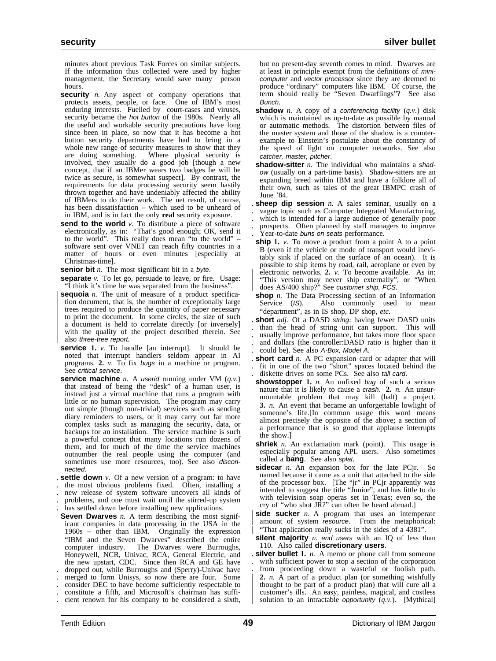minutes about previous Task Forces on similar subjects. If the information thus collected were used by higher management, the Secretary would save many person hours.

- **security** *n*. Any aspect of company operations that protects assets, people, or face. One of IBM's most enduring interests. Fuelled by court-cases and viruses, security became the *hot button* of the 1980s. Nearly all the useful and workable security precautions have long since been in place, so now that it has become a hot button security departments have had to bring in a whole new range of security measures to show that they are doing something. Where physical security is Where physical security is involved, they usually do a good job [though a new concept, that if an IBMer wears two badges he will be twice as secure, is somewhat suspect]. By contrast, the requirements for data processing security seem hastily thrown together and have undeniably affected the ability of IBMers to do their work. The net result, of course, has been dissatisfaction – which used to be unheard of in IBM, and is in fact the only **real** security exposure.
- **send to the world** *v*. To distribute a piece of software electronically, as in: "That's good enough; OK, send it to the world". This really does mean "to the world" – software sent over VNET can reach fifty countries in a matter of hours or even minutes [especially at Christmas-time].

**senior bit** *n*. The most significant bit in a byte.

- **separate** *v.* To let go, persuade to leave, or fire. Usage: "I think it's time he was separated from the business".
- **sequoia** *n*. The unit of measure of a product specification document, that is, the number of exceptionally large trees required to produce the quantity of paper necessary to print the document. In some circles, the size of such a document is held to correlate directly [or inversely] with the quality of the project described therein. See also three-tree report.
- **service 1.** *v.* To handle [an interrupt]. It should be noted that interrupt handlers seldom appear in AI programs. **2.** *v.* To fix bugs in a machine or program. See critical service.
- **service machine** *n.* A userid running under VM (*q.v.*) that instead of being the "desk" of  $a$  human user, is instead just a virtual machine that runs a program with little or no human supervision. The program may carry out simple (though non-trivial) services such as sending diary reminders to users, or it may carry out far more complex tasks such as managing the security, data, or backups for an installation. The service machine is such a powerful concept that many locations run dozens of them, and for much of the time the service machines outnumber the real people using the computer (and sometimes use more resources, too). See also disconnected.
- . **settle down** *v.* Of a new version of a program: to have
- . the most obvious problems fixed. Often, installing a
- . new release of system software uncovers all kinds of
- . problems, and one must wait until the stirred-up system . has settled down before installing new applications.
- **Seven Dwarves** *n*. A term describing the most significant companies in data processing in the USA in the 1960s – other than IBM. Originally the expression "IBM and the Seven Dwarves" described the entire computer industry. The Dwarves were Burroughs, Honeywell, NCR, Univac, RCA, General Electric, and the new upstart, CDC. Since then RCA and GE have . dropped out, while Burroughs and (Sperry)-Univac have . merged to form Unisys, so now there are four. Some . consider DEC to have become sufficiently respectable to
- . constitute a fifth, and Microsoft's chairman has suffi-
- . cient renown for his company to be considered a sixth,

but no present-day seventh comes to mind. Dwarves are at least in principle exempt from the definitions of minicomputer and vector processor since they are deemed to produce "ordinary" computers like IBM. Of course, the term should really be "Seven Dwarflings"? See also Bunch.

- **shadow** *n.* A copy of a conferencing facility (q.v.) disk which is maintained as up-to-date as possible by manual or automatic methods. The distortion between files of the master system and those of the shadow is a counterexample to Einstein's postulate about the constancy of the speed of light on computer networks. See also catcher, master, pitcher.
- **shadow-sitter** *n*. The individual who maintains a shadow (usually on a part-time basis). Shadow-sitters are an expanding breed within IBM and have a folklore all of their own, such as tales of the great IBMPC crash of June '84.

. **sheep dip session** *n.* A sales seminar, usually on a . vague topic such as Computer Integrated Manufacturing,

- . which is intended for a large audience of generally poor
- . prospects. Often planned by staff managers to improve Year-to-date buns on seats performance.
- **ship** 1. *v*. To move a product from a point A to a point B (even if the vehicle or mode of transport would inevitably sink if placed on the surface of an ocean). It is possible to ship items by road, rail, aeroplane or even by electronic networks. 2. *v*. To become available. As in: "This version may never ship externally", or "When does AS/400 ship?" See customer ship, FCS.
- **shop** *n*. The Data Processing section of an Information Service (*IS*). Also commonly used to mean Also commonly used to mean "department", as in IS shop, DP shop, *etc.*
- . **short** *adj.* Of a DASD string: having fewer DASD units
- . than the head of string unit can support. This will usually improve performance, but takes more floor space . and dollars (the controller:DASD ratio is higher than it . could be). See also A-Box, Model A.
- . **short card** *n.* A PC expansion card or adapter that will . fit in one of the two "short" spaces located behind the . diskette drives on some PCs. See also tall card.
- **showstopper 1.** *n.* An unfixed bug of such a serious nature that it is likely to cause a crash. **2.** *n.* An unsurmountable problem that may kill (halt) a project. **3.** *n.* An event that became an unforgettable lowlight of someone's life.[In common usage this word means almost precisely the opposite of the above; a section of a performance that is so good that applause interrupts the show.]
- **shriek** *n*. An exclamation mark (point). This usage is especially popular among APL users. Also sometimes called a **bang**. See also splat.
- **sidecar** *n*. An expansion box for the late PCjr. So named because it came as a unit that attached to the side of the processor box. [The "jr" in PCjr apparently was intended to suggest the title "Junior", and has little to do with television soap operas set in Texas; even so, the cry of "who shot JR?" can often be heard abroad.]
- **side sucker** *n*. A program that uses an intemperate amount of system resource. From the metaphorical: "That application really sucks in the sides of a 4381".
- **silent majority** *n.* end users with an IQ of less than 110. Also called **discretionary users**.
- . **silver bullet 1.** *n.* A memo or phone call from someone with sufficient power to stop a section of the corporation . from proceeding down a wasteful or foolish path. | **2.** *n.* A part of a product plan (or something wishfully thought to be part of a product plan) that will cure all a | customer's ills. An easy, painless, magical, and costless solution to an intractable *opportunity*  $(q.v.)$ . [Mythical]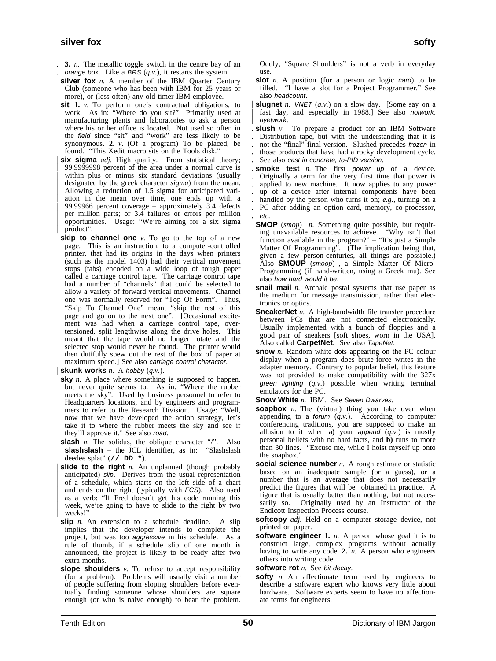- . **3.** *n.* The metallic toggle switch in the centre bay of an
- . orange box. Like a BRS (*q.v.*), it restarts the system.
- **silver fox** *n.* A member of the IBM Quarter Century Club (someone who has been with IBM for 25 years or more), or (less often) any old-timer IBM employee.
- **sit** 1. *v*. To perform one's contractual obligations, to work. As in: "Where do you sit?" Primarily used at manufacturing plants and laboratories to ask a person where his or her office is located. Not used so often in the field since "sit" and "work" are less likely to be synonymous. **2.** *v.* (Of a program) To be placed, be found. "This Xedit macro sits on the Tools disk."
- **six sigma** *adj*. High quality. From statistical theory; | 99.9999998 percent of the area under a normal curve is within plus or minus six standard deviations (usually designated by the greek character *sigma*) from the mean. Allowing a reduction of 1.5 sigma for anticipated variation in the mean over time, one ends up with a 99.99966 percent coverage – approximately  $3.4$  defects per million parts; or 3.4 failures or errors per million | opportunities. Usage: "We're aiming for a six sigma product".
- **skip to channel one** *v*. To go to the top of a new page. This is an instruction, to a computer-controlled printer, that had its origins in the days when printers (such as the model 1403) had their vertical movement stops (tabs) encoded on a wide loop of tough paper called a carriage control tape. The carriage control tape had a number of "channels" that could be selected to allow a variety of forward vertical movements. Channel one was normally reserved for "Top Of Form". Thus, "Skip To Channel One" meant "skip the rest of this page and go on to the next one". [Occasional excitement was had when a carriage control tape, overtensioned, split lengthwise along the drive holes. This meant that the tape would no longer rotate and the selected stop would never be found. The printer would then dutifully spew out the rest of the box of paper at maximum speed.] See also carriage control character.

#### **skunk works**  $n$ . A hobby  $(q.v.)$ .

- **sky** *n*. A place where something is supposed to happen, but never quite seems to. As in: "Where the rubber meets the sky". Used by business personnel to refer to Headquarters locations, and by engineers and programmers to refer to the Research Division. Usage: "Well, now that we have developed the action strategy, let's take it to where the rubber meets the sky and see if they'll approve it." See also road.
- **slash** *n*. The solidus, the oblique character "/". Also **slashslash** – the JCL identifier, as in: "Slashslash deedee splat" (**// DD \***).
- **slide to the right** *n*. An unplanned (though probably anticipated) slip. Derives from the usual representation of a schedule, which starts on the left side of a chart and ends on the right (typically with FCS). Also used as a verb: "If Fred doesn't get his code running this week, we're going to have to slide to the right by two weeks!"
- **slip** *n*. An extension to a schedule deadline. A slip implies that the developer intends to complete the project, but was too aggressive in his schedule. As a rule of thumb, if a schedule slip of one month is announced, the project is likely to be ready after two extra months.
- **slope shoulders** *v.* To refuse to accept responsibility (for a problem). Problems will usually visit a number of people suffering from sloping shoulders before eventually finding someone whose shoulders are square enough (or who is naive enough) to bear the problem.

Oddly, "Square Shoulders" is not a verb in everyday use.

- **slot** *n*. A position (for a person or logic card) to be filled. "I have a slot for a Project Programmer." See also headcount.
- **slugnet** *n. VNET*  $(q, v)$  on a slow day. [Some say on a fast day, and especially in 1988.] See also notwork, nyetwork.
- . **slush** *v.* To prepare a product for an IBM Software . Distribution tape, but with the understanding that it is . not the "final" final version. Slushed precedes frozen in . those products that have had a rocky development cycle. See also cast in concrete, to-PID version.
- . **smoke test** *n.* The first power up of a device. . Originally a term for the very first time that power is . applied to new machine. It now applies to any power . up of a device after internal components have been handled by the person who turns it on; *e.g.*, turning on a . PC after adding an option card, memory, co-processor, . *etc.*
- **SMOP** (*smop*) *n.* Something quite possible, but requiring unavailable resources to achieve. "Why isn't that function available in the program?" – "It's just a Simple Matter Of Programming". (The implication being that, given a few person-centuries, all things are possible.) Also **SMOUP** (*smoop*) , a Simple Matter Of Micro-Programming (if hand-written, using a Greek mu). See also how hard would it be.
- **snail mail** *n*. Archaic postal systems that use paper as the medium for message transmission, rather than electronics or optics.
- **SneakerNet** *n*. A high-bandwidth file transfer procedure between PCs that are not connected electronically. Usually implemented with a bunch of floppies and a good pair of sneakers [soft shoes, worn in the USA]. Also called **CarpetNet**. See also TapeNet.
- **snow** *n*. Random white dots appearing on the PC colour display when a program does brute-force writes in the adapter memory. Contrary to popular belief, this feature was not provided to make compatibility with the 327x green lighting (*q.v.*) possible when writing terminal emulators for the PC.
- **Snow White** *n.* IBM. See Seven Dwarves.
- **soapbox** *n*. The (virtual) thing you take over when appending to a *forum*  $(q, v)$ . According to computer conferencing traditions, you are supposed to make an allusion to it when **a**) your append  $(q, v)$  is mostly personal beliefs with no hard facts, and **b)** runs to more than 30 lines. "Excuse me, while I hoist myself up onto the soapbox."
- **social science number** *n*. A rough estimate or statistic based on an inadequate sample (or a guess), or a number that is an average that does not necessarily predict the figures that will be obtained in practice. A figure that is usually better than nothing, but not necessarily so. Originally used by an Instructor of the Endicott Inspection Process course.
- **softcopy** *adj.* Held on a computer storage device, not printed on paper.
- **software engineer 1.** *n*. A person whose goal it is to construct large, complex programs without actually having to write any code. **2.** *n.* A person who engineers others into writing code.

**software rot** *n.* See bit decay.

**softy** *n*. An affectionate term used by engineers to describe a software expert who knows very little about hardware. Software experts seem to have no affectionate terms for engineers.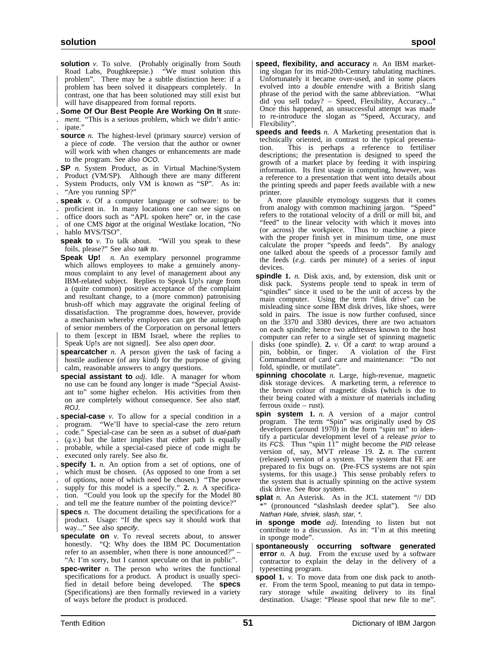solution *v*. To solve. (Probably originally from South Road Labs, Poughkeepsie.) "We must solution this | problem". There may be a subtle distinction here: if a problem has been solved it disappears completely. In contrast, one that has been solutioned may still exist but will have disappeared from formal reports.

. **Some Of Our Best People Are Working On It** *state* ment. "This is a serious problem, which we didn't antic-. ipate."

- **source** *n*. The highest-level (primary source) version of a piece of code. The version that the author or owner will work with when changes or enhancements are made to the program. See also OCO.
- . **SP** *n.* System Product, as in Virtual Machine/System
- . Product (VM/SP). Although there are many different
- . System Products, only VM is known as "SP". As in:
- . "Are you running SP?"
- . **speak** *v.* Of a computer language or software: to be
- . proficient in. In many locations one can see signs on
- . office doors such as "APL spoken here" or, in the case
- . of one CMS bigot at the original Westlake location, "No
- . hablo MVS/TSO".
- **speak to** *v*. To talk about. "Will you speak to these foils, please?" See also talk to.
- **Speak Up!** *n.* An exemplary personnel programme which allows employees to make a genuinely anonymous complaint to any level of management about any IBM-related subject. Replies to Speak Up!s range from a (quite common) positive acceptance of the complaint and resultant change, to a (more common) patronising brush-off which may aggravate the original feeling of dissatisfaction. The programme does, however, provide a mechanism whereby employees can get the autograph of senior members of the Corporation on personal letters to them [except in IBM Israel, where the replies to Speak Up!s are not signed]. See also open door.

**spearcatcher** *n*. A person given the task of facing a hostile audience (of any kind) for the purpose of giving calm, reasonable answers to angry questions.

**special assistant to** *adj.* Idle. A manager for whom no use can be found any longer is made "Special Assistant to" some higher echelon. His activities from then on are completely without consequence. See also staff, ROJ.

- . **special-case** *v.* To allow for a special condition in a
- . program. "We'll have to special-case the zero return
- . code." Special-case can be seen as a subset of dual-path
- $(q, v)$  but the latter implies that either path is equally
- . probable, while a special-cased piece of code might be
- executed only rarely. See also fix.
- . **specify 1.** *n.* An option from a set of options, one of . which must be chosen. (As opposed to one from a set
- . of options, none of which need be chosen.) "The power
- . supply for this model is a specify." **2.** *n.* A specifica-
- tion. "Could you look up the specify for the Model 80
- . and tell me the feature number of the pointing device?" **specs** *n*. The document detailing the specifications for a
- | product. Usage: "If the specs say it should work that | way..." See also specify.
- **speculate on** *v.* To reveal secrets about, to answer honestly. "Q: Why does the IBM PC Documentation refer to an assembler, when there is none announced?" – "A: I'm sorry, but I cannot speculate on that in public".
- **spec-writer** *n*. The person who writes the functional specifications for a product. A product is usually specified in detail before being developed. The **specs** (Specifications) are then formally reviewed in a variety of ways before the product is produced.
- speed, flexibility, and accuracy *n*. An IBM marketing slogan for its mid-20th-Century tabulating machines. | Unfortunately it became over-used, and in some places | evolved into a *double entendre* with a British slang phrase of the period with the same abbreviation. "What did you sell today? - Speed, Flexibility, Accuracy...' | Once this happened, an unsuccessful attempt was made | to re-introduce the slogan as "Speed, Accuracy, and | Flexibility".
- **speeds and feeds** *n.* A Marketing presentation that is technically oriented, in contrast to the typical presenta-This is perhaps a reference to fertiliser descriptions; the presentation is designed to speed the growth of a market place by feeding it with inspiring information. Its first usage in computing, however, was a reference to a presentation that went into details about the printing speeds and paper feeds available with a new printer.
- A more plausible etymology suggests that it comes from analogy with common machining jargon. "Speed" refers to the rotational velocity of a drill or mill bit, and "feed" to the linear velocity with which it moves into (or across) the workpiece. Thus to machine a piece with the proper finish yet in minimum time, one must calculate the proper "speeds and feeds". By analogy one talked about the speeds of a processor family and the feeds  $(e.g.$  cards per minute) of a series of input devices.
- **spindle 1.** *n.* Disk axis, and, by extension, disk unit or disk pack. Systems people tend to speak in term of "spindles" since it used to be the unit of access by the main computer. Using the term "disk drive" can be misleading since some IBM disk drives, like shoes, were sold in pairs. The issue is now further confused, since on the 3370 and 3380 devices, there are two actuators on each spindle; hence two addresses known to the host computer can refer to a single set of spinning magnetic disks (one spindle). 2. *v*. Of a *card*: to wrap around a pin, bobbin, or finger. A violation of the First A violation of the First | Commandment of card care and maintenance: "Do not fold, spindle, or mutilate".
- **spinning chocolate** *n.* Large, high-revenue, magnetic disk storage devices. A marketing term, a reference to the brown colour of magnetic disks (which is due to their being coated with a mixture of materials including ferrous oxide – rust).
- **spin system 1.** *n.* A version of a major control program. The term "Spin" was originally used by OS developers (around 1970) in the form "spin nn" to identify a particular development level of a release *prior* to its  $FC\$ S. Thus "spin 11" might become the  $PID$  release version of, say, MVT release 19. **2.** *n.* The current (released) version of a system. The system that FE are prepared to fix bugs on. (Pre-FCS systems are not spin systems, for this usage.) This sense probably refers to the system that is actually spinning on the active system disk drive. See floor system.
- **splat** *n*. An Asterisk. As in the JCL statement "// DD (pronounced "slashslash deedee splat"). See also Nathan Hale, shriek, slash, star, \*.
- **in sponge mode** *adj.* Intending to listen but not contribute to a discussion. As in: "I'm at this meeting in sponge mode".
- | **spontaneously occurring software generated** | **error** *n.* A bug. From the excuse used by a software contractor to explain the delay in the delivery of a typesetting program.
- **spool 1.** *v.* To move data from one disk pack to another. From the term Spool, meaning to put data in temporary storage while awaiting delivery to its final destination. Usage: "Please spool that new file to me".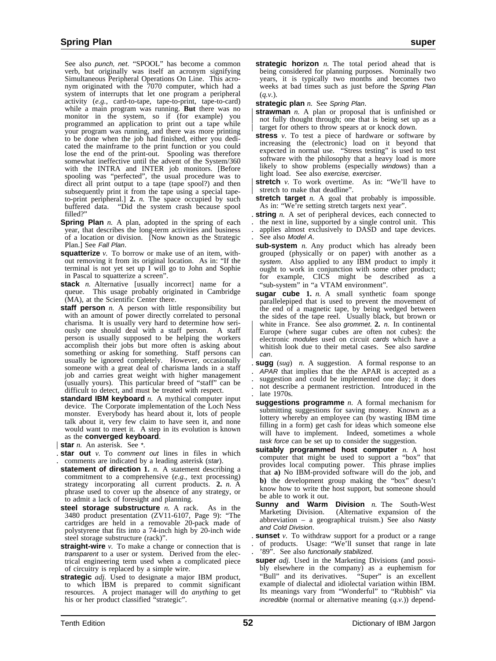See also punch, net. "SPOOL" has become a common verb, but originally was itself an acronym signifying Simultaneous Peripheral Operations On Line. This acronym originated with the 7070 computer, which had a system of interrupts that let one program a peripheral activity (*e.g.*, card-to-tape, tape-to-print, tape-to-card) while a main program was running. **But** there was no monitor in the system, so if (for example) you programmed an application to print out a tape while your program was running, and there was more printing to be done when the job had finished, either you dedicated the mainframe to the print function or you could lose the end of the print-out. Spooling was therefore somewhat ineffective until the advent of the System/360 with the INTRA and INTER job monitors. [Before spooling was "perfected", the usual procedure was to direct all print output to a tape (tape spool?) and then subsequently print it from the tape using a special tapeto-print peripheral.] **2.** *n.* The space occupied by such buffered data. "Did the system crash because spool filled?"

- **Spring Plan** *n.* A plan, adopted in the spring of each year, that describes the long-term activities and business of a location or division. [Now known as the Strategic Plan.] See Fall Plan.
- **squatterize** *v*. To borrow or make use of an item, without removing it from its original location. As in: "If the terminal is not yet set up I will go to John and Sophie in Pascal to squatterize a screen".
- **stack** *n.* Alternative [usually incorrect] name for a queue. This usage probably originated in Cambridge (MA), at the Scientific Center there.
- **staff person** *n*. A person with little responsibility but with an amount of power directly correlated to personal charisma. It is usually very hard to determine how seriously one should deal with a staff person. A staff person is usually supposed to be helping the workers accomplish their jobs but more often is asking about something or asking for something. Staff persons can usually be ignored completely. However, occasionally someone with a great deal of charisma lands in a staff job and carries great weight with higher management (usually yours). This particular breed of "staff" can be difficult to detect, and must be treated with respect.
- **standard IBM keyboard** *n.* A mythical computer input device. The Corporate implementation of the Loch Ness monster. Everybody has heard about it, lots of people talk about it, very few claim to have seen it, and none would want to meet it. A step in its evolution is known as the **converged keyboard**.
- **star** *n*. An asterisk. See \*.
- . **star out** *v.* To comment out lines in files in which . comments are indicated by a leading asterisk (star).
- **statement of direction 1.** *n.* A statement describing a commitment to a comprehensive (*e.g.*, text processing) strategy incorporating all current products. **2.** *n.* A phrase used to cover up the absence of any strategy, or to admit a lack of foresight and planning.
- **steel storage substructure** *n.* A rack. As in the 3480 product presentation (ZV11-6107, Page 9): "The cartridges are held in a removable 20-pack made of polystyrene that fits into a 74-inch high by 20-inch wide steel storage substructure (rack)".
- **straight-wire** *v.* To make a change or connection that is transparent to a user or system. Derived from the electrical engineering term used when a complicated piece of circuitry is replaced by a simple wire.
- **strategic** *adj.* Used to designate a major IBM product, to which IBM is prepared to commit significant resources. A project manager will do *anything* to get his or her product classified "strategic".
- **strategic horizon** *n*. The total period ahead that is being considered for planning purposes. Nominally two years, it is typically two months and becomes two weeks at bad times such as just before the Spring Plan (*q.v.*).
- **strategic plan** *n.* See Spring Plan.
- **strawman**  $n$ . A plan or proposal that is unfinished or not fully thought through; one that is being set up as a target for others to throw spears at or knock down.
- **stress** *v*. To test a piece of hardware or software by increasing the (electronic) load on it beyond that expected in normal use. "Stress testing" is used to test software with the philosophy that a heavy load is more likely to show problems (especially windows) than a light load. See also exercise, exerciser.
- **stretch** *v*. To work overtime. As in: "We'll have to stretch to make that deadline".
- **stretch target** *n*. A goal that probably is impossible. As in: "We're setting stretch targets next year".
- . **string** *n.* A set of peripheral devices, each connected to
- . the next in line, supported by a single control unit. This
- . applies almost exclusively to DASD and tape devices. . See also Model A.
- **sub-system** *n*. Any product which has already been grouped (physically or on paper) with another as a system. Also applied to any IBM product to imply it ought to work in conjunction with some other product; for example, CICS might be described as a "sub-system" in "a VTAM environment".
- **sugar cube 1.** *n.* A small synthetic foam sponge parallelepiped that is used to prevent the movement of the end of a magnetic tape, by being wedged between the sides of the tape reel. Usually black, but brown or white in France. See also *grommet.* 2. *n.* In continental Europe (where sugar cubes are often not cubes): the electronic modules used on circuit cards which have a whitish look due to their metal cases. See also sardine can.
- . **sugg** (*sug*) *n.* A suggestion. A formal response to an . APAR that implies that the the APAR is accepted as a . suggestion and could be implemented one day; it does . not describe a permanent restriction. Introduced in the late 1970s.
- **suggestions programme** *n.* A formal mechanism for submitting suggestions for saving money. Known as a lottery whereby an employee can (by wasting IBM time filling in a form) get cash for ideas which someone else will have to implement. Indeed, sometimes a whole task force can be set up to consider the suggestion.
- **suitably programmed host computer** *n.* A host computer that might be used to support a "box" that provides local computing power. This phrase implies that **a)** No IBM-provided software will do the job, and **b)** the development group making the "box" doesn't know how to write the host support, but someone should be able to work it out.
- **Sunny and Warm Division** *n*. The South-West Marketing Division. (Alternative expansion of the (Alternative expansion of the abbreviation – a geographical truism.) See also Nasty and Cold Division.
- . **sunset** *v.* To withdraw support for a product or a range . of products. Usage: "We'll sunset that range in late . '89". See also functionally stabilized.
- **super** *adj.* Used in the Marketing Divisions (and possibly elsewhere in the company) as a euphemism for "Bull" and its derivatives. "Super" is an excellent "Bull" and its derivatives. example of dialectal and idiolectal variation within IBM. Its meanings vary from "Wonderful" to "Rubbish" via incredible (normal or alternative meaning (*q.v.*)) depend-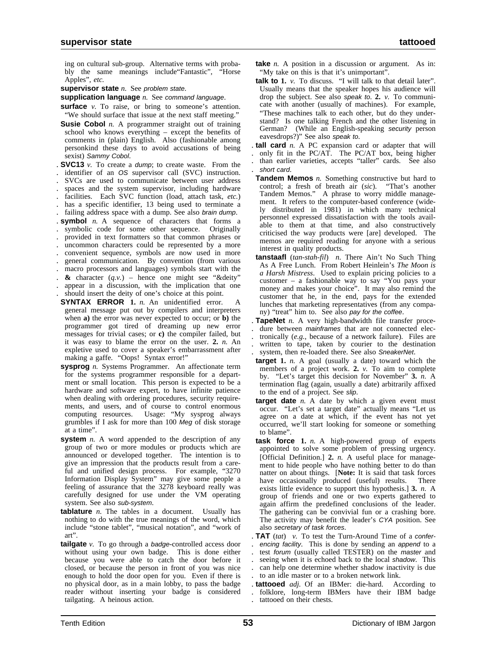ing on cultural sub-group. Alternative terms with probably the same meanings include"Fantastic", "Horse Apples", *etc.*

**supervisor state** *n.* See problem state.

**supplication language** *n.* See command language.

- **surface** *v*. To raise, or bring to someone's attention. "We should surface that issue at the next staff meeting."
- **Susie Cobol** *n.* A programmer straight out of training school who knows everything – except the benefits of comments in (plain) English. Also (fashionable among personkind these days to avoid accusations of being sexist) Sammy Cobol.
- . **SVC13** *v.* To create a dump; to create waste. From the
- identifier of an OS supervisor call (SVC) instruction.
- . SVCs are used to communicate between user address
- . spaces and the system supervisor, including hardware
- . facilities. Each SVC function (load, attach task, *etc.*) . has a specific identifier, 13 being used to terminate a

. failing address space with a dump. See also brain dump.

- . **symbol** *n.* A sequence of characters that forms a
- symbolic code for some other sequence. Originally
- . provided in text formatters so that common phrases or
- . uncommon characters could be represented by a more
- . convenient sequence, symbols are now used in more
- . general communication. By convention (from various . macro processors and languages) symbols start with the
- . **&** character (*q.v.*) hence one might see "&deity"
- . appear in a discussion, with the implication that one
- . should insert the deity of one's choice at this point.
- **SYNTAX ERROR 1.** *n.* An unidentified error. A general message put out by compilers and interpreters when **a)** the error was never expected to occur; or **b)** the programmer got tired of dreaming up new error messages for trivial cases; or **c)** the compiler failed, but it was easy to blame the error on the user. **2.** *n.* An expletive used to cover a speaker's embarrassment after making a gaffe. "Oops! Syntax error!"
- **sysprog** *n*. Systems Programmer. An affectionate term for the systems programmer responsible for a department or small location. This person is expected to be a hardware and software expert, to have infinite patience when dealing with ordering procedures, security requirements, and users, and of course to control enormous computing resources. Usage: "My sysprog always grumbles if I ask for more than 100 Meg of disk storage at a time".
- **system** *n*. A word appended to the description of any group of two or more modules or products which are announced or developed together. The intention is to give an impression that the products result from a careful and unified design process. For example, "3270 Information Display System" may give some people a feeling of assurance that the 3278 keyboard really was carefully designed for use under the VM operating system. See also sub-system.
- **tablature** *n.* The tables in a document. Usually has nothing to do with the true meanings of the word, which include "stone tablet", "musical notation", and "work of art".
- **tailgate** *v.* To go through a badge-controlled access door without using your own badge. This is done either because you were able to catch the door before it closed, or because the person in front of you was nice enough to hold the door open for you. Even if there is no physical door, as in a main lobby, to pass the badge reader without inserting your badge is considered tailgating. A heinous action.
- **take** *n.* A position in a discussion or argument. As in: "My take on this is that it's unimportant".
- **talk to 1.** *v.* To discuss. "I will talk to that detail later". Usually means that the speaker hopes his audience will drop the subject. See also speak to. **2.** *v.* To communicate with another (usually of machines). For example, "These machines talk to each other, but do they understand? Is one talking French and the other listening in German? (While an English-speaking security person eavesdrops?)" See also speak to.
- . **tall card** *n.* A PC expansion card or adapter that will
- only fit in the PC/AT. The PC/AT box, being higher . than earlier varieties, accepts "taller" cards. See also . short card.
- **Tandem Memos** *n.* Something constructive but hard to control; a fresh of breath air (*sic*). "That's another Tandem Memos." A phrase to worry middle management. It refers to the computer-based conference (widely distributed in 1981) in which many technical personnel expressed dissatisfaction with the tools available to them at that time, and also constructively criticised the way products were [are] developed. The memos are required reading for anyone with a serious interest in quality products.
- **tanstaafl** (*tan-stah-fil*) *n.* There Ain't No Such Thing As A Free Lunch. From Robert Heinlein's *The Moon is a Harsh Mistress*. Used to explain pricing policies to a customer – a fashionable way to say "You pays your money and makes your choice". It may also remind the customer that he, in the end, pays for the extended lunches that marketing representatives (from any company) "treat" him to. See also pay for the coffee.
- . **TapeNet** *n.* A very high-bandwidth file transfer proce dure between mainframes that are not connected elec-. tronically (*e.g.*, because of a network failure). Files are . written to tape, taken by courier to the destination system, then re-loaded there. See also SneakerNet.
- **target 1.** *n.* A goal (usually a date) toward which the members of a project work. **2.** *v.* To aim to complete by. "Let's target this decision for November" **3.** *n.* A termination flag (again, usually a date) arbitrarily affixed to the end of a project. See slip.
- **target date** *n*. A date by which a given event must occur. "Let's set a target date" actually means "Let us agree on a date at which, if the event has not yet occurred, we'll start looking for someone or something to blame".
- **task force 1.** *n.* A high-powered group of experts appointed to solve some problem of pressing urgency. [Official Definition.] **2.** *n.* A useful place for management to hide people who have nothing better to do than natter on about things. **[Note:** It is said that task forces have occasionally produced (useful) results. There have occasionally produced (useful) results. exists little evidence to support this hypothesis.] **3.** *n.* A group of friends and one or two experts gathered to again affirm the predefined conclusions of the leader. The gathering can be convivial fun or a crashing bore. The activity may benefit the leader's CYA position. See also secretary of task forces.
- . **TAT** (*tat*) *v.* To test the Turn-Around Time of a confer encing facility. This is done by sending an append to a . test forum (usually called TESTER) on the master and . seeing when it is echoed back to the local shadow. This . can help one determine whether shadow inactivity is due . to an idle master or to a broken network link.
- . **tattooed** *adj.* Of an IBMer: die-hard. According to . folklore, long-term IBMers have their IBM badge . tattooed on their chests.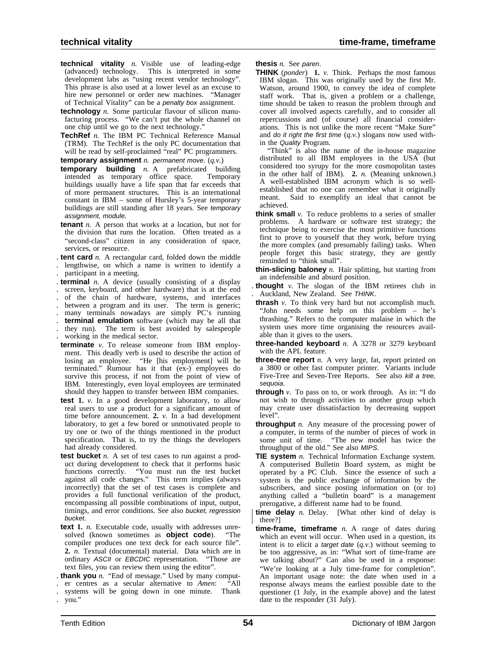- **technical vitality** *n.* Visible use of leading-edge (advanced) technology. This is interpreted in some development labs as "using recent vendor technology". This phrase is also used at a lower level as an excuse to hire new personnel or order new machines. "Manager of Technical Vitality" can be a penalty box assignment.
- **technology** *n.* Some particular flavour of silicon manufacturing process. "We can't put the whole channel on one chip until we go to the next technology."
- **TechRef** *n.* The IBM PC Technical Reference Manual (TRM). The TechRef is the only PC documentation that will be read by self-proclaimed "real" PC programmers.

**temporary assignment** *n.* permanent move. (*q.v.*)

- **temporary building** *n.* A prefabricated building intended as temporary office space. Temporary intended as temporary office space. buildings usually have a life span that far exceeds that of more permanent structures. This is an international constant in IBM – some of Hursley's 5-year temporary buildings are still standing after 18 years. See temporary assignment, module.
- **tenant** *n.* A person that works at a location, but not for the division that runs the location. Often treated as a "second-class" citizen in any consideration of space, services, or resource.
- . **tent card** *n.* A rectangular card, folded down the middle
- . lengthwise, on which a name is written to identify a . participant in a meeting.
- . **terminal** *n.* A device (usually consisting of a display
- . screen, keyboard, and other hardware) that is at the end
- . of the chain of hardware, systems, and interfaces
- . between a program and its user. The term is generic;
- many terminals nowadays are simply PC's running
- . **terminal emulation** software (which may be all that . they run). The term is best avoided by salespeople
- . working in the medical sector.
- **terminate** *v.* To release someone from IBM employment. This deadly verb is used to describe the action of losing an employee. "He [his employment] will be terminated." Rumour has it that (ex-) employees do survive this process, if not from the point of view of IBM. Interestingly, even loyal employees are terminated should they happen to transfer between IBM companies.
- **test 1.** *v.* In a good development laboratory, to allow real users to use a product for a significant amount of time before announcement. **2.** *v.* In a bad development laboratory, to get a few bored or unmotivated people to try one or two of the things mentioned in the product specification. That is, to try the things the developers had already considered.
- **test bucket** *n*. A set of test cases to run against a product during development to check that it performs basic functions correctly. "You must run the test bucket against all code changes." This term implies (always incorrectly) that the set of test cases is complete and provides a full functional verification of the product, encompassing all possible combinations of input, output, timings, and error conditions. See also bucket, regression bucket.
- **text 1.** *n.* Executable code, usually with addresses unresolved (known sometimes as **object code**). "The compiler produces one text deck for each source file". **2.** *n.* Textual (documental) material. Data which are in ordinary ASCII or EBCDIC representation. "Those are text files, you can review them using the editor".
- . **thank you** *n.* "End of message." Used by many comput-
- . er centres as a secular alternative to *Amen*: "All
- . systems will be going down in one minute. Thank . you."

**thesis** *n.* See paren.

**THINK** (*ponder*) **1.** *v.* Think. Perhaps the most famous IBM slogan. This was originally used by the first Mr. Watson, around 1900, to convey the idea of complete staff work. That is, given a problem or a challenge, time should be taken to reason the problem through and cover all involved aspects carefully, and to consider all repercussions and (of course) all financial considerations. This is not unlike the more recent "Make Sure" and do it right the first time (*q.v.*) slogans now used within the Quality Program.

"Think" is also the name of the in-house magazine distributed to all IBM employees in the USA (but considered too syrupy for the more cosmopolitan tastes in the other half of IBM). **2.** *n.* (Meaning unknown.) A well-established IBM acronym which is so wellestablished that no one can remember what it originally meant. Said to exemplify an ideal that cannot be achieved.

- **think small** *v*. To reduce problems to a series of smaller problems. A hardware or software test strategy; the technique being to exercise the most primitive functions first to prove to yourself that they work, before trying the more complex (and presumably failing) tasks. When people forget this basic strategy, they are gently reminded to "think small".
- **thin-slicing baloney** *n.* Hair splitting, but starting from an indefensible and absurd position.
- . **thought** *v.* The slogan of the IBM retirees club in . Auckland, New Zealand. See THINK.
- **thrash** *v.* To think very hard but not accomplish much. "John needs some help on this problem – he's thrashing." Refers to the computer malaise in which the system uses more time organising the resources available than it gives to the users.
- **three-handed keyboard** *n.* A 3278 or 3279 keyboard with the APL feature.
- **three-tree report** *n.* A very large, fat, report printed on a 3800 or other fast computer printer. Variants include Five-Tree and Seven-Tree Reports. See also kill a tree, sequoia.
- **through** *v.* To pass on to, or work through. As in: "I do not wish to through activities to another group which may create user dissatisfaction by decreasing support level".
- **throughput** *n*. Any measure of the processing power of a computer, in terms of the number of pieces of work in some unit of time. "The new model has twice the throughput of the old." See also MIPS.
- **TIE system** *n.* Technical Information Exchange system. A computerised Bulletin Board system, as might be operated by a PC Club. Since the essence of such a system is the public exchange of information by the subscribers, and since posting information on (or to) anything called a "bulletin board" is a management prerogative, a different name had to be found.

**time delay** *n.* Delay. [What other kind of delay is | there?]

**time-frame, timeframe** *n.* A range of dates during which an event will occur. When used in a question, its intent is to elicit a target date (*q.v.*) without seeming to be too aggressive, as in: "What sort of time-frame are we talking about?" Can also be used in a response: "We're looking at a July time-frame for completion". An important usage note: the date when used in a response always means the earliest possible date to the questioner (1 July, in the example above) and the latest date to the responder (31 July).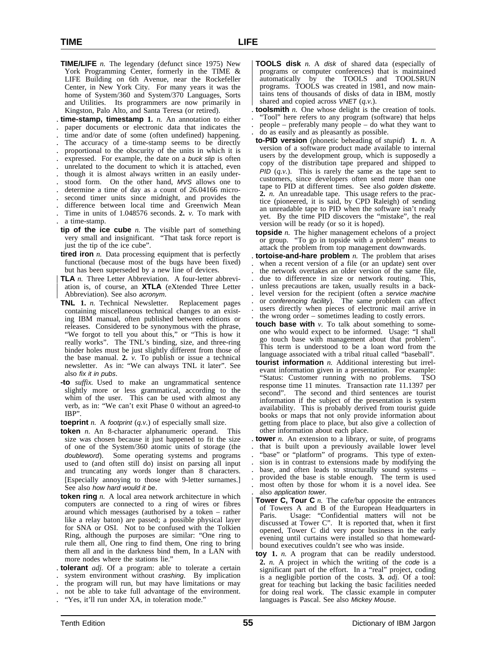**TIME/LIFE** *n.* The legendary (defunct since 1975) New York Programming Center, formerly in the TIME & LIFE Building on 6th Avenue, near the Rockefeller Center, in New York City. For many years it was the home of System/360 and System/370 Languages, Sorts and Utilities. Its programmers are now primarily in Kingston, Palo Alto, and Santa Teresa (or retired).

. **time-stamp, timestamp 1.** *n.* An annotation to either

. paper documents or electronic data that indicates the

time and/or date of some (often undefined) happening. The accuracy of a time-stamp seems to be directly

. proportional to the obscurity of the units in which it is

- . expressed. For example, the date on a buck slip is often
- . unrelated to the document to which it is attached, even
- . though it is almost always written in an easily under-
- . stood form. On the other hand, MVS allows one to
- . determine a time of day as a count of 26.04166 micro-
- . second timer units since midnight, and provides the . difference between local time and Greenwich Mean
- . Time in units of 1.048576 seconds. **2.** *v.* To mark with
- . a time-stamp.
- **tip of the ice cube** *n.* The visible part of something very small and insignificant. "That task force report is just the tip of the ice cube".
- **tired iron** *n.* Data processing equipment that is perfectly functional (because most of the bugs have been fixed) but has been superseded by a new line of devices.
- **TLA** *n*. Three Letter Abbreviation. A four-letter abbreviation is, of course, an **XTLA** (eXtended Three Letter Abbreviation). See also acronym.
- **TNL 1.** *n.* Technical Newsletter. Replacement pages containing miscellaneous technical changes to an existing IBM manual, often published between editions or releases. Considered to be synonymous with the phrase, "We forgot to tell you about this," or "This is how it really works". The TNL's binding, size, and three-ring binder holes must be just slightly different from those of the base manual. **2.** *v.* To publish or issue a technical newsletter. As in: "We can always TNL it later". See also fix it in pubs.
- **-to** *suffix.* Used to make an ungrammatical sentence slightly more or less grammatical, according to the whim of the user. This can be used with almost any verb, as in: "We can't exit Phase 0 without an agreed-to IBP".
- **toeprint** *n.* A footprint (*q.v.*) of especially small size.
- **token** *n.* An 8-character alphanumeric operand. This size was chosen because it just happened to fit the size of one of the System/360 atomic units of storage (the doubleword). Some operating systems and programs used to (and often still do) insist on parsing all input and truncating any words longer than 8 characters. [Especially annoying to those with 9-letter surnames.] See also how hard would it be.
- **token ring** *n.* A local area network architecture in which computers are connected to a ring of wires or fibres around which messages (authorised by a token – rather like a relay baton) are passed; a possible physical layer for SNA or OSI. Not to be confused with the Tolkien Ring, although the purposes are similar: "One ring to rule them all, One ring to find them, One ring to bring them all and in the darkness bind them, In a LAN with more nodes where the stations lie."
- . **tolerant** *adj.* Of a program: able to tolerate a certain system environment without crashing. By implication
- . the program will run, but may have limitations or may
- . not be able to take full advantage of the environment.
- . "Yes, it'll run under XA, in toleration mode."
- **TOOLS disk** *n.* A disk of shared data (especially of | programs or computer conferences) that is maintained | automatically by the TOOLS and TOOLSRUN | programs. TOOLS was created in 1981, and now main- | tains tens of thousands of disks of data in IBM, mostly shared and copied across *VNET* (*q.v.*).
- . **toolsmith** *n.* One whose delight is the creation of tools. . "Tool" here refers to any program (software) that helps . people – preferably many people – do what they want to . do as easily and as pleasantly as possible.
- **to-PID version** (phonetic beheading of *stupid*) **1.** *n.* A version of a software product made available to internal users by the development group, which is supposedly a copy of the distribution tape prepared and shipped to PID (*q.v.*). This is rarely the same as the tape sent to customers, since developers often send more than one tape to PID at different times. See also golden diskette. **2.** *n.* An unreadable tape. This usage refers to the practice (pioneered, it is said, by CPD Raleigh) of sending an unreadable tape to PID when the software isn't ready yet. By the time PID discovers the "mistake", the real version will be ready (or so it is hoped).
- **topside** *n.* The higher management echelons of a project or group. "To go in topside with a problem" means to attack the problem from top management downwards.
- . **tortoise-and-hare problem** *n.* The problem that arises . when a recent version of a file (or an update) sent over . the network overtakes an older version of the same file, . due to difference in size or network routing. This, . unless precautions are taken, usually results in a back level version for the recipient (often a service machine or conferencing facility). The same problem can affect . users directly when pieces of electronic mail arrive in . the wrong order – sometimes leading to costly errors.
- **touch base with** *v*. To talk about something to someone who would expect to be informed. Usage: "I shall go touch base with management about that problem". This term is understood to be a loan word from the language associated with a tribal ritual called "baseball".
- **tourist information** *n.* Additional interesting but irrelevant information given in a presentation. For example: "Status: Customer running with no problems. TSO response time 11 minutes. Transaction rate 11.1397 per second". The second and third sentences are tourist information if the subject of the presentation is system availability. This is probably derived from tourist guide books or maps that not only provide information about getting from place to place, but also give a collection of other information about each place.
- **tower** *n*. An extension to a library, or suite, of programs that is built upon a previously available lower level . "base" or "platform" of programs. This type of exten- . sion is in contrast to extensions made by modifying the base, and often leads to structurally sound systems -. provided the base is stable enough. The term is used . most often by those for whom it is a novel idea. See . also application tower.
- **Tower C, Tour C** *n*. The cafe/bar opposite the entrances of Towers A and B of the European Headquarters in Paris. Usage: "Confidential matters will not be discussed at Tower C". It is reported that, when it first | opened, Tower C did very poor business in the early evening until curtains were installed so that homeward-| bound executives couldn't see who was inside.
- **toy 1.** *n.* A program that can be readily understood. **2.** *n.* A project in which the writing of the code is a significant part of the effort. In a "real" project, coding is a negligible portion of the costs. **3.** *adj.* Of a tool: great for teaching but lacking the basic facilities needed for doing real work. The classic example in computer languages is Pascal. See also Mickey Mouse.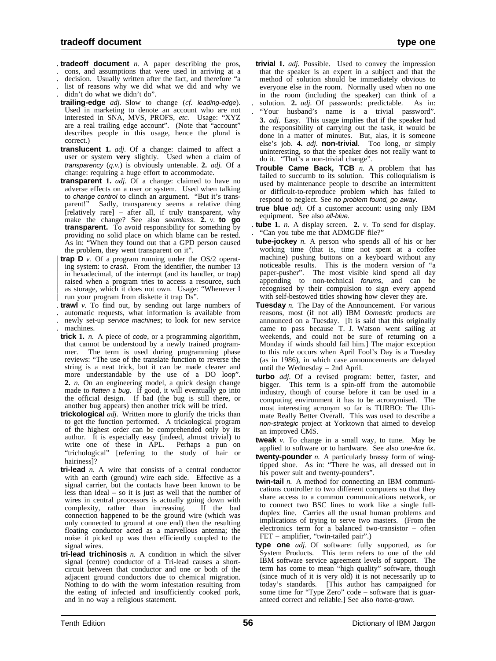- . **tradeoff document** *n.* A paper describing the pros,
- . cons, and assumptions that were used in arriving at a
- . decision. Usually written after the fact, and therefore "a . list of reasons why we did what we did and why we
- didn't do what we didn't do".
- **trailing-edge** *adj.* Slow to change (*cf.* leading-edge). Used in marketing to denote an account who are not interested in SNA, MVS, PROFS, *etc.* Usage: "XYZ are a real trailing edge account". (Note that "account" describes people in this usage, hence the plural is correct.)
- **translucent 1.** *adj.* Of a change: claimed to affect a user or system **very** slightly. Used when a claim of transparency (*q.v.*) is obviously untenable. **2.** *adj.* Of a change: requiring a huge effort to accommodate.
- **transparent 1.** *adj.* Of a change: claimed to have no adverse effects on a user or system. Used when talking to *change control* to clinch an argument. "But it's trans-<br>parent!" Sadly, transparency seems a relative thing Sadly, transparency seems a relative thing [relatively rare] – after all, if truly transparent, why make the change? See also seamless. **2.** *v.* **to go transparent.** To avoid responsibility for something by providing no solid place on which blame can be rested. As in: "When they found out that a GPD person caused the problem, they went transparent on it".
- **trap D**  $\nu$ . Of a program running under the OS/2 operating system: to crash. From the identifier, the number 13 in hexadecimal, of the interrupt (and its handler, or trap) raised when a program tries to access a resource, such as storage, which it does not own. Usage: "Whenever I run your program from diskette it trap Ds".
- . **trawl** *v.* To find out, by sending out large numbers of . automatic requests, what information is available from newly set-up service machines; to look for new service
- . machines.
- **trick 1.** *n.* A piece of code, or a programming algorithm, that cannot be understood by a newly trained programmer. The term is used during programming phase reviews: "The use of the translate function to reverse the string is a neat trick, but it can be made clearer and more understandable by the use of a DO loop". **2.** *n.* On an engineering model, a quick design change made to *flatten* a *bug*. If good, it will eventually go into the official design. If bad (the bug is still there, or another bug appears) then another trick will be tried.
- **trickological** *adj.* Written more to glorify the tricks than to get the function performed. A trickological program of the highest order can be comprehended only by its author. It is especially easy (indeed, almost trivial) to write one of these in APL. Perhaps a pun on "trichological" [referring to the study of hair or hairiness]?
- **tri-lead** *n.* A wire that consists of a central conductor with an earth (ground) wire each side. Effective as a signal carrier, but the contacts have been known to be less than ideal – so it is just as well that the number of wires in central processors is actually going down with complexity, rather than increasing. If the bad connection happened to be the ground wire (which was only connected to ground at one end) then the resulting floating conductor acted as a marvellous antenna; the noise it picked up was then efficiently coupled to the signal wires.
- **tri-lead trichinosis** *n.* A condition in which the silver signal (centre) conductor of a Tri-lead causes a shortcircuit between that conductor and one or both of the adjacent ground conductors due to chemical migration. Nothing to do with the worm infestation resulting from the eating of infected and insufficiently cooked pork, and in no way a religious statement.
- **trivial 1.** *adj.* Possible. Used to convey the impression that the speaker is an expert in a subject and that the method of solution should be immediately obvious to everyone else in the room. Normally used when no one in the room (including the speaker) can think of a . solution. **2.** *adj.* Of passwords: predictable. As in: . "Your husband's name is a trivial password". **3.** *adj.* Easy. This usage implies that if the speaker had the responsibility of carrying out the task, it would be done in a matter of minutes. But, alas, it is someone else's job. **4.** *adj.* **non-trivial**. Too long, or simply uninteresting, so that the speaker does not really want to do it. "That's a non-trivial change".
- **Trouble Came Back, TCB** *n.* A problem that has failed to succumb to its solution. This colloquialism is used by maintenance people to describe an intermittent or difficult-to-reproduce problem which has failed to respond to neglect. See no problem found, go away.
- **true blue** *adj.* Of a customer account: using only IBM equipment. See also all-blue.
- . **tube 1.** *n.* A display screen. **2.** *v.* To send for display. . "Can you tube me that ADMGDF file?"
- **tube-jockey** *n.* A person who spends all of his or her working time (that is, time not spent at a coffee machine) pushing buttons on a keyboard without any noticeable results. This is the modern version of "a paper-pusher". The most visible kind spend all day appending to non-technical forums, and can be recognised by their compulsion to sign every append with self-bestowed titles showing how clever they are.
- **Tuesday** *n*. The Day of the Announcement. For various reasons, most (if not all) IBM Domestic products are announced on a Tuesday. [It is said that this originally came to pass because T. J. Watson went sailing at weekends, and could not be sure of returning on a Monday if winds should fail him.] The major exception to this rule occurs when April Fool's Day is a Tuesday (as in 1986), in which case announcements are delayed until the Wednesday – 2nd April.
- **turbo** *adj.* Of a revised program: better, faster, and bigger. This term is a spin-off from the automobile industry, though of course before it can be used in a computing environment it has to be acronymised. The most interesting acronym so far is TURBO: The Ultimate Really Better Overall. This was used to describe a non-strategic project at Yorktown that aimed to develop an improved CMS.
- **tweak** *v.* To change in a small way, to tune. May be applied to software or to hardware. See also one-line fix.
- **twenty-pounder** *n.* A particularly brassy form of wingtipped shoe. As in: "There he was, all dressed out in his power suit and twenty-pounders".
- **twin-tail** *n.* A method for connecting an IBM communications controller to two different computers so that they share access to a common communications network, or to connect two BSC lines to work like a single fullduplex line. Carries all the usual human problems and implications of trying to serve two masters. (From the electronics term for a balanced two-transistor – often FET – amplifier, "twin-tailed pair".)
- **type one** *adj.* Of software: fully supported, as for System Products. This term refers to one of the old IBM software service agreement levels of support. The term has come to mean "high quality" software, though (since much of it is very old) it is not necessarily up to today's standards. [This author has campaigned for some time for "Type Zero" code – software that is guaranteed correct and reliable.] See also home-grown.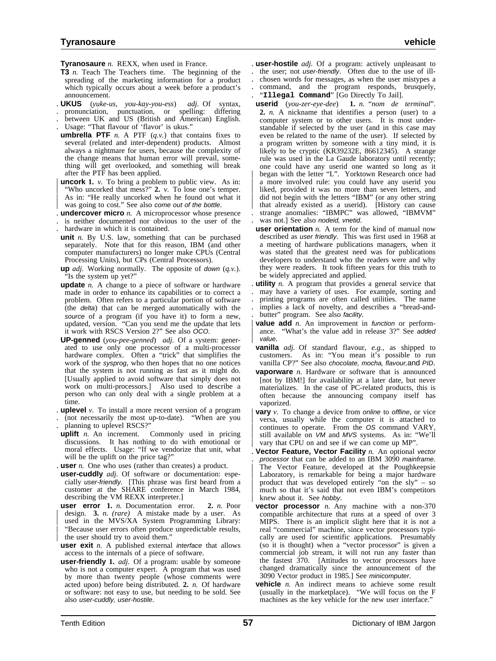**Tyranosaure** *n.* REXX, when used in France.

- **T3** *n.* Teach The Teachers time. The beginning of the spreading of the marketing information for a product which typically occurs about a week before a product's announcement.
- . **UKUS** (*yuke-us, you-kay-you-ess*) *adj.* Of syntax, . pronunciation, punctuation, or spelling: differing
- between UK and US (British and American) English.
- . Usage: "That flavour of 'flavor' is ukus."
- **umbrella PTF**  $n$ . A PTF  $(q, v)$  that contains fixes to several (related and inter-dependent) products. Almost always a nightmare for users, because the complexity of the change means that human error will prevail, something will get overlooked, and something will break after the PTF has been applied.
- **uncork 1.** *v*. To bring a problem to public view. As in: | "Who uncorked that mess?" **2.** *v.* To lose one's temper. As in: "He really uncorked when he found out what it was going to cost." See also come out of the bottle.
- . **undercover micro** *n.* A microprocessor whose presence
- . is neither documented nor obvious to the user of the
- . hardware in which it is contained.
- **unit** *n.* By U.S. law, something that can be purchased separately. Note that for this reason, IBM (and other computer manufacturers) no longer make CPUs (Central Processing Units), but CPs (Central Processors).
- **up** *adj.* Working normally. The opposite of down (*q.v.*). "Is the system up yet?"
- **update** *n.* A change to a piece of software or hardware made in order to enhance its capabilities or to correct a problem. Often refers to a particular portion of software (the delta) that can be merged automatically with the source of a program (if you have it) to form a new, updated, version. "Can you send me the update that lets it work with RSCS Version 2?" See also OCO.
- **UP-genned** (*you-pee-genned*) *adj.* Of a system: generated to use only one processor of a multi-processor hardware complex. Often a "trick" that simplifies the work of the sysprog, who then hopes that no one notices that the system is not running as fast as it might do. [Usually applied to avoid software that simply does not work on multi-processors.] Also used to describe a person who can only deal with a single problem at a time.
- . **uplevel** *v.* To install a more recent version of a program
- . (not necessarily the most up-to-date). "When are you . planning to uplevel RSCS?"
- **uplift** *n*. An increment. Commonly used in pricing discussions. It has nothing to do with emotional or moral effects. Usage: "If we vendorize that unit, what will be the uplift on the price tag?"
- . **user** *n.* One who uses (rather than creates) a product.
- **user-cuddly** *adj.* Of software or documentation: especially user-friendly. [This phrase was first heard from a customer at the SHARE conference in March 1984, describing the VM REXX interpreter.]
- **user error 1.** *n.* Documentation error. **2.** *n.* Poor | design. **3.** *n. (rare)* A mistake made by a user. As used in the MVS/XA System Programming Library: | "Because user errors often produce unpredictable results, the user should try to avoid them.
- **user exit** *n.* A published external *interface* that allows access to the internals of a piece of software.
- **user-friendly 1.** *adj.* Of a program: usable by someone who is not a computer expert. A program that was used by more than twenty people (whose comments were acted upon) before being distributed. **2.** *n.* Of hardware or software: not easy to use, but needing to be sold. See also user-cuddly, user-hostile.
- . **user-hostile** *adj.* Of a program: actively unpleasant to . the user; not user-friendly. Often due to the use of ill- . chosen words for messages, as when the user mistypes a . command, and the program responds, brusquely, . "**Illegal Command**" [Go Directly To Jail].
- **userid** (*you-zer-eye-dee*) **1.** *n.* "*nom de terminal*". **2.** *n.* A nickname that identifies a person (user) to a computer system or to other users. It is most understandable if selected by the user (and in this case may even be related to the name of the user). If selected by a program written by someone with a tiny mind, it is likely to be cryptic (KR39232E, 86612345). A strange rule was used in the La Gaude laboratory until recently; one could have any userid one wanted so long as it began with the letter "L". Yorktown Research once had a more involved rule: you could have any userid you liked, provided it was no more than seven letters, and did not begin with the letters "IBM" (or any other string that already existed as a userid). [History can cause . strange anomalies: "IBMPC" was allowed, "IBMVM" was not.] See also nodeid, vnetid.
- **user orientation** *n.* A term for the kind of manual now described as user friendly. This was first used in 1968 at a meeting of hardware publications managers, when it was stated that the greatest need was for publications developers to understand who the readers were and why they were readers. It took fifteen years for this truth to be widely appreciated and applied.
- **utility** *n*. A program that provides a general service that
- . may have a variety of uses. For example, sorting and
- . printing programs are often called utilities. The name . implies a lack of novelty, and describes a "bread-and butter" program. See also facility.
- **value add** *n*. An improvement in function or performance. "What's the value add in release 3?" See added value.
- **vanilla** *adj.* Of standard flavour, *e.g.*, as shipped to customers. As in: "You mean it's possible to run vanilla CP?" See also chocolate, mocha, flavour, and PID.
- **vaporware** *n.* Hardware or software that is announced [not by IBM!] for availability at a later date, but never materializes. In the case of PC-related products, this is often because the announcing company itself has vaporized.
- **vary** *v*. To change a device from online to offline, or vice | versa, usually while the computer it is attached to continues to operate. From the OS command VARY, still available on VM and MVS systems. As in: "We'll vary that CPU on and see if we can come up MP".
- . **Vector Feature, Vector Facility** *n.* An optional vector processor that can be added to an IBM 3090 mainframe. The Vector Feature, developed at the Poughkeepsie Laboratory, is remarkable for being a major hardware product that was developed entirely "on the sly"  $-$  so much so that it's said that not even IBM's competitors knew about it. See hobby.
- **vector processor** *n.* Any machine with a non-370 compatible architecture that runs at a speed of over 3 MIPS. There is an implicit slight here that it is not a real "commercial" machine, since vector processors typically are used for scientific applications. Presumably (so it is thought) when a "vector processor" is given a commercial job stream, it will not run any faster than the fastest 370. [Attitudes to vector processors have changed dramatically since the announcement of the 3090 Vector product in 1985.] See minicomputer.
- **vehicle** *n*. An indirect means to achieve some result (usually in the marketplace). "We will focus on the F machines as the key vehicle for the new user interface."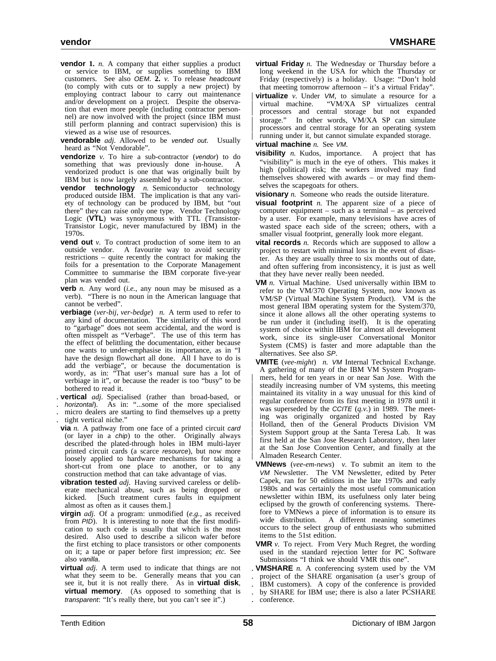- **vendor** 1. *n*. A company that either supplies a product or service to IBM, or supplies something to IBM customers. See also OEM. **2.** *v.* To release headcount (to comply with cuts or to supply a new project) by employing contract labour to carry out maintenance and/or development on a project. Despite the observation that even more people (including contractor personnel) are now involved with the project (since IBM must still perform planning and contract supervision) this is viewed as a wise use of resources.
- **vendorable** *adj.* Allowed to be vended out. Usually heard as "Not Vendorable".
- **vendorize** *v*. To hire a sub-contractor (*vendor*) to do something that was previously done in-house. vendorized product is one that was originally built by IBM but is now largely assembled by a sub-contractor.
- **vendor technology** *n.* Semiconductor technology produced outside IBM. The implication is that any variety of technology can be produced by IBM, but "out there" they can raise only one type. Vendor Technology Logic (VTL) was synonymous with TTL (Transistor-Transistor Logic, never manufactured by IBM) in the 1970s.
- **vend out** *v*. To contract production of some item to an outside vendor. A favourite way to avoid security restrictions – quite recently the contract for making the foils for a presentation to the Corporate Management Committee to summarise the IBM corporate five-year plan was vended out.
- **verb** *n.* Any word (*i.e.*, any noun may be misused as a verb). "There is no noun in the American language that cannot be verbed".
- **verbiage** (*ver-bij, ver-bedge*) *n.* A term used to refer to any kind of documentation. The similarity of this word to "garbage" does not seem accidental, and the word is often misspelt as "Verbage". The use of this term has the effect of belittling the documentation, either because one wants to under-emphasise its importance, as in "I have the design flowchart all done. All I have to do is add the verbiage", or because the documentation is wordy, as in: "That user's manual sure has a lot of verbiage in it", or because the reader is too "busy" to be bothered to read it.
- . **vertical** *adj.* Specialised (rather than broad-based, or
- . horizontal). As in: "...some of the more specialised micro dealers are starting to find themselves up a pretty
- tight vertical niche."
- **via** *n*. A pathway from one face of a printed circuit card (or layer in a chip) to the other. Originally always described the plated-through holes in IBM multi-layer printed circuit cards (a scarce resource), but now more loosely applied to hardware mechanisms for taking a short-cut from one place to another, or to any construction method that can take advantage of vias.
- **vibration tested** *adj.* Having survived careless or deliberate mechanical abuse, such as being dropped or kicked. [Such treatment cures faults in equipment almost as often as it causes them.]
- **virgin** *adj.* Of a program: unmodified (*e.g.*, as received from  $PID$ ). It is interesting to note that the first modification to such code is usually that which is the most desired. Also used to describe a silicon wafer before the first etching to place transistors or other components on it; a tape or paper before first impression; *etc.* See also vanilla.
- **virtual** *adj.* A term used to indicate that things are not what they seem to be. Generally means that you can see it, but it is not really there. As in **virtual disk**, **virtual memory**. (As opposed to something that is transparent: "It's really there, but you can't see it".)
- **virtual Friday** *n.* The Wednesday or Thursday before a long weekend in the USA for which the Thursday or Friday (respectively) is a holiday. Usage: "Don't hold that meeting tomorrow afternoon – it's a virtual Friday".
- **virtualize** *v.* Under *VM*, to simulate a resource for a virtual machine. "VM/XA SP virtualizes central "VM/XA SP virtualizes central | processors and central storage but not expanded | storage." In other words, VM/XA SP can simulate processors and central storage for an operating system running under it, but cannot simulate expanded storage.
- **virtual machine** *n.* See VM.
- **visibility** *n.* Kudos, importance. A project that has "visibility" is much in the eye of others. This makes it high (political) risk; the workers involved may find themselves showered with awards – or may find themselves the scapegoats for others.
- **visionary** *n.* Someone who reads the outside literature.
- **visual footprint** *n.* The apparent size of a piece of computer equipment – such as a terminal – as perceived by a user. For example, many televisions have acres of wasted space each side of the screen; others, with a smaller visual footprint, generally look more elegant.
- **vital records** *n*. Records which are supposed to allow a project to restart with minimal loss in the event of disaster. As they are usually three to six months out of date, and often suffering from inconsistency, it is just as well that they have never really been needed.
- **VM** *n.* Virtual Machine. Used universally within IBM to refer to the VM/370 Operating System, now known as VM/SP (Virtual Machine System Product). VM is the most general IBM operating system for the System/370, since it alone allows all the other operating systems to be run under it (including itself). It is the operating system of choice within IBM for almost all development work, since its single-user Conversational Monitor System (CMS) is faster and more adaptable than the alternatives. See also SP.
- **VMITE** (*vee-might*) *n.* VM Internal Technical Exchange. A gathering of many of the IBM VM System Program mers, held for ten years in or near San Jose. With the steadily increasing number of VM systems, this meeting maintained its vitality in a way unusual for this kind of regular conference from its first meeting in 1978 until it was superseded by the CCITE (*q.v.*) in 1989. The meeting was originally organized and hosted by Ray | Holland, then of the General Products Division VM System Support group at the Santa Teresa Lab. It was first held at the San Jose Research Laboratory, then later at the San Jose Convention Center, and finally at the | Almaden Research Center.
- **VMNews** (*vee-em-news*) *v.* To submit an item to the VM Newsletter. The VM Newsletter, edited by Peter Capek, ran for 50 editions in the late 1970s and early 1980s and was certainly the most useful communication newsletter within IBM, its usefulness only later being eclipsed by the growth of conferencing systems. Therefore to VMNews a piece of information is to ensure its wide distribution. A different meaning sometimes A different meaning sometimes occurs to the select group of enthusiasts who submitted items to the 51st edition.
- **VMR** *v.* To reject. From Very Much Regret, the wording used in the standard rejection letter for PC Software Submissions "I think we should VMR this one".
- . **VMSHARE** *n.* A conferencing system used by the VM . project of the SHARE organisation (a user's group of IBM customers). A copy of the conference is provided . by SHARE for IBM use; there is also a later PCSHARE . conference.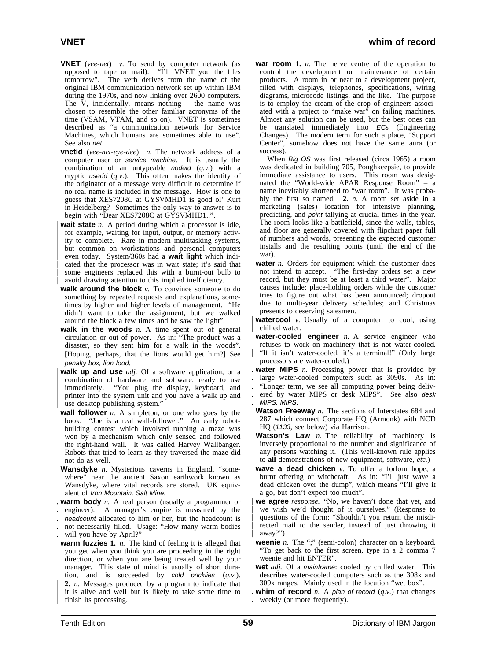- **VNET** (*vee-net*) *v.* To send by computer network (as opposed to tape or mail). "I'll VNET you the files tomorrow". The verb derives from the name of the original IBM communication network set up within IBM during the 1970s, and now linking over 2600 computers. The V, incidentally, means nothing – the name was chosen to resemble the other familiar acronyms of the time (VSAM, VTAM, and so on). VNET is sometimes described as "a communication network for Service Machines, which humans are sometimes able to use". See also net.
- **vnetid** (*vee-net-eye-dee*) *n.* The network address of a computer user or service machine. It is usually the combination of an untypeable nodeid (*q.v.*) with a cryptic userid (*q.v.*). This often makes the identity of the originator of a message very difficult to determine if no real name is included in the message. How is one to guess that XES7208C at GYSVMHD1 is good ol' Kurt in Heidelberg? Sometimes the only way to answer is to begin with "Dear XES7208C at GYSVMHD1..".
- **wait state** *n*. A period during which a processor is idle, for example, waiting for input, output, or memory activity to complete. Rare in modern multitasking systems, but common on workstations and personal computers | even today. System/360s had a **wait light** which indi cated that the processor was in wait state; it's said that some engineers replaced this with a burnt-out bulb to avoid drawing attention to this implied inefficiency.
- **walk around the block** *v*. To convince someone to do something by repeated requests and explanations, sometimes by higher and higher levels of management. "He didn't want to take the assignment, but we walked around the block a few times and he saw the light".
- walk in the woods *n*. A time spent out of general circulation or out of power. As in: "The product was a disaster, so they sent him for a walk in the woods". [Hoping, perhaps, that the lions would get him?] See penalty box, lion food.
- walk up and use *adj*. Of a software application, or a combination of hardware and software: ready to use immediately. "You plug the display, keyboard, and | printer into the system unit and you have a walk up and use desktop publishing system."
- **wall follower** *n.* A simpleton, or one who goes by the book. "Joe is a real wall-follower." An early robotbuilding contest which involved running a maze was won by a mechanism which only sensed and followed the right-hand wall. It was called Harvey Wallbanger. Robots that tried to learn as they traversed the maze did not do as well.
- **Wansdyke** *n.* Mysterious caverns in England, "somewhere" near the ancient Saxon earthwork known as Wansdyke, where vital records are stored. UK equivalent of Iron Mountain, Salt Mine.
- . **warm body** *n.* A real person (usually a programmer or
- . engineer). A manager's empire is measured by the
- . headcount allocated to him or her, but the headcount is
- . not necessarily filled. Usage: "How many warm bodies will you have by April?"
- **warm fuzzies 1.** *n.* The kind of feeling it is alleged that you get when you think you are proceeding in the right direction, or when you are being treated well by your manager. This state of mind is usually of short duration, and is succeeded by cold pricklies (*q.v.*). | **2.** *n.* Messages produced by a program to indicate that it is alive and well but is likely to take some time to finish its processing.
- **war room 1.** *n.* The nerve centre of the operation to control the development or maintenance of certain products. A room in or near to a development project, filled with displays, telephones, specifications, wiring diagrams, microcode listings, and the like. The purpose is to employ the cream of the crop of engineers associated with a project to "make war" on failing machines. Almost any solution can be used, but the best ones can be translated immediately into ECs (Engineering Changes). The modern term for such a place, "Support Center", somehow does not have the same aura (or success).
- When Big OS was first released (circa 1965) a room was dedicated in building 705, Poughkeepsie, to provide immediate assistance to users. This room was designated the "World-wide APAR Response Room" – a name inevitably shortened to "war room". It was probably the first so named. **2.** *n.* A room set aside in a marketing (sales) location for intensive planning, predicting, and point tallying at crucial times in the year. The room looks like a battlefield, since the walls, tables, and floor are generally covered with flipchart paper full of numbers and words, presenting the expected customer installs and the resulting points (until the end of the war).
- **water** *n*. Orders for equipment which the customer does not intend to accept. "The first-day orders set a new record, but they must be at least a third water". Major causes include: place-holding orders while the customer tries to figure out what has been announced; dropout due to multi-year delivery schedules; and Christmas presents to deserving salesmen.
- **watercool**  $v$ . Usually of a computer: to cool, using chilled water.
- **water-cooled engineer** *n*. A service engineer who refuses to work on machinery that is not water-cooled. "If it isn't water-cooled, it's a terminal!" (Only large processors are water-cooled.)

. **water MIPS** *n.* Processing power that is provided by

- large water-cooled computers such as 3090s. As in:
- . "Longer term, we see all computing power being deliv-
- . ered by water MIPS or desk MIPS". See also desk . MIPS, MIPS.
- **Watson Freeway** *n*. The sections of Interstates 684 and 287 which connect Corporate HQ (Armonk) with NCD HQ (1133, see below) via Harrison.
- **Watson's Law** *n.* The reliability of machinery is inversely proportional to the number and significance of any persons watching it. (This well-known rule applies to **all** demonstrations of new equipment, software, *etc.*)
- **wave a dead chicken** *v.* To offer a forlorn hope; a burnt offering or witchcraft. As in: "I'll just wave a dead chicken over the dump", which means "I'll give it a go, but don't expect too much".
- | **we agree** *response.* "No, we haven't done that yet, and we wish we'd thought of it ourselves." (Response to questions of the form: "Shouldn't you return the misdirected mail to the sender, instead of just throwing it away?")
- **weenie** *n*. The ";" (semi-colon) character on a keyboard. "To get back to the first screen, type in a 2 comma 7 weenie and hit ENTER".
- **wet** *adj.* Of a mainframe: cooled by chilled water. This describes water-cooled computers such as the 308x and 309x ranges. Mainly used in the locution "wet box".
- . **whim of record**  $n$ . A plan of record  $(q, v)$  that changes . weekly (or more frequently).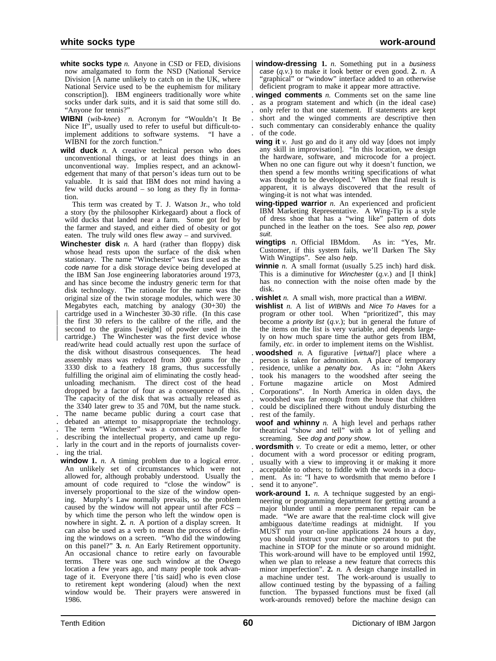- **white socks type** *n.* Anyone in CSD or FED, divisions now amalgamated to form the NSD (National Service Division [A name unlikely to catch on in the UK, where National Service used to be the euphemism for military conscription]). IBM engineers traditionally wore white socks under dark suits, and it is said that some still do. "Anyone for tennis?"
- **WIBNI** (*wib-knee*) *n.* Acronym for "Wouldn't It Be Nice If", usually used to refer to useful but difficult-to-<br>implement additions to software systems. "I have a implement additions to software systems. WIBNI for the zorch function."
- wild duck *n*. A creative technical person who does unconventional things, or at least does things in an unconventional way. Implies respect, and an acknowledgement that many of that person's ideas turn out to be valuable. It is said that IBM does not mind having a few wild ducks around – so long as they fly in formation.

This term was created by T. J. Watson Jr., who told a story (by the philosopher Kirkegaard) about a flock of wild ducks that landed near a farm. Some got fed by the farmer and stayed, and either died of obesity or got eaten. The truly wild ones flew away – and survived.

- **Winchester disk** *n.* A hard (rather than floppy) disk whose head rests upon the surface of the disk when stationary. The name "Winchester" was first used as the code name for a disk storage device being developed at the IBM San Jose engineering laboratories around 1973, and has since become the industry generic term for that disk technology. The rationale for the name was the original size of the twin storage modules, which were 30 Megabytes each, matching by analogy (30+30) the cartridge used in a Winchester 30-30 rifle. (In this case the first 30 refers to the calibre of the rifle, and the second to the grains [weight] of powder used in the cartridge.) The Winchester was the first device whose read/write head could actually rest upon the surface of the disk without disastrous consequences. The head the disk without disastrous consequences. assembly mass was reduced from 300 grams for the 3330 disk to a feathery 18 grams, thus successfully fulfilling the original aim of eliminating the costly headunloading mechanism. The direct cost of the head dropped by a factor of four as a consequence of this. The capacity of the disk that was actually released as the 3340 later grew to 35 and 70M, but the name stuck. . The name became public during a court case that debated an attempt to misappropriate the technology. . The term "Winchester" was a convenient handle for . describing the intellectual property, and came up regu-
- . larly in the court and in the reports of journalists cover- . ing the trial.
- **window** 1. *n*. A timing problem due to a logical error. An unlikely set of circumstances which were not allowed for, although probably understood. Usually the amount of code required to "close the window" is inversely proportional to the size of the window opening. Murphy's Law normally prevails, so the problem caused by the window will not appear until after FCS – by which time the person who left the window open is nowhere in sight. **2.** *n.* A portion of a display screen. It can also be used as a verb to mean the process of defining the windows on a screen. "Who did the windowing on this panel?" **3.** *n.* An Early Retirement opportunity. An occasional chance to retire early on favourable terms. There was one such window at the Owego location a few years ago, and many people took advantage of it. Everyone there ['tis said] who is even close to retirement kept wondering (aloud) when the next window would be. Their prayers were answered in 1986.

**window-dressing 1.** *n*. Something put in a business | case (*q.v.*) to make it look better or even good. **2.** *n.* A "graphical" or "window" interface added to an otherwise deficient program to make it appear more attractive.

**winged comments**  $n$ . Comments set on the same line . as a program statement and which (in the ideal case) . only refer to that one statement. If statements are kept . short and the winged comments are descriptive then such commentary can considerably enhance the quality . of the code.

- wing it *v*. Just go and do it any old way [does not imply any skill in improvisation]. "In this location, we design the hardware, software, and microcode for a project. When no one can figure out why it doesn't function, we then spend a few months writing specifications of what was thought to be developed." When the final result is apparent, it is always discovered that the result of winging-it is not what was intended.
- **wing-tipped warrior** *n.* An experienced and proficient IBM Marketing Representative. A Wing-Tip is a style of dress shoe that has a "wing like" pattern of dots punched in the leather on the toes. See also rep, power suit.
- **wingtips** *n.* Official IBMdom. As in: "Yes, Mr. Customer, if this system fails, we'll Darken The Sky With Wingtips". See also help.
- **winnie** *n.* A small format (usually 5.25 inch) hard disk. This is a diminutive for Winchester (*q.v.*) and [I think] has no connection with the noise often made by the disk.
- . **wishlet** *n.* A small wish, more practical than a WIBNI.
- wishlist *n.* A list of WIBNIs and Nice To Haves for a program or other tool. When "prioritized", this may become a *priority list*  $(q.v.)$ ; but in general the future of the items on the list is very variable, and depends largely on how much spare time the author gets from IBM, family, *etc.* in order to implement items on the Wishlist.
- . **woodshed** *n.* A figurative [virtual?] place where a . person is taken for admonition. A place of temporary residence, unlike a *penalty box*. As in: "John Akers took his managers to the woodshed after seeing the Fortune magazine article on Most Admired article on . Corporations". In North America in olden days, the . woodshed was far enough from the house that children . could be disciplined there without unduly disturbing the . rest of the family.
- **woof and whinny** *n.* A high level and perhaps rather theatrical "show and tell" with a lot of yelling and screaming. See dog and pony show.
- . **wordsmith** *v.* To create or edit a memo, letter, or other . document with a word processor or editing program, usually with a view to improving it or making it more . acceptable to others; to fiddle with the words in a docu- . ment. As in: "I have to wordsmith that memo before I send it to anyone".
- **work-around 1.** *n.* A technique suggested by an engineering or programming department for getting around a major blunder until a more permanent repair can be made. "We are aware that the real-time clock will give ambiguous date/time readings at midnight. If you MUST run your on-line applications 24 hours a day, you should instruct your machine operators to put the machine in STOP for the minute or so around midnight. This work-around will have to be employed until 1992, when we plan to release a new feature that corrects this minor imperfection". **2.** *n.* A design change installed in a machine under test. The work-around is usually to allow continued testing by the bypassing of a failing function. The bypassed functions must be fixed (all work-arounds removed) before the machine design can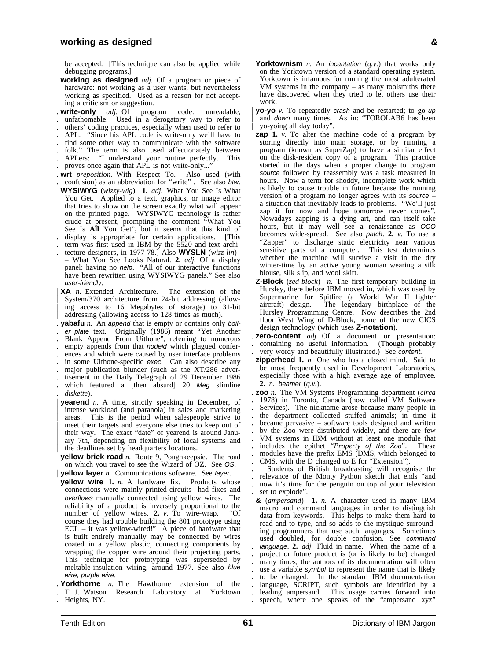be accepted. [This technique can also be applied while debugging programs.]

- **working as designed** *adj.* Of a program or piece of hardware: not working as a user wants, but nevertheless working as specified. Used as a reason for not accepting a criticism or suggestion.
- . **write-only** *adj.* Of program code: unreadable, . unfathomable. Used in a derogatory way to refer to
- . others' coding practices, especially when used to refer to
- . APL: "Since his APL code is write-only we'll have to
- . find some other way to communicate with the software
- . folk." The term is also used affectionately between . APLers: "I understand your routine perfectly. This
- proves once again that APL is not write-only..."
- 
- . **wrt** *preposition.* With Respect To. Also used (with . confusion) as an abbreviation for "write" . See also btw.
- **WYSIWYG** (*wizzy-wig*) **1.** *adj.* What You See Is What You Get. Applied to a text, graphics, or image editor that tries to show on the screen exactly what will appear on the printed page. WYSIWYG technology is rather crude at present, prompting the comment "What You See Is **All** You Get", but it seems that this kind of . display is appropriate for certain applications. [This
- . term was first used in IBM by the 5520 and text archi-
- . tecture designers, in 1977-78.] Also **WYSLN** (*wizz-lin*) – What You See Looks Natural. **2.** *adj.* Of a display panel: having no help. "All of our interactive functions have been rewritten using WYSIWYG panels." See also user-friendly.
- | **XA** *n.* Extended Architecture. The extension of the | System/370 architecture from 24-bit addressing (allow ing access to 16 Megabytes of storage) to 31-bit addressing (allowing access to 128 times as much).
- . **yabafu** *n.* An append that is empty or contains only boil- . er plate text. Originally (1986) meant "Yet Another
- . Blank Append From Uithone", referring to numerous
- . empty appends from that nodeid which plagued confer-
- . ences and which were caused by user interface problems . in some Uithone-specific exec. Can also describe any
- major publication blunder (such as the XT/286 adver-
- . tisement in the Daily Telegraph of 29 December 1986
- which featured a [then absurd] 20 Meg slimline . *diskette*).
- **yearend** *n*. A time, strictly speaking in December, of intense workload (and paranoia) in sales and marketing areas. This is the period when salespeople strive to meet their targets and everyone else tries to keep out of | their way. The exact "date" of yearend is around Janu ary 7th, depending on flexibility of local systems and the deadlines set by headquarters locations.

**yellow brick road** *n.* Route 9, Poughkeepsie. The road on which you travel to see the Wizard of OZ. See OS.

- | **yellow layer** *n.* Communications software. See layer.
- **yellow wire 1.** *n.* A hardware fix. Products whose connections were mainly printed-circuits had fixes and overflows manually connected using yellow wires. The reliability of a product is inversely proportional to the number of vellow wires  $2 \times r$  To wire-wrap number of yellow wires. 2. *v*. To wire-wrap. course they had trouble building the 801 prototype using  $ECL - it$  was yellow-wired!" A piece of hardware that is built entirely manually may be connected by wires coated in a yellow plastic, connecting components by wrapping the copper wire around their projecting parts. This technique for prototyping was superseded by meltable-insulation wiring, around 1977. See also blue wire, purple wire.
- . **Yorkthorne** *n.* The Hawthorne extension of the . T. J. Watson Research Laboratory at Yorktown
- . Heights, NY.
- **Yorktownism** *n.* An incantation (*q.v.*) that works only on the Yorktown version of a standard operating system. Yorktown is infamous for running the most adulterated VM systems in the company – as many toolsmiths there have discovered when they tried to let others use their work.
- | **yo-yo** *v.* To repeatedly crash and be restarted; to go up and down many times. As in: "TOROLAB6 has been yo-yoing all day today".
- **zap** 1. *v*. To alter the machine code of a program by storing directly into main storage, or by running a program (known as SuperZap) to have a similar effect on the disk-resident copy of a program. This practice started in the days when a proper change to program source followed by reassembly was a task measured in hours. Now a term for shoddy, incomplete work which is likely to cause trouble in future because the running version of a program no longer agrees with its source – a situation that inevitably leads to problems. "We'll just zap it for now and hope tomorrow never comes". Nowadays zapping is a dying art, and can itself take hours, but it may well see a renaissance as OCO becomes wide-spread. See also patch. **2.** *v.* To use a "Zapper" to discharge static electricity near various sensitive parts of a computer. This test determines whether the machine will survive a visit in the dry winter-time by an active young woman wearing a silk blouse, silk slip, and wool skirt.
- **Z-Block** (*zed-block*) *n.* The first temporary building in Hursley, there before IBM moved in, which was used by Supermarine for Spitfire (a World War II fighter aircraft) design. The legendary birthplace of the Hursley Programming Centre. Now describes the 2nd floor West Wing of D-Block, home of the new CICS design technology (which uses **Z-notation**).
- . **zero-content** *adj.* Of a document or presentation: . containing no useful information. (Though probably . very wordy and beautifully illustrated.) See content.
- **zipperhead 1.** *n.* One who has a closed mind. Said to be most frequently used in Development Laboratories, especially those with a high average age of employee. **2.** *n.* beamer (*q.v.*).
- . **zoo** *n.* The VM Systems Programming department (*circa* . 1978) in Toronto, Canada (now called VM Software . Services). The nickname arose because many people in . the department collected stuffed animals; in time it . became pervasive – software tools designed and written . by the Zoo were distributed widely, and there are few . VM systems in IBM without at least one module that . includes the epithet "*Property of the Zoo*". These modules have the prefix EMS (DMS, which belonged to . CMS, with the D changed to E for "Extension").

. Students of British broadcasting will recognise the . relevance of the Monty Python sketch that ends "and . now it's time for the penguin on top of your television set to explode".

**&** (*ampersand*) **1.** *n.* A character used in many IBM macro and command languages in order to distinguish data from keywords. This helps to make them hard to read and to type, and so adds to the mystique surrounding programmers that use such languages. Sometimes used doubled, for double confusion. See command . language. **2.** *adj.* Fluid in name. When the name of a . project or future product is (or is likely to be) changed many times, the authors of its documentation will often use a variable symbol to represent the name that is likely . to be changed. In the standard IBM documentation language, SCRIPT, such symbols are identified by a . leading ampersand. This usage carries forward into . speech, where one speaks of the "ampersand xyz"